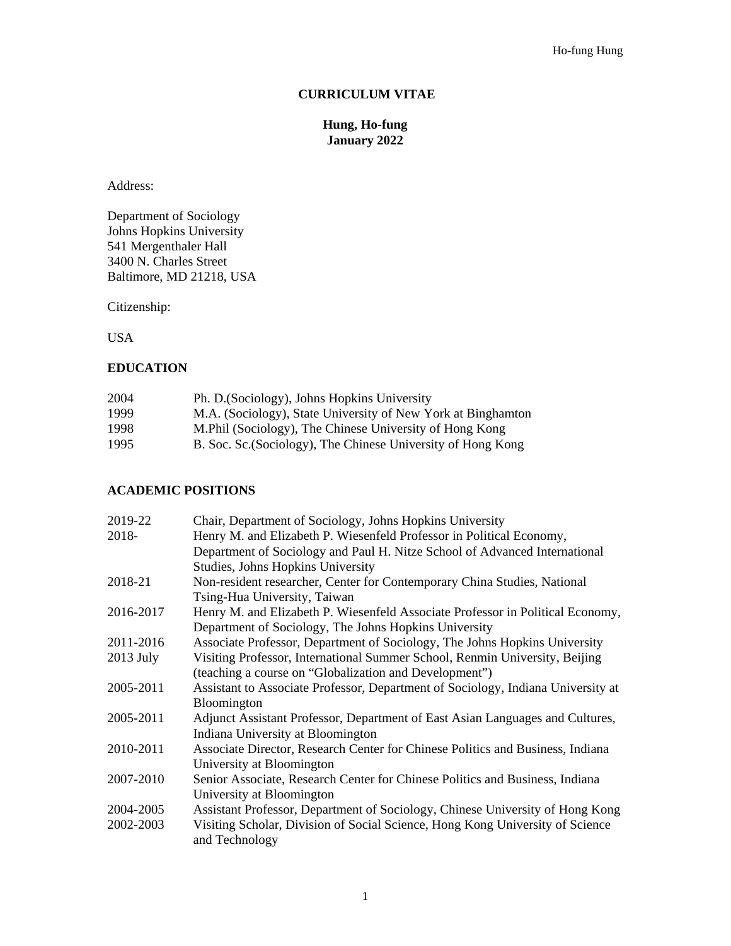## **CURRICULUM VITAE**

## **Hung, Ho-fung January 2022**

Address:

Department of Sociology Johns Hopkins University 541 Mergenthaler Hall 3400 N. Charles Street Baltimore, MD 21218, USA

Citizenship:

USA

## **EDUCATION**

| 2004 | Ph. D. (Sociology), Johns Hopkins University                 |
|------|--------------------------------------------------------------|
| 1999 | M.A. (Sociology), State University of New York at Binghamton |
| 1998 | M. Phil (Sociology), The Chinese University of Hong Kong     |
| 1995 | B. Soc. Sc. (Sociology), The Chinese University of Hong Kong |
|      |                                                              |

## **ACADEMIC POSITIONS**

| 2019-22     | Chair, Department of Sociology, Johns Hopkins University                                        |
|-------------|-------------------------------------------------------------------------------------------------|
| 2018-       | Henry M. and Elizabeth P. Wiesenfeld Professor in Political Economy,                            |
|             | Department of Sociology and Paul H. Nitze School of Advanced International                      |
|             | Studies, Johns Hopkins University                                                               |
| 2018-21     | Non-resident researcher, Center for Contemporary China Studies, National                        |
|             | Tsing-Hua University, Taiwan                                                                    |
| 2016-2017   | Henry M. and Elizabeth P. Wiesenfeld Associate Professor in Political Economy,                  |
|             | Department of Sociology, The Johns Hopkins University                                           |
| 2011-2016   | Associate Professor, Department of Sociology, The Johns Hopkins University                      |
| $2013$ July | Visiting Professor, International Summer School, Renmin University, Beijing                     |
|             | (teaching a course on "Globalization and Development")                                          |
| 2005-2011   | Assistant to Associate Professor, Department of Sociology, Indiana University at                |
|             | Bloomington                                                                                     |
| 2005-2011   | Adjunct Assistant Professor, Department of East Asian Languages and Cultures,                   |
|             | Indiana University at Bloomington                                                               |
| 2010-2011   | Associate Director, Research Center for Chinese Politics and Business, Indiana                  |
|             | University at Bloomington                                                                       |
| 2007-2010   | Senior Associate, Research Center for Chinese Politics and Business, Indiana                    |
|             | University at Bloomington                                                                       |
| 2004-2005   | Assistant Professor, Department of Sociology, Chinese University of Hong Kong                   |
| 2002-2003   | Visiting Scholar, Division of Social Science, Hong Kong University of Science<br>and Technology |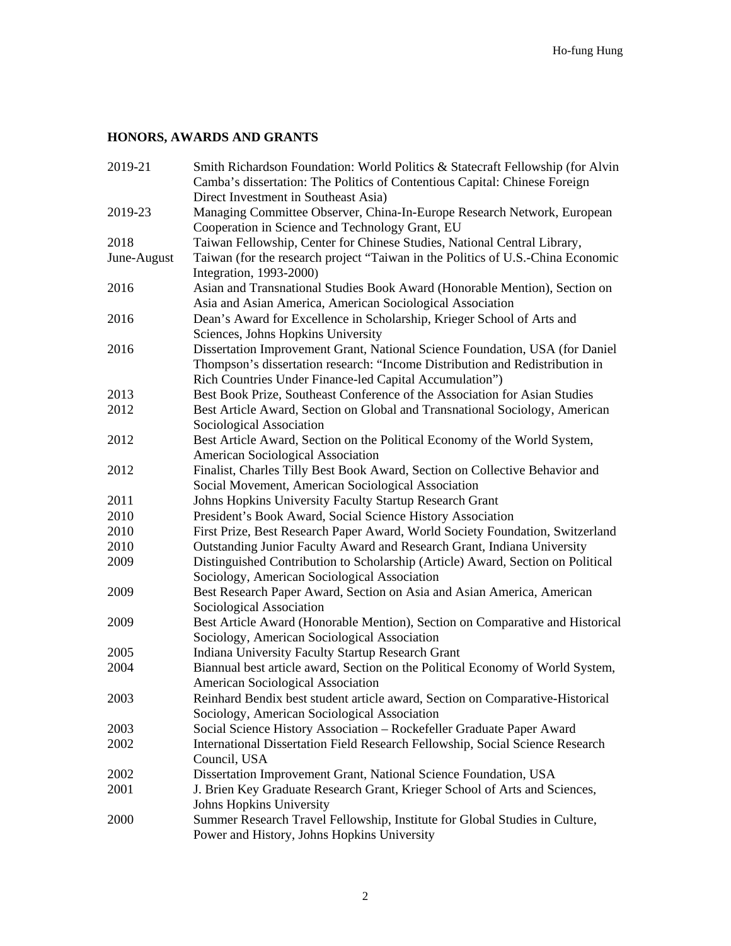# **HONORS, AWARDS AND GRANTS**

| 2019-21     | Smith Richardson Foundation: World Politics & Statecraft Fellowship (for Alvin                             |
|-------------|------------------------------------------------------------------------------------------------------------|
|             | Camba's dissertation: The Politics of Contentious Capital: Chinese Foreign                                 |
|             | Direct Investment in Southeast Asia)                                                                       |
| 2019-23     | Managing Committee Observer, China-In-Europe Research Network, European                                    |
|             | Cooperation in Science and Technology Grant, EU                                                            |
| 2018        | Taiwan Fellowship, Center for Chinese Studies, National Central Library,                                   |
| June-August | Taiwan (for the research project "Taiwan in the Politics of U.S.-China Economic<br>Integration, 1993-2000) |
| 2016        | Asian and Transnational Studies Book Award (Honorable Mention), Section on                                 |
|             | Asia and Asian America, American Sociological Association                                                  |
| 2016        | Dean's Award for Excellence in Scholarship, Krieger School of Arts and                                     |
|             | Sciences, Johns Hopkins University                                                                         |
| 2016        | Dissertation Improvement Grant, National Science Foundation, USA (for Daniel                               |
|             | Thompson's dissertation research: "Income Distribution and Redistribution in                               |
|             | Rich Countries Under Finance-led Capital Accumulation")                                                    |
| 2013        | Best Book Prize, Southeast Conference of the Association for Asian Studies                                 |
| 2012        | Best Article Award, Section on Global and Transnational Sociology, American                                |
|             | Sociological Association                                                                                   |
| 2012        | Best Article Award, Section on the Political Economy of the World System,                                  |
|             | American Sociological Association                                                                          |
| 2012        | Finalist, Charles Tilly Best Book Award, Section on Collective Behavior and                                |
|             | Social Movement, American Sociological Association                                                         |
| 2011        | Johns Hopkins University Faculty Startup Research Grant                                                    |
| 2010        | President's Book Award, Social Science History Association                                                 |
| 2010        | First Prize, Best Research Paper Award, World Society Foundation, Switzerland                              |
| 2010        | Outstanding Junior Faculty Award and Research Grant, Indiana University                                    |
| 2009        | Distinguished Contribution to Scholarship (Article) Award, Section on Political                            |
|             | Sociology, American Sociological Association                                                               |
| 2009        | Best Research Paper Award, Section on Asia and Asian America, American                                     |
|             | Sociological Association                                                                                   |
| 2009        | Best Article Award (Honorable Mention), Section on Comparative and Historical                              |
|             | Sociology, American Sociological Association                                                               |
| 2005        | Indiana University Faculty Startup Research Grant                                                          |
| 2004        | Biannual best article award, Section on the Political Economy of World System,                             |
|             | American Sociological Association                                                                          |
| 2003        | Reinhard Bendix best student article award, Section on Comparative-Historical                              |
|             | Sociology, American Sociological Association                                                               |
| 2003        | Social Science History Association - Rockefeller Graduate Paper Award                                      |
| 2002        | International Dissertation Field Research Fellowship, Social Science Research                              |
|             | Council, USA                                                                                               |
| 2002        | Dissertation Improvement Grant, National Science Foundation, USA                                           |
| 2001        | J. Brien Key Graduate Research Grant, Krieger School of Arts and Sciences,                                 |
|             | Johns Hopkins University                                                                                   |
| 2000        | Summer Research Travel Fellowship, Institute for Global Studies in Culture,                                |
|             | Power and History, Johns Hopkins University                                                                |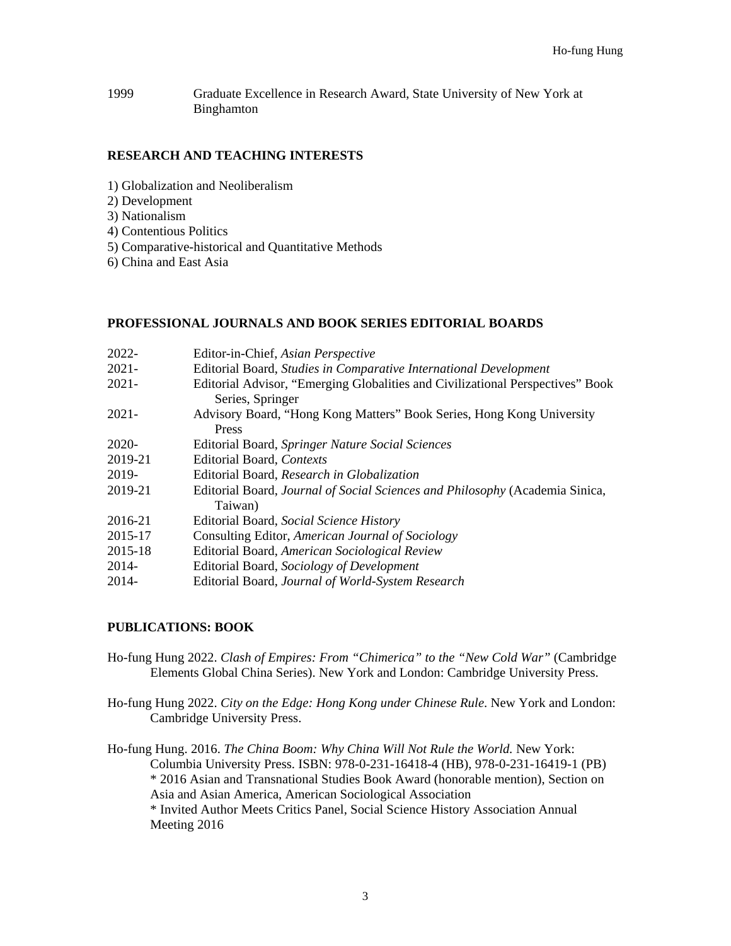1999 Graduate Excellence in Research Award, State University of New York at Binghamton

## **RESEARCH AND TEACHING INTERESTS**

- 1) Globalization and Neoliberalism
- 2) Development
- 3) Nationalism
- 4) Contentious Politics
- 5) Comparative-historical and Quantitative Methods
- 6) China and East Asia

#### **PROFESSIONAL JOURNALS AND BOOK SERIES EDITORIAL BOARDS**

| 2022-    | Editor-in-Chief, Asian Perspective                                                                 |
|----------|----------------------------------------------------------------------------------------------------|
| $2021 -$ | Editorial Board, Studies in Comparative International Development                                  |
| $2021 -$ | Editorial Advisor, "Emerging Globalities and Civilizational Perspectives" Book<br>Series, Springer |
| $2021 -$ | Advisory Board, "Hong Kong Matters" Book Series, Hong Kong University<br>Press                     |
| 2020-    | Editorial Board, Springer Nature Social Sciences                                                   |
| 2019-21  | Editorial Board, Contexts                                                                          |
| 2019-    | Editorial Board, Research in Globalization                                                         |
| 2019-21  | Editorial Board, Journal of Social Sciences and Philosophy (Academia Sinica,                       |
|          | Taiwan)                                                                                            |
| 2016-21  | Editorial Board, Social Science History                                                            |
| 2015-17  | Consulting Editor, American Journal of Sociology                                                   |
| 2015-18  | Editorial Board, American Sociological Review                                                      |
| 2014-    | Editorial Board, Sociology of Development                                                          |
| 2014-    | Editorial Board, Journal of World-System Research                                                  |

## **PUBLICATIONS: BOOK**

- Ho-fung Hung 2022. *Clash of Empires: From "Chimerica" to the "New Cold War"* (Cambridge Elements Global China Series). New York and London: Cambridge University Press.
- Ho-fung Hung 2022. *City on the Edge: Hong Kong under Chinese Rule*. New York and London: Cambridge University Press.
- Ho-fung Hung. 2016. *The China Boom: Why China Will Not Rule the World.* New York: Columbia University Press. ISBN: 978-0-231-16418-4 (HB), 978-0-231-16419-1 (PB) \* 2016 Asian and Transnational Studies Book Award (honorable mention), Section on Asia and Asian America, American Sociological Association \* Invited Author Meets Critics Panel, Social Science History Association Annual Meeting 2016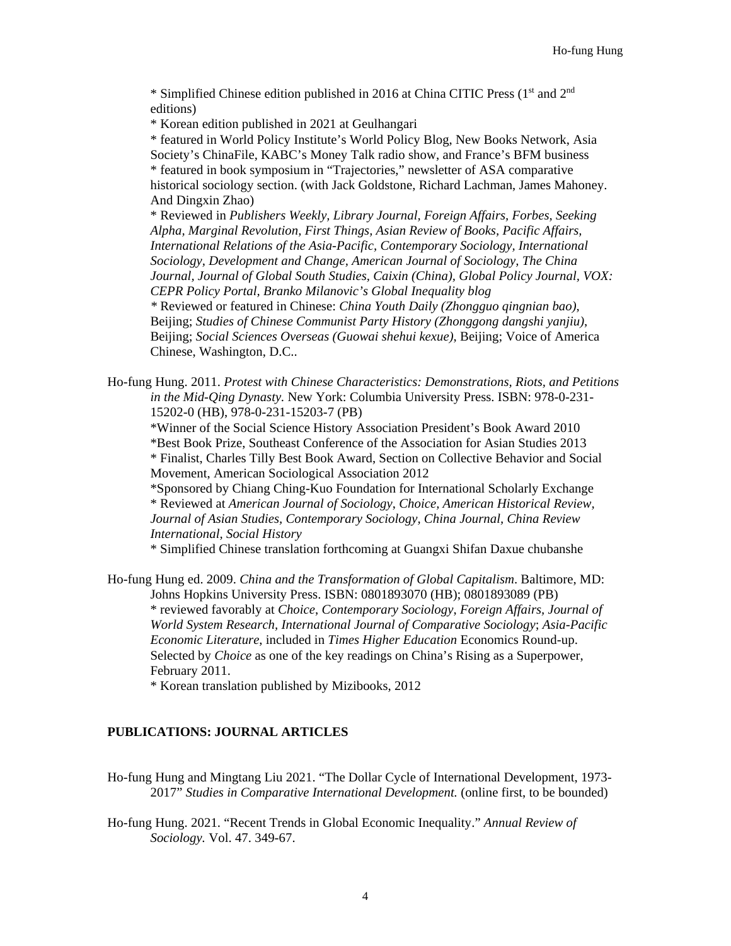\* Simplified Chinese edition published in 2016 at China CITIC Press (1st and 2nd editions)

\* Korean edition published in 2021 at Geulhangari

\* featured in World Policy Institute's World Policy Blog, New Books Network, Asia Society's ChinaFile, KABC's Money Talk radio show, and France's BFM business \* featured in book symposium in "Trajectories," newsletter of ASA comparative historical sociology section. (with Jack Goldstone, Richard Lachman, James Mahoney. And Dingxin Zhao)

\* Reviewed in *Publishers Weekly, Library Journal, Foreign Affairs, Forbes, Seeking Alpha, Marginal Revolution, First Things, Asian Review of Books, Pacific Affairs, International Relations of the Asia-Pacific, Contemporary Sociology, International Sociology, Development and Change, American Journal of Sociology, The China Journal, Journal of Global South Studies, Caixin (China), Global Policy Journal, VOX: CEPR Policy Portal, Branko Milanovic's Global Inequality blog*

*\** Reviewed or featured in Chinese: *China Youth Daily (Zhongguo qingnian bao)*, Beijing; *Studies of Chinese Communist Party History (Zhonggong dangshi yanjiu)*, Beijing; *Social Sciences Overseas (Guowai shehui kexue)*, Beijing; Voice of America Chinese, Washington, D.C..

Ho-fung Hung. 2011. *Protest with Chinese Characteristics: Demonstrations, Riots, and Petitions in the Mid-Qing Dynasty.* New York: Columbia University Press. ISBN: 978-0-231- 15202-0 (HB), 978-0-231-15203-7 (PB)

\*Winner of the Social Science History Association President's Book Award 2010 \*Best Book Prize, Southeast Conference of the Association for Asian Studies 2013 \* Finalist, Charles Tilly Best Book Award, Section on Collective Behavior and Social Movement, American Sociological Association 2012

\*Sponsored by Chiang Ching-Kuo Foundation for International Scholarly Exchange \* Reviewed at *American Journal of Sociology*, *Choice, American Historical Review, Journal of Asian Studies, Contemporary Sociology, China Journal, China Review International, Social History*

\* Simplified Chinese translation forthcoming at Guangxi Shifan Daxue chubanshe

Ho-fung Hung ed. 2009. *China and the Transformation of Global Capitalism*. Baltimore, MD: Johns Hopkins University Press. ISBN: 0801893070 (HB); 0801893089 (PB) \* reviewed favorably at *Choice*, *Contemporary Sociology*, *Foreign Affairs, Journal of World System Research, International Journal of Comparative Sociology*; *Asia-Pacific Economic Literature*, included in *Times Higher Education* Economics Round-up. Selected by *Choice* as one of the key readings on China's Rising as a Superpower, February 2011.

\* Korean translation published by Mizibooks, 2012

#### **PUBLICATIONS: JOURNAL ARTICLES**

- Ho-fung Hung and Mingtang Liu 2021. "The Dollar Cycle of International Development, 1973- 2017" *Studies in Comparative International Development.* (online first, to be bounded)
- Ho-fung Hung. 2021. "Recent Trends in Global Economic Inequality." *Annual Review of Sociology.* Vol. 47. 349-67.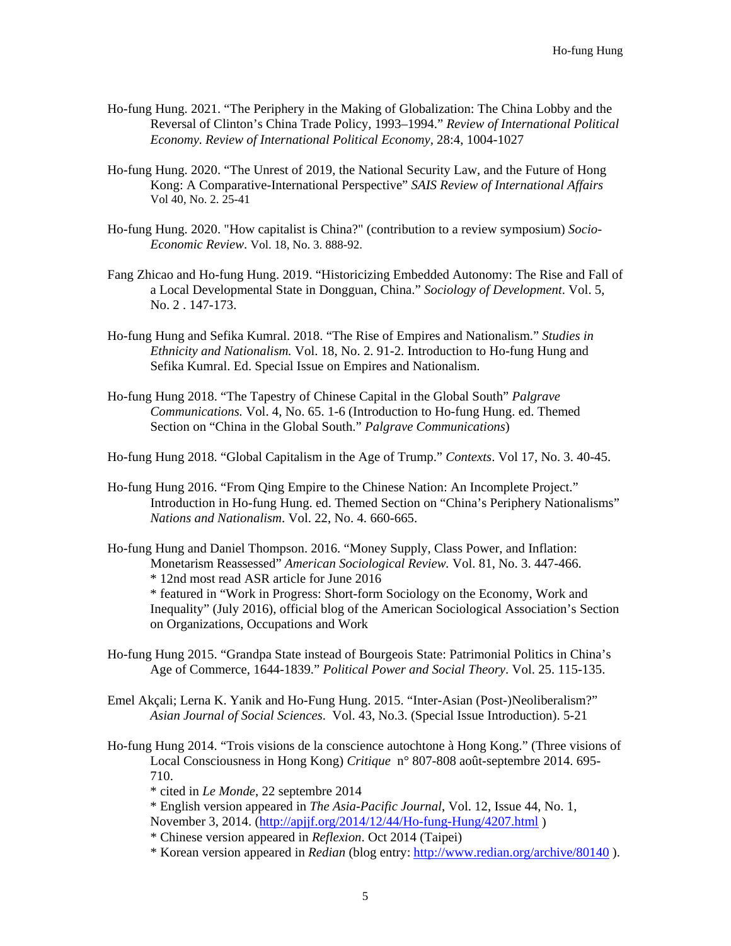- Ho-fung Hung. 2021. "The Periphery in the Making of Globalization: The China Lobby and the Reversal of Clinton's China Trade Policy, 1993–1994." *Review of International Political Economy. Review of International Political Economy,* 28:4, 1004-1027
- Ho-fung Hung. 2020. "The Unrest of 2019, the National Security Law, and the Future of Hong Kong: A Comparative-International Perspective" *SAIS Review of International Affairs* Vol 40, No. 2. 25-41
- Ho-fung Hung. 2020. "How capitalist is China?" (contribution to a review symposium) *Socio-Economic Review*. Vol. 18, No. 3. 888-92.
- Fang Zhicao and Ho-fung Hung. 2019. "Historicizing Embedded Autonomy: The Rise and Fall of a Local Developmental State in Dongguan, China." *Sociology of Development*. Vol. 5, No. 2 . 147-173.
- Ho-fung Hung and Sefika Kumral. 2018. "The Rise of Empires and Nationalism." *Studies in Ethnicity and Nationalism.* Vol. 18, No. 2. 91-2. Introduction to Ho-fung Hung and Sefika Kumral. Ed. Special Issue on Empires and Nationalism.
- Ho-fung Hung 2018. "The Tapestry of Chinese Capital in the Global South" *Palgrave Communications.* Vol. 4, No. 65. 1-6 (Introduction to Ho-fung Hung. ed. Themed Section on "China in the Global South." *Palgrave Communications*)

Ho-fung Hung 2018. "Global Capitalism in the Age of Trump." *Contexts*. Vol 17, No. 3. 40-45.

- Ho-fung Hung 2016. "From Qing Empire to the Chinese Nation: An Incomplete Project." Introduction in Ho-fung Hung. ed. Themed Section on "China's Periphery Nationalisms" *Nations and Nationalism*. Vol. 22, No. 4. 660-665.
- Ho-fung Hung and Daniel Thompson. 2016. "Money Supply, Class Power, and Inflation: Monetarism Reassessed" *American Sociological Review.* Vol. 81, No. 3. 447-466. \* 12nd most read ASR article for June 2016

\* featured in "Work in Progress: Short-form Sociology on the Economy, Work and Inequality" (July 2016), official blog of the American Sociological Association's Section on Organizations, Occupations and Work

- Ho-fung Hung 2015. "Grandpa State instead of Bourgeois State: Patrimonial Politics in China's Age of Commerce, 1644-1839." *Political Power and Social Theory*. Vol. 25. 115-135.
- Emel Akçali; Lerna K. Yanik and Ho-Fung Hung. 2015. "Inter-Asian (Post-)Neoliberalism?" *Asian Journal of Social Sciences*. Vol. 43, No.3. (Special Issue Introduction). 5-21
- Ho-fung Hung 2014. "Trois visions de la conscience autochtone à Hong Kong." (Three visions of Local Consciousness in Hong Kong) *Critique* n° 807-808 août-septembre 2014. 695- 710.

\* cited in *Le Monde*, 22 septembre 2014

\* English version appeared in *The Asia-Pacific Journal*, Vol. 12, Issue 44, No. 1, November 3, 2014. [\(http://apjjf.org/2014/12/44/Ho-fung-Hung/4207.html](http://apjjf.org/2014/12/44/Ho-fung-Hung/4207.html) )

\* Chinese version appeared in *Reflexion*. Oct 2014 (Taipei)

\* Korean version appeared in *Redian* (blog entry: <http://www.redian.org/archive/80140> ).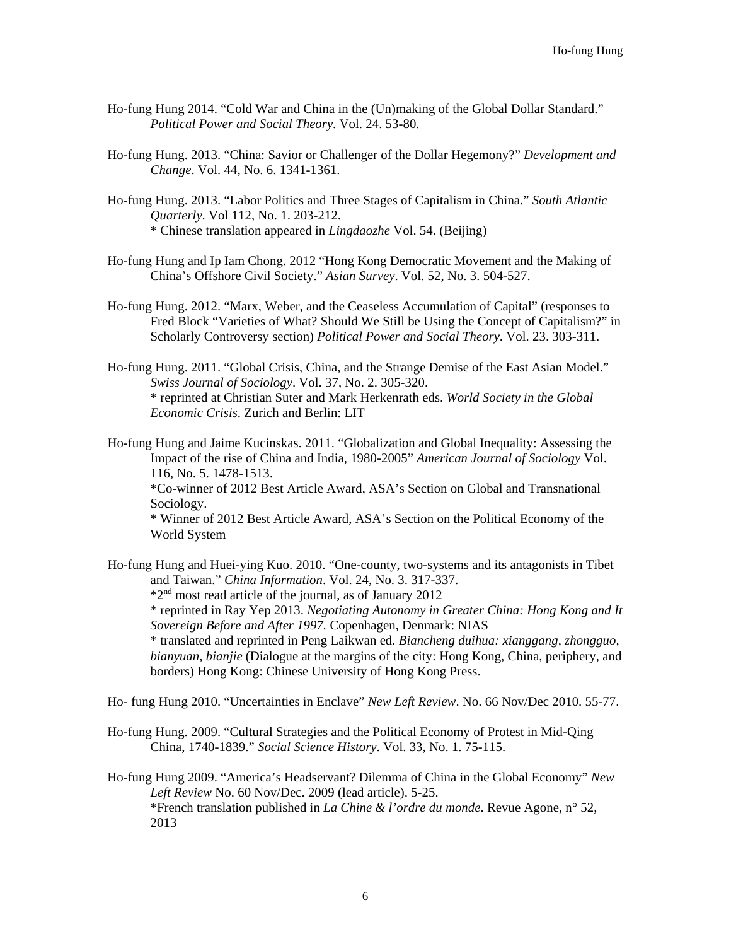- Ho-fung Hung 2014. "Cold War and China in the (Un)making of the Global Dollar Standard." *Political Power and Social Theory*. Vol. 24. 53-80.
- Ho-fung Hung. 2013. "China: Savior or Challenger of the Dollar Hegemony?" *Development and Change*. Vol. 44, No. 6. 1341-1361.
- Ho-fung Hung. 2013. "Labor Politics and Three Stages of Capitalism in China." *South Atlantic Quarterly*. Vol 112, No. 1. 203-212. \* Chinese translation appeared in *Lingdaozhe* Vol. 54. (Beijing)
- Ho-fung Hung and Ip Iam Chong. 2012 "Hong Kong Democratic Movement and the Making of China's Offshore Civil Society." *Asian Survey*. Vol. 52, No. 3. 504-527.
- Ho-fung Hung. 2012. "Marx, Weber, and the Ceaseless Accumulation of Capital" (responses to Fred Block "Varieties of What? Should We Still be Using the Concept of Capitalism?" in Scholarly Controversy section) *Political Power and Social Theory*. Vol. 23. 303-311.
- Ho-fung Hung. 2011. "Global Crisis, China, and the Strange Demise of the East Asian Model." *Swiss Journal of Sociology*. Vol. 37, No. 2. 305-320. \* reprinted at Christian Suter and Mark Herkenrath eds. *World Society in the Global Economic Crisis*. Zurich and Berlin: LIT

Ho-fung Hung and Jaime Kucinskas. 2011. "Globalization and Global Inequality: Assessing the Impact of the rise of China and India, 1980-2005" *American Journal of Sociology* Vol. 116, No. 5. 1478-1513. \*Co-winner of 2012 Best Article Award, ASA's Section on Global and Transnational Sociology. \* Winner of 2012 Best Article Award, ASA's Section on the Political Economy of the World System

Ho-fung Hung and Huei-ying Kuo. 2010. "One-county, two-systems and its antagonists in Tibet and Taiwan." *China Information*. Vol. 24, No. 3. 317-337. \*2nd most read article of the journal, as of January 2012 \* reprinted in Ray Yep 2013. *Negotiating Autonomy in Greater China: Hong Kong and It Sovereign Before and After 1997.* Copenhagen, Denmark: NIAS \* translated and reprinted in Peng Laikwan ed. *Biancheng duihua: xianggang, zhongguo, bianyuan, bianjie* (Dialogue at the margins of the city: Hong Kong, China, periphery, and borders) Hong Kong: Chinese University of Hong Kong Press.

Ho- fung Hung 2010. "Uncertainties in Enclave" *New Left Review*. No. 66 Nov/Dec 2010. 55-77.

Ho-fung Hung. 2009. "Cultural Strategies and the Political Economy of Protest in Mid-Qing China, 1740-1839." *Social Science History*. Vol. 33, No. 1. 75-115.

Ho-fung Hung 2009. "America's Headservant? Dilemma of China in the Global Economy" *New Left Review* No. 60 Nov/Dec. 2009 (lead article). 5-25. \*French translation published in *La Chine & l'ordre du monde*. Revue Agone, n° 52, 2013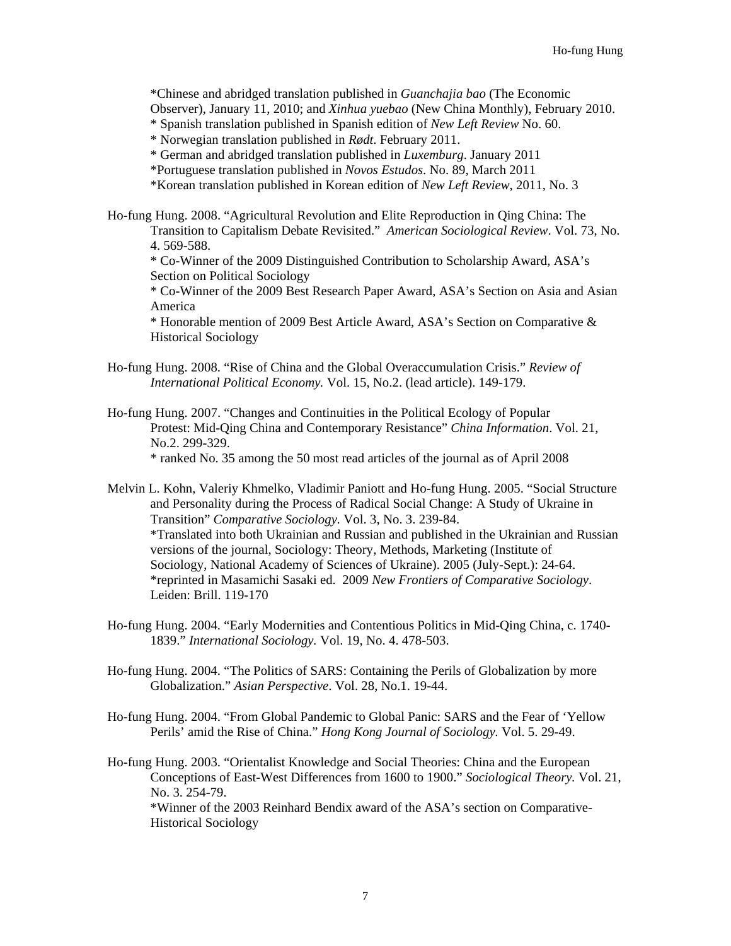\*Chinese and abridged translation published in *Guanchajia bao* (The Economic Observer), January 11, 2010; and *Xinhua yuebao* (New China Monthly), February 2010. \* Spanish translation published in Spanish edition of *New Left Review* No. 60.

\* Norwegian translation published in *Rødt*. February 2011.

\* German and abridged translation published in *Luxemburg*. January 2011

\*Portuguese translation published in *Novos Estudos*. No. 89, March 2011

\*Korean translation published in Korean edition of *New Left Review*, 2011, No. 3

Ho-fung Hung. 2008. "Agricultural Revolution and Elite Reproduction in Qing China: The Transition to Capitalism Debate Revisited." *American Sociological Review*. Vol. 73, No. 4. 569-588.

\* Co-Winner of the 2009 Distinguished Contribution to Scholarship Award, ASA's Section on Political Sociology

\* Co-Winner of the 2009 Best Research Paper Award, ASA's Section on Asia and Asian America

\* Honorable mention of 2009 Best Article Award, ASA's Section on Comparative & Historical Sociology

Ho-fung Hung. 2008. "Rise of China and the Global Overaccumulation Crisis." *Review of International Political Economy.* Vol. 15, No.2. (lead article). 149-179.

Ho-fung Hung. 2007. "Changes and Continuities in the Political Ecology of Popular Protest: Mid-Qing China and Contemporary Resistance" *China Information*. Vol. 21, No.2. 299-329.

\* ranked No. 35 among the 50 most read articles of the journal as of April 2008

Melvin L. Kohn, Valeriy Khmelko, Vladimir Paniott and Ho-fung Hung. 2005. "Social Structure and Personality during the Process of Radical Social Change: A Study of Ukraine in Transition" *Comparative Sociology.* Vol. 3, No. 3. 239-84. \*Translated into both Ukrainian and Russian and published in the Ukrainian and Russian versions of the journal, Sociology: Theory, Methods, Marketing (Institute of Sociology, National Academy of Sciences of Ukraine). 2005 (July-Sept.): 24-64. \*reprinted in Masamichi Sasaki ed. 2009 *New Frontiers of Comparative Sociology*. Leiden: Brill. 119-170

- Ho-fung Hung. 2004. "Early Modernities and Contentious Politics in Mid-Qing China, c. 1740- 1839." *International Sociology.* Vol. 19, No. 4. 478-503.
- Ho-fung Hung. 2004. "The Politics of SARS: Containing the Perils of Globalization by more Globalization." *Asian Perspective*. Vol. 28, No.1. 19-44.
- Ho-fung Hung. 2004. "From Global Pandemic to Global Panic: SARS and the Fear of 'Yellow Perils' amid the Rise of China." *Hong Kong Journal of Sociology.* Vol. 5. 29-49.

Ho-fung Hung. 2003. "Orientalist Knowledge and Social Theories: China and the European Conceptions of East-West Differences from 1600 to 1900." *Sociological Theory.* Vol. 21, No. 3. 254-79. \*Winner of the 2003 Reinhard Bendix award of the ASA's section on Comparative-Historical Sociology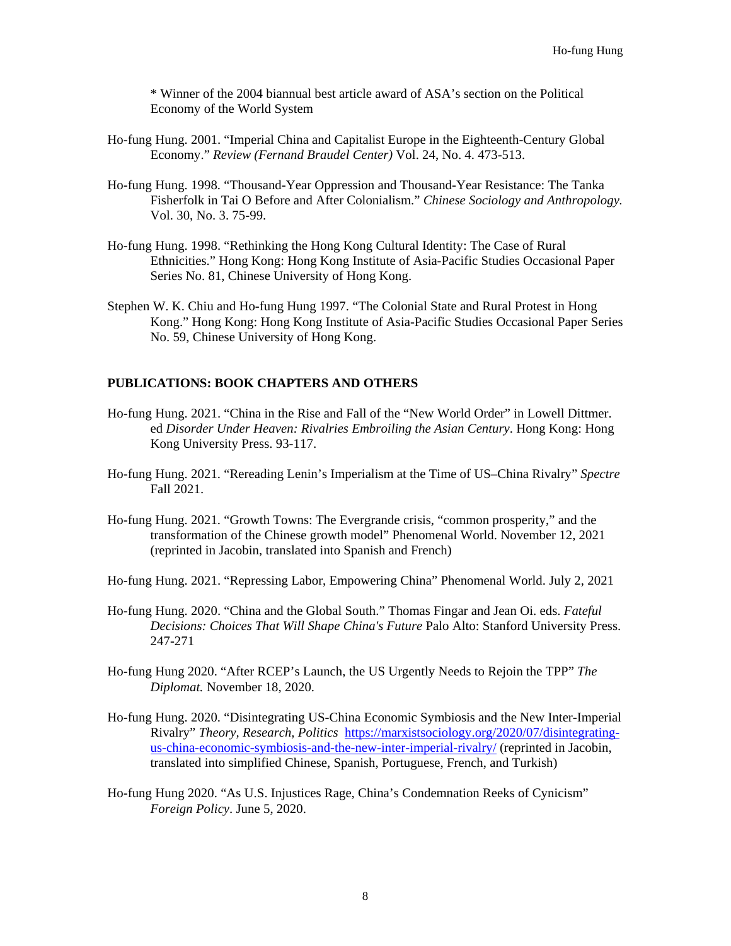\* Winner of the 2004 biannual best article award of ASA's section on the Political Economy of the World System

- Ho-fung Hung. 2001. "Imperial China and Capitalist Europe in the Eighteenth-Century Global Economy." *Review (Fernand Braudel Center)* Vol. 24, No. 4. 473-513.
- Ho-fung Hung. 1998. "Thousand-Year Oppression and Thousand-Year Resistance: The Tanka Fisherfolk in Tai O Before and After Colonialism." *Chinese Sociology and Anthropology.* Vol. 30, No. 3. 75-99.
- Ho-fung Hung. 1998. "Rethinking the Hong Kong Cultural Identity: The Case of Rural Ethnicities." Hong Kong: Hong Kong Institute of Asia-Pacific Studies Occasional Paper Series No. 81, Chinese University of Hong Kong.
- Stephen W. K. Chiu and Ho-fung Hung 1997. "The Colonial State and Rural Protest in Hong Kong." Hong Kong: Hong Kong Institute of Asia-Pacific Studies Occasional Paper Series No. 59, Chinese University of Hong Kong.

## **PUBLICATIONS: BOOK CHAPTERS AND OTHERS**

- Ho-fung Hung. 2021. "China in the Rise and Fall of the "New World Order" in Lowell Dittmer. ed *Disorder Under Heaven: Rivalries Embroiling the Asian Century*. Hong Kong: Hong Kong University Press. 93-117.
- Ho-fung Hung. 2021. "Rereading Lenin's Imperialism at the Time of US–China Rivalry" *Spectre*  Fall 2021.
- Ho-fung Hung. 2021. "Growth Towns: The Evergrande crisis, "common prosperity," and the transformation of the Chinese growth model" Phenomenal World. November 12, 2021 (reprinted in Jacobin, translated into Spanish and French)
- Ho-fung Hung. 2021. "Repressing Labor, Empowering China" Phenomenal World. July 2, 2021
- Ho-fung Hung. 2020. "China and the Global South." Thomas Fingar and Jean Oi. eds. *Fateful Decisions: Choices That Will Shape China's Future* Palo Alto: Stanford University Press. 247-271
- Ho-fung Hung 2020. "After RCEP's Launch, the US Urgently Needs to Rejoin the TPP" *The Diplomat.* November 18, 2020.
- Ho-fung Hung. 2020. "Disintegrating US-China Economic Symbiosis and the New Inter-Imperial Rivalry" *Theory, Research, Politics* [https://marxistsociology.org/2020/07/disintegrating](https://marxistsociology.org/2020/07/disintegrating-us-china-economic-symbiosis-and-the-new-inter-imperial-rivalry/)[us-china-economic-symbiosis-and-the-new-inter-imperial-rivalry/](https://marxistsociology.org/2020/07/disintegrating-us-china-economic-symbiosis-and-the-new-inter-imperial-rivalry/) (reprinted in Jacobin, translated into simplified Chinese, Spanish, Portuguese, French, and Turkish)
- Ho-fung Hung 2020. "As U.S. Injustices Rage, China's Condemnation Reeks of Cynicism" *Foreign Policy*. June 5, 2020.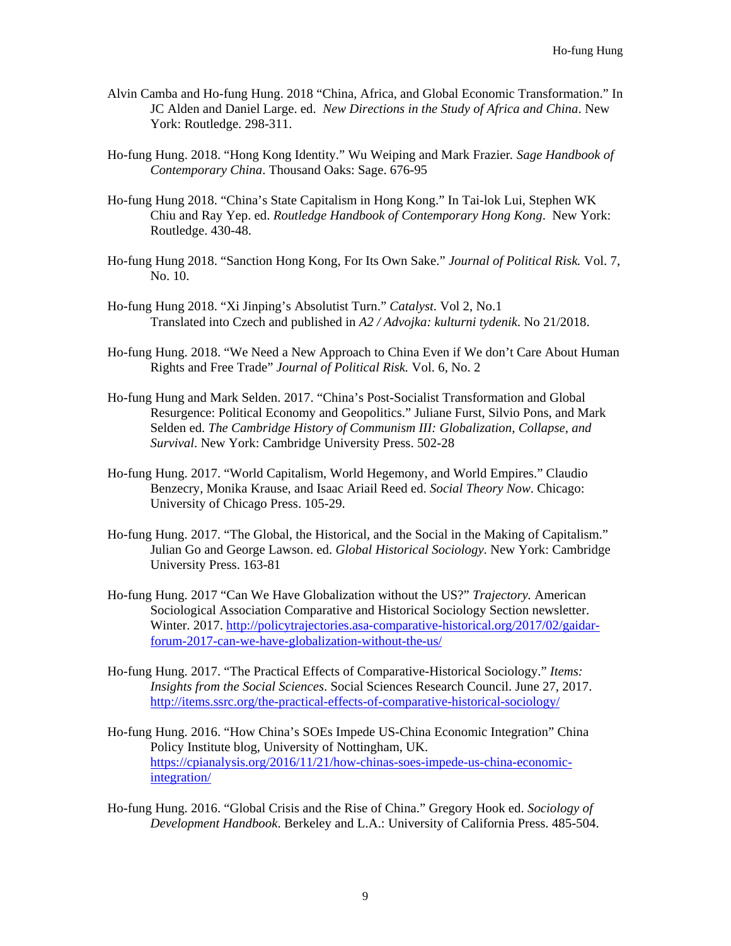- Alvin Camba and Ho-fung Hung. 2018 "China, Africa, and Global Economic Transformation." In JC Alden and Daniel Large. ed. *New Directions in the Study of Africa and China*. New York: Routledge. 298-311.
- Ho-fung Hung. 2018. "Hong Kong Identity." Wu Weiping and Mark Frazier*. Sage Handbook of Contemporary China*. Thousand Oaks: Sage. 676-95
- Ho-fung Hung 2018. "China's State Capitalism in Hong Kong." In Tai-lok Lui, Stephen WK Chiu and Ray Yep. ed. *Routledge Handbook of Contemporary Hong Kong*. New York: Routledge. 430-48.
- Ho-fung Hung 2018. "Sanction Hong Kong, For Its Own Sake." *Journal of Political Risk.* Vol. 7, No. 10.
- Ho-fung Hung 2018. "Xi Jinping's Absolutist Turn." *Catalyst*. Vol 2, No.1 Translated into Czech and published in *A2 / Advojka: kulturni tydenik*. No 21/2018.
- Ho-fung Hung. 2018. "We Need a New Approach to China Even if We don't Care About Human Rights and Free Trade" *Journal of Political Risk.* Vol. 6, No. 2
- Ho-fung Hung and Mark Selden. 2017. "China's Post-Socialist Transformation and Global Resurgence: Political Economy and Geopolitics." Juliane Furst, Silvio Pons, and Mark Selden ed. *The Cambridge History of Communism III: Globalization, Collapse, and Survival*. New York: Cambridge University Press. 502-28
- Ho-fung Hung. 2017. "World Capitalism, World Hegemony, and World Empires." Claudio Benzecry, Monika Krause, and Isaac Ariail Reed ed. *Social Theory Now*. Chicago: University of Chicago Press. 105-29.
- Ho-fung Hung. 2017. "The Global, the Historical, and the Social in the Making of Capitalism." Julian Go and George Lawson. ed. *Global Historical Sociology*. New York: Cambridge University Press. 163-81
- Ho-fung Hung. 2017 "Can We Have Globalization without the US?" *Trajectory.* American Sociological Association Comparative and Historical Sociology Section newsletter. Winter. 2017. [http://policytrajectories.asa-comparative-historical.org/2017/02/gaidar](http://policytrajectories.asa-comparative-historical.org/2017/02/gaidar-forum-2017-can-we-have-globalization-without-the-us/)[forum-2017-can-we-have-globalization-without-the-us/](http://policytrajectories.asa-comparative-historical.org/2017/02/gaidar-forum-2017-can-we-have-globalization-without-the-us/)
- Ho-fung Hung. 2017. "The Practical Effects of Comparative-Historical Sociology." *Items: Insights from the Social Sciences*. Social Sciences Research Council. June 27, 2017. <http://items.ssrc.org/the-practical-effects-of-comparative-historical-sociology/>
- Ho-fung Hung. 2016. "How China's SOEs Impede US-China Economic Integration" China Policy Institute blog, University of Nottingham, UK. [https://cpianalysis.org/2016/11/21/how-chinas-soes-impede-us-china-economic](https://cpianalysis.org/2016/11/21/how-chinas-soes-impede-us-china-economic-integration/)[integration/](https://cpianalysis.org/2016/11/21/how-chinas-soes-impede-us-china-economic-integration/)
- Ho-fung Hung. 2016. "Global Crisis and the Rise of China." Gregory Hook ed. *Sociology of Development Handbook*. Berkeley and L.A.: University of California Press. 485-504.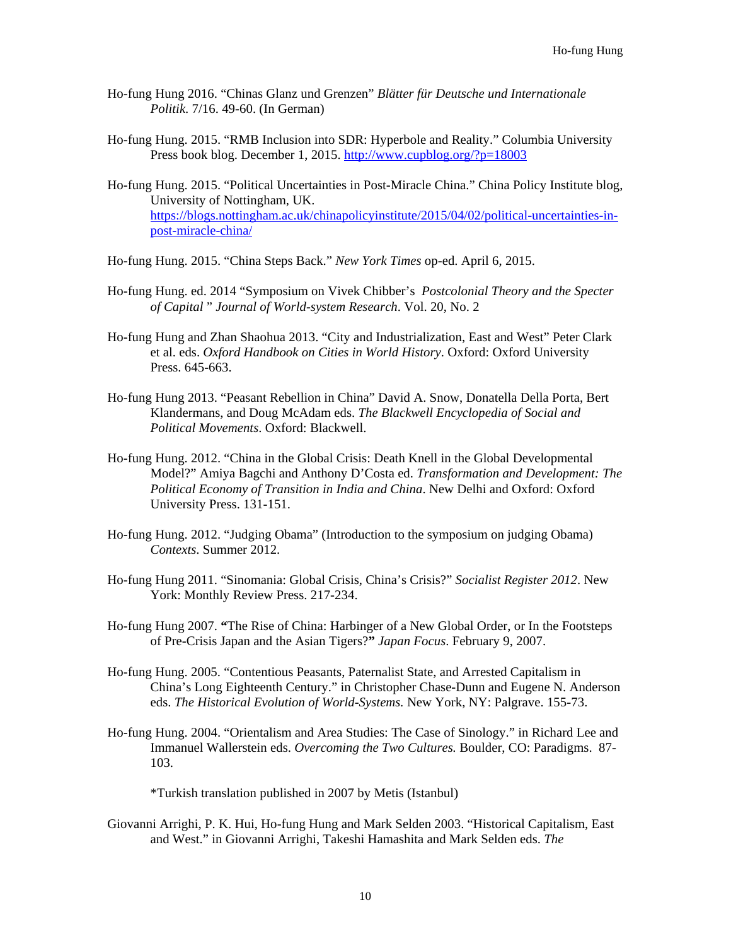- Ho-fung Hung 2016. "Chinas Glanz und Grenzen" *Blätter für Deutsche und Internationale Politik*. 7/16. 49-60. (In German)
- Ho-fung Hung. 2015. "RMB Inclusion into SDR: Hyperbole and Reality." Columbia University Press book blog. December 1, 2015.<http://www.cupblog.org/?p=18003>
- Ho-fung Hung. 2015. "Political Uncertainties in Post-Miracle China." China Policy Institute blog, University of Nottingham, UK. [https://blogs.nottingham.ac.uk/chinapolicyinstitute/2015/04/02/political-uncertainties-in](https://blogs.nottingham.ac.uk/chinapolicyinstitute/2015/04/02/political-uncertainties-in-post-miracle-china/)[post-miracle-china/](https://blogs.nottingham.ac.uk/chinapolicyinstitute/2015/04/02/political-uncertainties-in-post-miracle-china/)

Ho-fung Hung. 2015. "China Steps Back." *New York Times* op-ed. April 6, 2015.

- Ho-fung Hung. ed. 2014 "Symposium on Vivek Chibber's *Postcolonial Theory and the Specter of Capital* " *Journal of World-system Research*. Vol. 20, No. 2
- Ho-fung Hung and Zhan Shaohua 2013. "City and Industrialization, East and West" Peter Clark et al. eds. *Oxford Handbook on Cities in World History*. Oxford: Oxford University Press. 645-663.
- Ho-fung Hung 2013. "Peasant Rebellion in China" David A. Snow, Donatella Della Porta, Bert Klandermans, and Doug McAdam eds. *The Blackwell Encyclopedia of Social and Political Movements*. Oxford: Blackwell.
- Ho-fung Hung. 2012. "China in the Global Crisis: Death Knell in the Global Developmental Model?" Amiya Bagchi and Anthony D'Costa ed. *Transformation and Development: The Political Economy of Transition in India and China*. New Delhi and Oxford: Oxford University Press. 131-151.
- Ho-fung Hung. 2012. "Judging Obama" (Introduction to the symposium on judging Obama) *Contexts*. Summer 2012.
- Ho-fung Hung 2011. "Sinomania: Global Crisis, China's Crisis?" *Socialist Register 2012*. New York: Monthly Review Press. 217-234.
- Ho-fung Hung 2007. **"**The Rise of China: Harbinger of a New Global Order, or In the Footsteps of Pre-Crisis Japan and the Asian Tigers?**"** *Japan Focus*. February 9, 2007.
- Ho-fung Hung. 2005. "Contentious Peasants, Paternalist State, and Arrested Capitalism in China's Long Eighteenth Century." in Christopher Chase-Dunn and Eugene N. Anderson eds. *The Historical Evolution of World-Systems.* New York, NY: Palgrave. 155-73.
- Ho-fung Hung. 2004. "Orientalism and Area Studies: The Case of Sinology." in Richard Lee and Immanuel Wallerstein eds. *Overcoming the Two Cultures.* Boulder, CO: Paradigms. 87- 103.

\*Turkish translation published in 2007 by Metis (Istanbul)

Giovanni Arrighi, P. K. Hui, Ho-fung Hung and Mark Selden 2003. "Historical Capitalism, East and West." in Giovanni Arrighi, Takeshi Hamashita and Mark Selden eds. *The*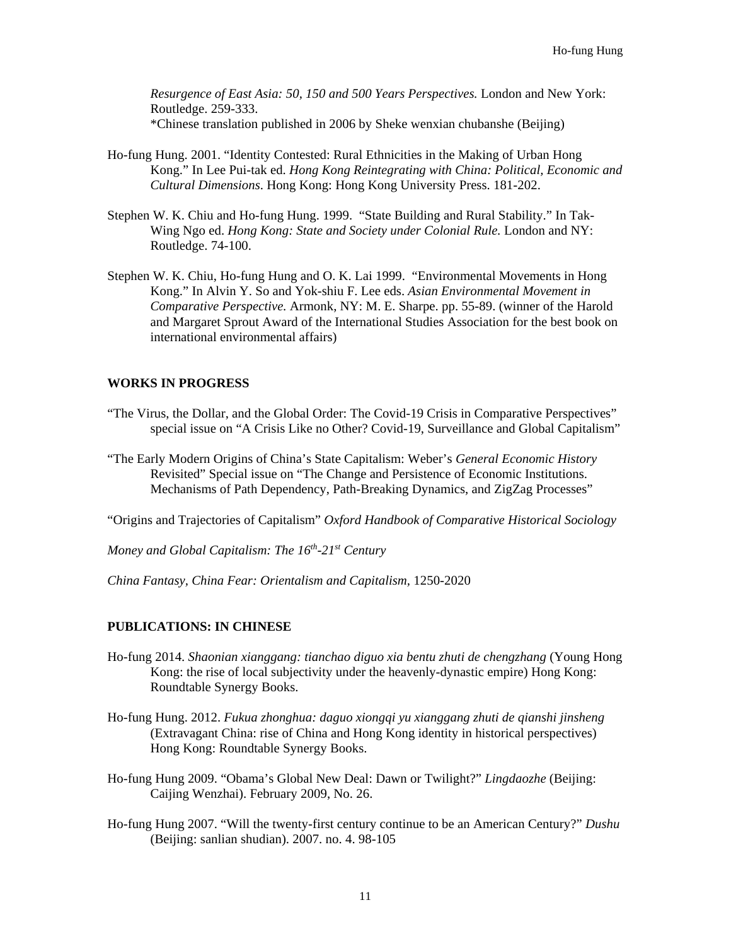*Resurgence of East Asia: 50, 150 and 500 Years Perspectives.* London and New York: Routledge. 259-333. \*Chinese translation published in 2006 by Sheke wenxian chubanshe (Beijing)

- Ho-fung Hung. 2001. "Identity Contested: Rural Ethnicities in the Making of Urban Hong Kong." In Lee Pui-tak ed. *Hong Kong Reintegrating with China: Political, Economic and Cultural Dimensions*. Hong Kong: Hong Kong University Press. 181-202.
- Stephen W. K. Chiu and Ho-fung Hung. 1999. "State Building and Rural Stability." In Tak-Wing Ngo ed. *Hong Kong: State and Society under Colonial Rule.* London and NY: Routledge. 74-100.
- Stephen W. K. Chiu, Ho-fung Hung and O. K. Lai 1999. "Environmental Movements in Hong Kong." In Alvin Y. So and Yok-shiu F. Lee eds. *Asian Environmental Movement in Comparative Perspective.* Armonk, NY: M. E. Sharpe. pp. 55-89. (winner of the Harold and Margaret Sprout Award of the International Studies Association for the best book on international environmental affairs)

## **WORKS IN PROGRESS**

- "The Virus, the Dollar, and the Global Order: The Covid-19 Crisis in Comparative Perspectives" special issue on "A Crisis Like no Other? Covid-19, Surveillance and Global Capitalism"
- "The Early Modern Origins of China's State Capitalism: Weber's *General Economic History* Revisited" Special issue on "The Change and Persistence of Economic Institutions. Mechanisms of Path Dependency, Path-Breaking Dynamics, and ZigZag Processes"

"Origins and Trajectories of Capitalism" *Oxford Handbook of Comparative Historical Sociology*

*Money and Global Capitalism: The 16th-21st Century*

*China Fantasy, China Fear: Orientalism and Capitalism,* 1250-2020

## **PUBLICATIONS: IN CHINESE**

- Ho-fung 2014. *Shaonian xianggang: tianchao diguo xia bentu zhuti de chengzhang* (Young Hong Kong: the rise of local subjectivity under the heavenly-dynastic empire) Hong Kong: Roundtable Synergy Books.
- Ho-fung Hung. 2012. *Fukua zhonghua: daguo xiongqi yu xianggang zhuti de qianshi jinsheng* (Extravagant China: rise of China and Hong Kong identity in historical perspectives) Hong Kong: Roundtable Synergy Books.
- Ho-fung Hung 2009. "Obama's Global New Deal: Dawn or Twilight?" *Lingdaozhe* (Beijing: Caijing Wenzhai). February 2009, No. 26.
- Ho-fung Hung 2007. "Will the twenty-first century continue to be an American Century?" *Dushu* (Beijing: sanlian shudian). 2007. no. 4. 98-105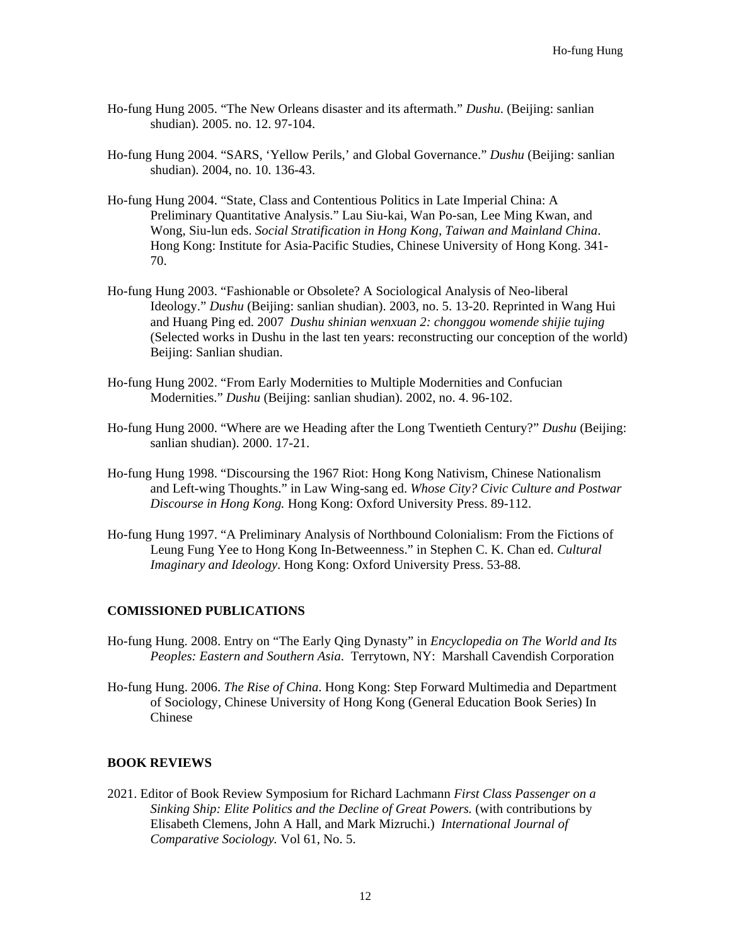- Ho-fung Hung 2005. "The New Orleans disaster and its aftermath." *Dushu*. (Beijing: sanlian shudian). 2005. no. 12. 97-104.
- Ho-fung Hung 2004. "SARS, 'Yellow Perils,' and Global Governance." *Dushu* (Beijing: sanlian shudian). 2004, no. 10. 136-43.
- Ho-fung Hung 2004. "State, Class and Contentious Politics in Late Imperial China: A Preliminary Quantitative Analysis." Lau Siu-kai, Wan Po-san, Lee Ming Kwan, and Wong, Siu-lun eds. *Social Stratification in Hong Kong, Taiwan and Mainland China*. Hong Kong: Institute for Asia-Pacific Studies, Chinese University of Hong Kong. 341- 70.
- Ho-fung Hung 2003. "Fashionable or Obsolete? A Sociological Analysis of Neo-liberal Ideology." *Dushu* (Beijing: sanlian shudian). 2003, no. 5. 13-20. Reprinted in Wang Hui and Huang Ping ed. 2007 *Dushu shinian wenxuan 2: chonggou womende shijie tujing*  (Selected works in Dushu in the last ten years: reconstructing our conception of the world) Beijing: Sanlian shudian.
- Ho-fung Hung 2002. "From Early Modernities to Multiple Modernities and Confucian Modernities." *Dushu* (Beijing: sanlian shudian). 2002, no. 4. 96-102.
- Ho-fung Hung 2000. "Where are we Heading after the Long Twentieth Century?" *Dushu* (Beijing: sanlian shudian). 2000. 17-21.
- Ho-fung Hung 1998. "Discoursing the 1967 Riot: Hong Kong Nativism, Chinese Nationalism and Left-wing Thoughts." in Law Wing-sang ed. *Whose City? Civic Culture and Postwar Discourse in Hong Kong.* Hong Kong: Oxford University Press. 89-112.
- Ho-fung Hung 1997. "A Preliminary Analysis of Northbound Colonialism: From the Fictions of Leung Fung Yee to Hong Kong In-Betweenness." in Stephen C. K. Chan ed. *Cultural Imaginary and Ideology*. Hong Kong: Oxford University Press. 53-88.

## **COMISSIONED PUBLICATIONS**

- Ho-fung Hung. 2008. Entry on "The Early Qing Dynasty" in *Encyclopedia on The World and Its Peoples: Eastern and Southern Asia*. Terrytown, NY: Marshall Cavendish Corporation
- Ho-fung Hung. 2006. *The Rise of China*. Hong Kong: Step Forward Multimedia and Department of Sociology, Chinese University of Hong Kong (General Education Book Series) In Chinese

## **BOOK REVIEWS**

2021. Editor of Book Review Symposium for Richard Lachmann *First Class Passenger on a Sinking Ship: Elite Politics and the Decline of Great Powers.* (with contributions by Elisabeth Clemens, John A Hall, and Mark Mizruchi.) *International Journal of Comparative Sociology.* Vol 61, No. 5.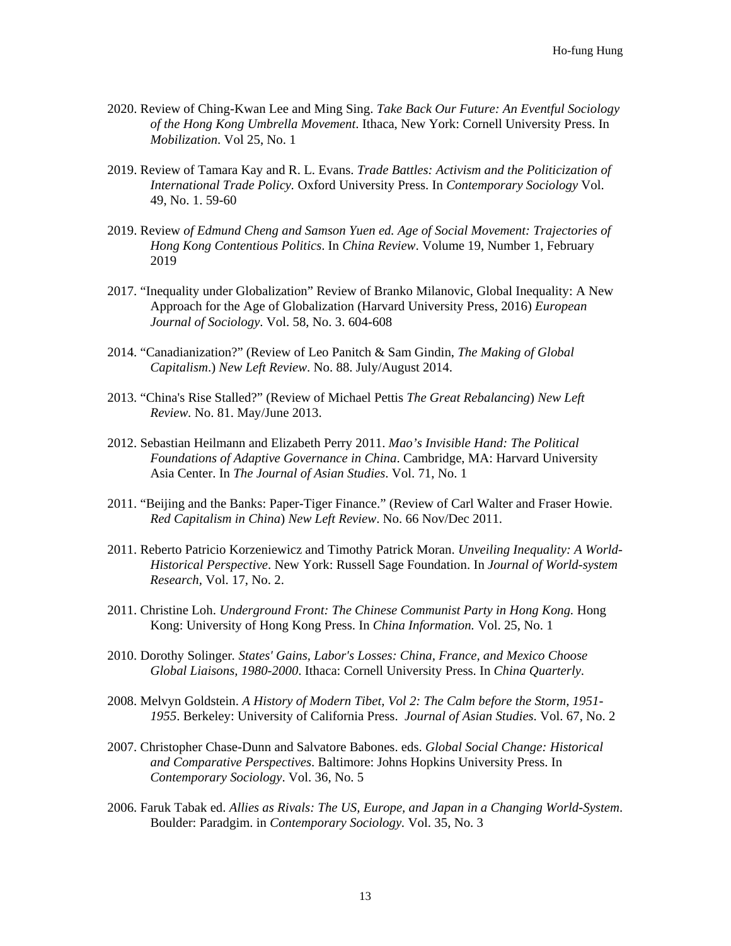- 2020. Review of Ching-Kwan Lee and Ming Sing. *Take Back Our Future: An Eventful Sociology of the Hong Kong Umbrella Movement*. Ithaca, New York: Cornell University Press. In *Mobilization*. Vol 25, No. 1
- 2019. Review of Tamara Kay and R. L. Evans. *Trade Battles: Activism and the Politicization of International Trade Policy.* Oxford University Press. In *Contemporary Sociology* Vol. 49, No. 1. 59-60
- 2019. Review *of Edmund Cheng and Samson Yuen ed. Age of Social Movement: Trajectories of Hong Kong Contentious Politics*. In *China Review*. Volume 19, Number 1, February 2019
- 2017. "Inequality under Globalization" Review of Branko Milanovic, Global Inequality: A New Approach for the Age of Globalization (Harvard University Press, 2016) *European Journal of Sociology*. Vol. 58, No. 3. 604-608
- 2014. "Canadianization?" (Review of Leo Panitch & Sam Gindin, *The Making of Global Capitalism*.) *New Left Review*. No. 88. July/August 2014.
- 2013. "China's Rise Stalled?" (Review of Michael Pettis *The Great Rebalancing*) *New Left Review.* No. 81. May/June 2013.
- 2012. Sebastian Heilmann and Elizabeth Perry 2011. *Mao's Invisible Hand: The Political Foundations of Adaptive Governance in China*. Cambridge, MA: Harvard University Asia Center. In *The Journal of Asian Studies*. Vol. 71, No. 1
- 2011. "Beijing and the Banks: Paper-Tiger Finance." (Review of Carl Walter and Fraser Howie. *Red Capitalism in China*) *New Left Review*. No. 66 Nov/Dec 2011.
- 2011. Reberto Patricio Korzeniewicz and Timothy Patrick Moran. *Unveiling Inequality: A World-Historical Perspective*. New York: Russell Sage Foundation. In *Journal of World-system Research,* Vol. 17, No. 2.
- 2011. Christine Loh. *Underground Front: The Chinese Communist Party in Hong Kong.* Hong Kong: University of Hong Kong Press. In *China Information.* Vol. 25, No. 1
- 2010. Dorothy Solinger*. States' Gains, Labor's Losses: China, France, and Mexico Choose Global Liaisons, 1980-2000*. Ithaca: Cornell University Press. In *China Quarterly*.
- 2008. Melvyn Goldstein. *A History of Modern Tibet, Vol 2: The Calm before the Storm, 1951- 1955*. Berkeley: University of California Press. *Journal of Asian Studies*. Vol. 67, No. 2
- 2007. Christopher Chase-Dunn and Salvatore Babones. eds. *Global Social Change: Historical and Comparative Perspectives*. Baltimore: Johns Hopkins University Press. In *Contemporary Sociology*. Vol. 36, No. 5
- 2006. Faruk Tabak ed. *Allies as Rivals: The US, Europe, and Japan in a Changing World-System*. Boulder: Paradgim. in *Contemporary Sociology.* Vol. 35, No. 3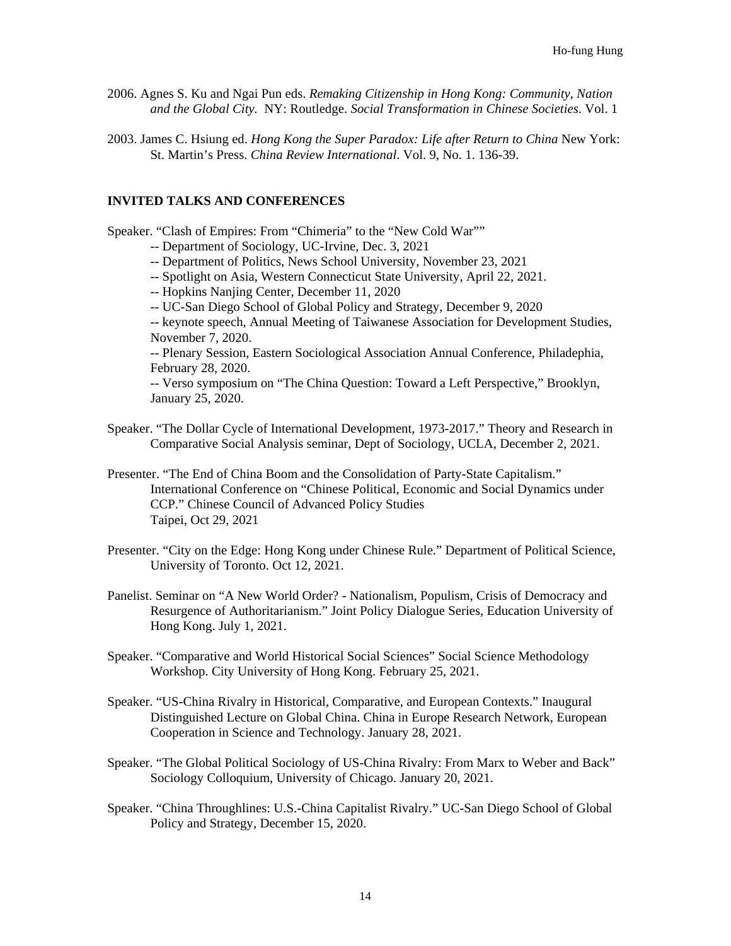- 2006. Agnes S. Ku and Ngai Pun eds. *Remaking Citizenship in Hong Kong: Community, Nation and the Global City.* NY: Routledge. *Social Transformation in Chinese Societies*. Vol. 1
- 2003. James C. Hsiung ed. *Hong Kong the Super Paradox: Life after Return to China* New York: St. Martin's Press. *China Review International*. Vol. 9, No. 1. 136-39.

#### **INVITED TALKS AND CONFERENCES**

Speaker. "Clash of Empires: From "Chimeria" to the "New Cold War""

-- Department of Sociology, UC-Irvine, Dec. 3, 2021

-- Department of Politics, News School University, November 23, 2021

- -- Spotlight on Asia, Western Connecticut State University, April 22, 2021.
- -- Hopkins Nanjing Center, December 11, 2020
- -- UC-San Diego School of Global Policy and Strategy, December 9, 2020
- -- keynote speech, Annual Meeting of Taiwanese Association for Development Studies, November 7, 2020.

-- Plenary Session, Eastern Sociological Association Annual Conference, Philadephia, February 28, 2020.

-- Verso symposium on "The China Question: Toward a Left Perspective," Brooklyn, January 25, 2020.

- Speaker. "The Dollar Cycle of International Development, 1973-2017." Theory and Research in Comparative Social Analysis seminar, Dept of Sociology, UCLA, December 2, 2021.
- Presenter. "The End of China Boom and the Consolidation of Party-State Capitalism." International Conference on "Chinese Political, Economic and Social Dynamics under CCP." Chinese Council of Advanced Policy Studies Taipei, Oct 29, 2021
- Presenter. "City on the Edge: Hong Kong under Chinese Rule." Department of Political Science, University of Toronto. Oct 12, 2021.
- Panelist. Seminar on "A New World Order? Nationalism, Populism, Crisis of Democracy and Resurgence of Authoritarianism." Joint Policy Dialogue Series, Education University of Hong Kong. July 1, 2021.
- Speaker. "Comparative and World Historical Social Sciences" Social Science Methodology Workshop. City University of Hong Kong. February 25, 2021.
- Speaker. "US-China Rivalry in Historical, Comparative, and European Contexts." Inaugural Distinguished Lecture on Global China. China in Europe Research Network, European Cooperation in Science and Technology. January 28, 2021.
- Speaker. "The Global Political Sociology of US-China Rivalry: From Marx to Weber and Back" Sociology Colloquium, University of Chicago. January 20, 2021.
- Speaker. "China Throughlines: U.S.-China Capitalist Rivalry." UC-San Diego School of Global Policy and Strategy, December 15, 2020.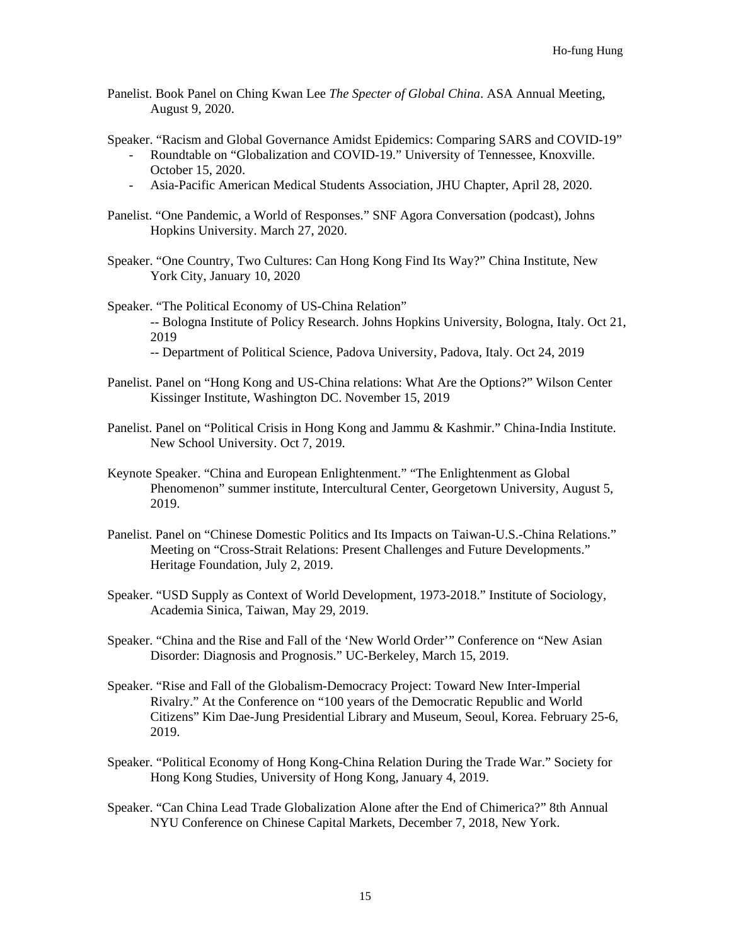- Panelist. Book Panel on Ching Kwan Lee *The Specter of Global China*. ASA Annual Meeting, August 9, 2020.
- Speaker. "Racism and Global Governance Amidst Epidemics: Comparing SARS and COVID-19" - Roundtable on "Globalization and COVID-19." University of Tennessee, Knoxville. October 15, 2020.
	- Asia-Pacific American Medical Students Association, JHU Chapter, April 28, 2020.
- Panelist. "One Pandemic, a World of Responses." SNF Agora Conversation (podcast), Johns Hopkins University. March 27, 2020.
- Speaker. "One Country, Two Cultures: Can Hong Kong Find Its Way?" China Institute, New York City, January 10, 2020
- Speaker. "The Political Economy of US-China Relation" -- Bologna Institute of Policy Research. Johns Hopkins University, Bologna, Italy. Oct 21, 2019
	- -- Department of Political Science, Padova University, Padova, Italy. Oct 24, 2019
- Panelist. Panel on "Hong Kong and US-China relations: What Are the Options?" Wilson Center Kissinger Institute, Washington DC. November 15, 2019
- Panelist. Panel on "Political Crisis in Hong Kong and Jammu & Kashmir." China-India Institute. New School University. Oct 7, 2019.
- Keynote Speaker. "China and European Enlightenment." "The Enlightenment as Global Phenomenon" summer institute, Intercultural Center, Georgetown University, August 5, 2019.
- Panelist. Panel on "Chinese Domestic Politics and Its Impacts on Taiwan-U.S.-China Relations." Meeting on "Cross-Strait Relations: Present Challenges and Future Developments." Heritage Foundation, July 2, 2019.
- Speaker. "USD Supply as Context of World Development, 1973-2018." Institute of Sociology, Academia Sinica, Taiwan, May 29, 2019.
- Speaker. "China and the Rise and Fall of the 'New World Order'" Conference on "New Asian Disorder: Diagnosis and Prognosis." UC-Berkeley, March 15, 2019.
- Speaker. "Rise and Fall of the Globalism-Democracy Project: Toward New Inter-Imperial Rivalry." At the Conference on "100 years of the Democratic Republic and World Citizens" Kim Dae-Jung Presidential Library and Museum, Seoul, Korea. February 25-6, 2019.
- Speaker. "Political Economy of Hong Kong-China Relation During the Trade War." Society for Hong Kong Studies, University of Hong Kong, January 4, 2019.
- Speaker. "Can China Lead Trade Globalization Alone after the End of Chimerica?" 8th Annual NYU Conference on Chinese Capital Markets, December 7, 2018, New York.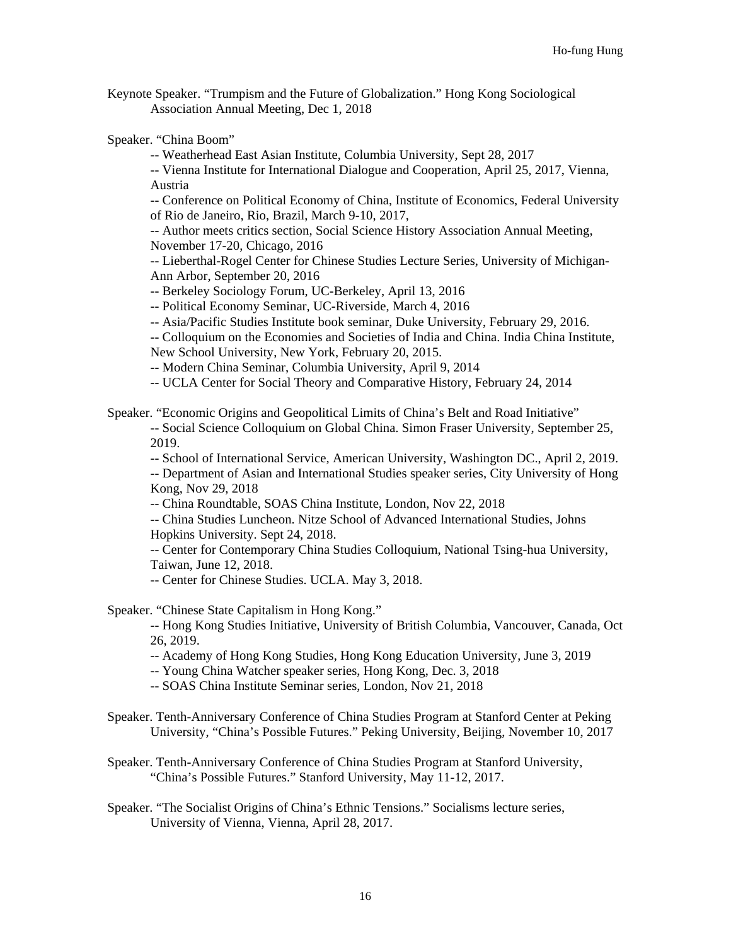Keynote Speaker. "Trumpism and the Future of Globalization." Hong Kong Sociological Association Annual Meeting, Dec 1, 2018

Speaker. "China Boom"

-- Weatherhead East Asian Institute, Columbia University, Sept 28, 2017

-- Vienna Institute for International Dialogue and Cooperation, April 25, 2017, Vienna, Austria

-- Conference on Political Economy of China, Institute of Economics, Federal University of Rio de Janeiro, Rio, Brazil, March 9-10, 2017,

-- Author meets critics section, Social Science History Association Annual Meeting, November 17-20, Chicago, 2016

-- Lieberthal-Rogel Center for Chinese Studies Lecture Series, University of Michigan-Ann Arbor, September 20, 2016

-- Berkeley Sociology Forum, UC-Berkeley, April 13, 2016

-- Political Economy Seminar, UC-Riverside, March 4, 2016

-- Asia/Pacific Studies Institute book seminar, Duke University, February 29, 2016.

-- Colloquium on the Economies and Societies of India and China. India China Institute,

New School University, New York, February 20, 2015.

-- Modern China Seminar, Columbia University, April 9, 2014

-- UCLA Center for Social Theory and Comparative History, February 24, 2014

Speaker. "Economic Origins and Geopolitical Limits of China's Belt and Road Initiative"

-- Social Science Colloquium on Global China. Simon Fraser University, September 25, 2019.

-- School of International Service, American University, Washington DC., April 2, 2019. -- Department of Asian and International Studies speaker series, City University of Hong Kong, Nov 29, 2018

-- China Roundtable, SOAS China Institute, London, Nov 22, 2018

-- China Studies Luncheon. Nitze School of Advanced International Studies, Johns Hopkins University. Sept 24, 2018.

-- Center for Contemporary China Studies Colloquium, National Tsing-hua University, Taiwan, June 12, 2018.

-- Center for Chinese Studies. UCLA. May 3, 2018.

Speaker. "Chinese State Capitalism in Hong Kong."

-- Hong Kong Studies Initiative, University of British Columbia, Vancouver, Canada, Oct 26, 2019.

-- Academy of Hong Kong Studies, Hong Kong Education University, June 3, 2019

-- Young China Watcher speaker series, Hong Kong, Dec. 3, 2018

-- SOAS China Institute Seminar series, London, Nov 21, 2018

Speaker. Tenth-Anniversary Conference of China Studies Program at Stanford Center at Peking University, "China's Possible Futures." Peking University, Beijing, November 10, 2017

Speaker. Tenth-Anniversary Conference of China Studies Program at Stanford University, "China's Possible Futures." Stanford University, May 11-12, 2017.

Speaker. "The Socialist Origins of China's Ethnic Tensions." Socialisms lecture series, University of Vienna, Vienna, April 28, 2017.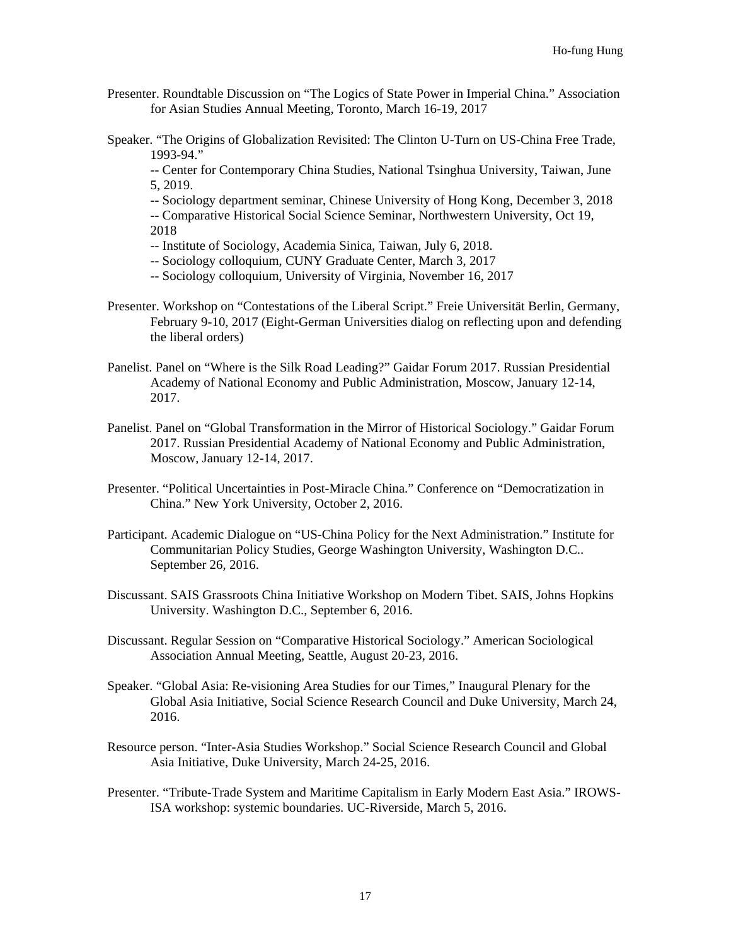- Presenter. Roundtable Discussion on "The Logics of State Power in Imperial China." Association for Asian Studies Annual Meeting, Toronto, March 16-19, 2017
- Speaker. "The Origins of Globalization Revisited: The Clinton U-Turn on US-China Free Trade, 1993-94."

-- Center for Contemporary China Studies, National Tsinghua University, Taiwan, June 5, 2019.

-- Sociology department seminar, Chinese University of Hong Kong, December 3, 2018 -- Comparative Historical Social Science Seminar, Northwestern University, Oct 19, 2018

- -- Institute of Sociology, Academia Sinica, Taiwan, July 6, 2018.
- -- Sociology colloquium, CUNY Graduate Center, March 3, 2017
- -- Sociology colloquium, University of Virginia, November 16, 2017
- Presenter. Workshop on "Contestations of the Liberal Script." Freie Universität Berlin, Germany, February 9-10, 2017 (Eight-German Universities dialog on reflecting upon and defending the liberal orders)
- Panelist. Panel on "Where is the Silk Road Leading?" Gaidar Forum 2017. Russian Presidential Academy of National Economy and Public Administration, Moscow, January 12-14, 2017.
- Panelist. Panel on "Global Transformation in the Mirror of Historical Sociology." Gaidar Forum 2017. Russian Presidential Academy of National Economy and Public Administration, Moscow, January 12-14, 2017.
- Presenter. "Political Uncertainties in Post-Miracle China." Conference on "Democratization in China." New York University, October 2, 2016.
- Participant. Academic Dialogue on "US-China Policy for the Next Administration." Institute for Communitarian Policy Studies, George Washington University, Washington D.C.. September 26, 2016.
- Discussant. SAIS Grassroots China Initiative Workshop on Modern Tibet. SAIS, Johns Hopkins University. Washington D.C., September 6, 2016.
- Discussant. Regular Session on "Comparative Historical Sociology." American Sociological Association Annual Meeting, Seattle, August 20-23, 2016.
- Speaker. "Global Asia: Re-visioning Area Studies for our Times," Inaugural Plenary for the Global Asia Initiative, Social Science Research Council and Duke University, March 24, 2016.
- Resource person. "Inter-Asia Studies Workshop." Social Science Research Council and Global Asia Initiative, Duke University, March 24-25, 2016.
- Presenter. "Tribute-Trade System and Maritime Capitalism in Early Modern East Asia." IROWS-ISA workshop: systemic boundaries. UC-Riverside, March 5, 2016.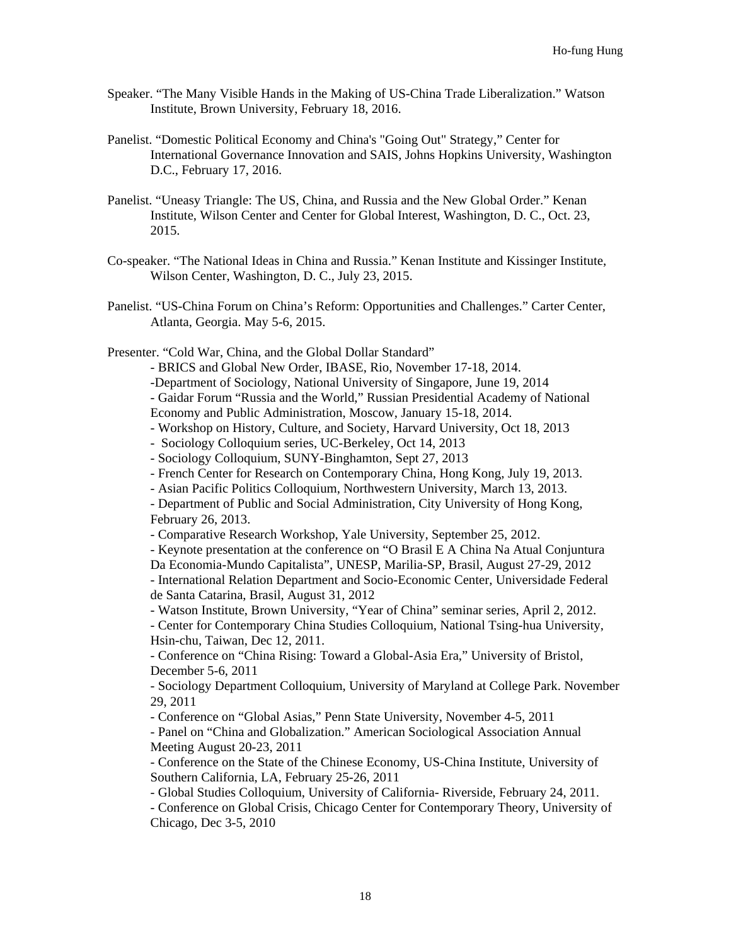- Speaker. "The Many Visible Hands in the Making of US-China Trade Liberalization." Watson Institute, Brown University, February 18, 2016.
- Panelist. "Domestic Political Economy and China's "Going Out" Strategy," Center for International Governance Innovation and SAIS, Johns Hopkins University, Washington D.C., February 17, 2016.
- Panelist. "Uneasy Triangle: The US, China, and Russia and the New Global Order." Kenan Institute, Wilson Center and Center for Global Interest, Washington, D. C., Oct. 23, 2015.
- Co-speaker. "The National Ideas in China and Russia." Kenan Institute and Kissinger Institute, Wilson Center, Washington, D. C., July 23, 2015.
- Panelist. "US-China Forum on China's Reform: Opportunities and Challenges." Carter Center, Atlanta, Georgia. May 5-6, 2015.
- Presenter. "Cold War, China, and the Global Dollar Standard"
	- BRICS and Global New Order, IBASE, Rio, November 17-18, 2014.
	- -Department of Sociology, National University of Singapore, June 19, 2014
	- Gaidar Forum "Russia and the World," Russian Presidential Academy of National
	- Economy and Public Administration, Moscow, January 15-18, 2014.
	- Workshop on History, Culture, and Society, Harvard University, Oct 18, 2013
	- Sociology Colloquium series, UC-Berkeley, Oct 14, 2013
	- Sociology Colloquium, SUNY-Binghamton, Sept 27, 2013
	- French Center for Research on Contemporary China, Hong Kong, July 19, 2013.
	- Asian Pacific Politics Colloquium, Northwestern University, March 13, 2013.

- Department of Public and Social Administration, City University of Hong Kong, February 26, 2013.

- Comparative Research Workshop, Yale University, September 25, 2012.
- Keynote presentation at the conference on "O Brasil E A China Na Atual Conjuntura Da Economia-Mundo Capitalista", UNESP, Marilia-SP, Brasil, August 27-29, 2012

- International Relation Department and Socio-Economic Center, Universidade Federal de Santa Catarina, Brasil, August 31, 2012

- Watson Institute, Brown University, "Year of China" seminar series, April 2, 2012.

- Center for Contemporary China Studies Colloquium, National Tsing-hua University, Hsin-chu, Taiwan, Dec 12, 2011.

- Conference on "China Rising: Toward a Global-Asia Era," University of Bristol, December 5-6, 2011

- Sociology Department Colloquium, University of Maryland at College Park. November 29, 2011

- Conference on "Global Asias," Penn State University, November 4-5, 2011

- Panel on "China and Globalization." American Sociological Association Annual Meeting August 20-23, 2011

- Conference on the State of the Chinese Economy, US-China Institute, University of Southern California, LA, February 25-26, 2011

- Global Studies Colloquium, University of California- Riverside, February 24, 2011.

- Conference on Global Crisis, Chicago Center for Contemporary Theory, University of Chicago, Dec 3-5, 2010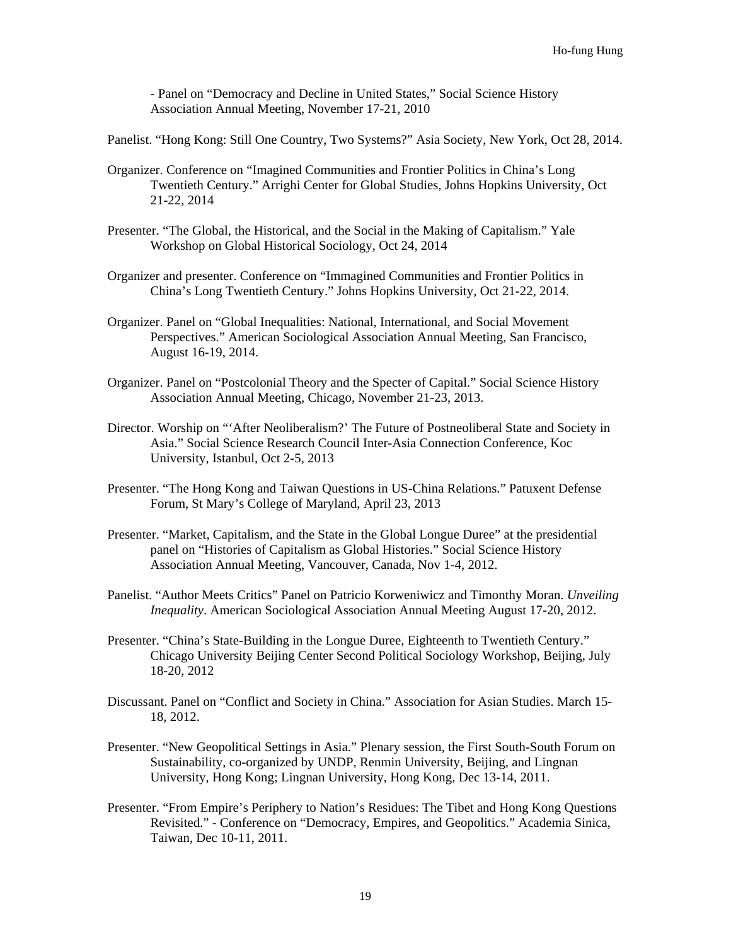- Panel on "Democracy and Decline in United States," Social Science History Association Annual Meeting, November 17-21, 2010

Panelist. "Hong Kong: Still One Country, Two Systems?" Asia Society, New York, Oct 28, 2014.

- Organizer. Conference on "Imagined Communities and Frontier Politics in China's Long Twentieth Century." Arrighi Center for Global Studies, Johns Hopkins University, Oct 21-22, 2014
- Presenter. "The Global, the Historical, and the Social in the Making of Capitalism." Yale Workshop on Global Historical Sociology, Oct 24, 2014
- Organizer and presenter. Conference on "Immagined Communities and Frontier Politics in China's Long Twentieth Century." Johns Hopkins University, Oct 21-22, 2014.
- Organizer. Panel on "Global Inequalities: National, International, and Social Movement Perspectives." American Sociological Association Annual Meeting, San Francisco, August 16-19, 2014.
- Organizer. Panel on "Postcolonial Theory and the Specter of Capital." Social Science History Association Annual Meeting, Chicago, November 21-23, 2013.
- Director. Worship on "'After Neoliberalism?' The Future of Postneoliberal State and Society in Asia." Social Science Research Council Inter-Asia Connection Conference, Koc University, Istanbul, Oct 2-5, 2013
- Presenter. "The Hong Kong and Taiwan Questions in US-China Relations." Patuxent Defense Forum, St Mary's College of Maryland, April 23, 2013
- Presenter. "Market, Capitalism, and the State in the Global Longue Duree" at the presidential panel on "Histories of Capitalism as Global Histories." Social Science History Association Annual Meeting, Vancouver, Canada, Nov 1-4, 2012.
- Panelist. "Author Meets Critics" Panel on Patricio Korweniwicz and Timonthy Moran. *Unveiling Inequality*. American Sociological Association Annual Meeting August 17-20, 2012.
- Presenter. "China's State-Building in the Longue Duree, Eighteenth to Twentieth Century." Chicago University Beijing Center Second Political Sociology Workshop, Beijing, July 18-20, 2012
- Discussant. Panel on "Conflict and Society in China." Association for Asian Studies. March 15- 18, 2012.
- Presenter. "New Geopolitical Settings in Asia." Plenary session, the First South-South Forum on Sustainability, co-organized by UNDP, Renmin University, Beijing, and Lingnan University, Hong Kong; Lingnan University, Hong Kong, Dec 13-14, 2011.
- Presenter. "From Empire's Periphery to Nation's Residues: The Tibet and Hong Kong Questions Revisited." - Conference on "Democracy, Empires, and Geopolitics." Academia Sinica, Taiwan, Dec 10-11, 2011.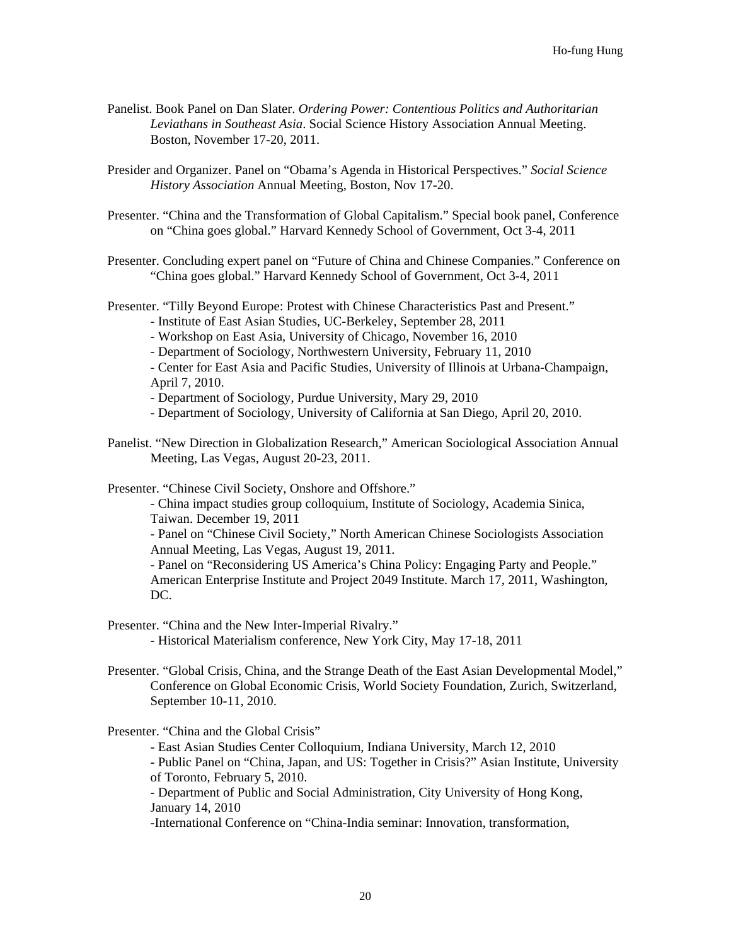- Panelist. Book Panel on Dan Slater. *Ordering Power: Contentious Politics and Authoritarian Leviathans in Southeast Asia*. Social Science History Association Annual Meeting. Boston, November 17-20, 2011.
- Presider and Organizer. Panel on "Obama's Agenda in Historical Perspectives." *Social Science History Association* Annual Meeting, Boston, Nov 17-20.
- Presenter. "China and the Transformation of Global Capitalism." Special book panel, Conference on "China goes global." Harvard Kennedy School of Government, Oct 3-4, 2011
- Presenter. Concluding expert panel on "Future of China and Chinese Companies." Conference on "China goes global." Harvard Kennedy School of Government, Oct 3-4, 2011
- Presenter. "Tilly Beyond Europe: Protest with Chinese Characteristics Past and Present."
	- Institute of East Asian Studies, UC-Berkeley, September 28, 2011
	- Workshop on East Asia, University of Chicago, November 16, 2010
	- Department of Sociology, Northwestern University, February 11, 2010
	- Center for East Asia and Pacific Studies, University of Illinois at Urbana-Champaign, April 7, 2010.
	- Department of Sociology, Purdue University, Mary 29, 2010
	- Department of Sociology, University of California at San Diego, April 20, 2010.
- Panelist. "New Direction in Globalization Research," American Sociological Association Annual Meeting, Las Vegas, August 20-23, 2011.
- Presenter. "Chinese Civil Society, Onshore and Offshore."
	- China impact studies group colloquium, Institute of Sociology, Academia Sinica, Taiwan. December 19, 2011
	- Panel on "Chinese Civil Society," North American Chinese Sociologists Association Annual Meeting, Las Vegas, August 19, 2011.
	- Panel on "Reconsidering US America's China Policy: Engaging Party and People." American Enterprise Institute and Project 2049 Institute. March 17, 2011, Washington, DC.
- Presenter. "China and the New Inter-Imperial Rivalry."
	- Historical Materialism conference, New York City, May 17-18, 2011
- Presenter. "Global Crisis, China, and the Strange Death of the East Asian Developmental Model," Conference on Global Economic Crisis, World Society Foundation, Zurich, Switzerland, September 10-11, 2010.

Presenter. "China and the Global Crisis"

- East Asian Studies Center Colloquium, Indiana University, March 12, 2010
- Public Panel on "China, Japan, and US: Together in Crisis?" Asian Institute, University of Toronto, February 5, 2010.
- Department of Public and Social Administration, City University of Hong Kong, January 14, 2010
- -International Conference on "China-India seminar: Innovation, transformation,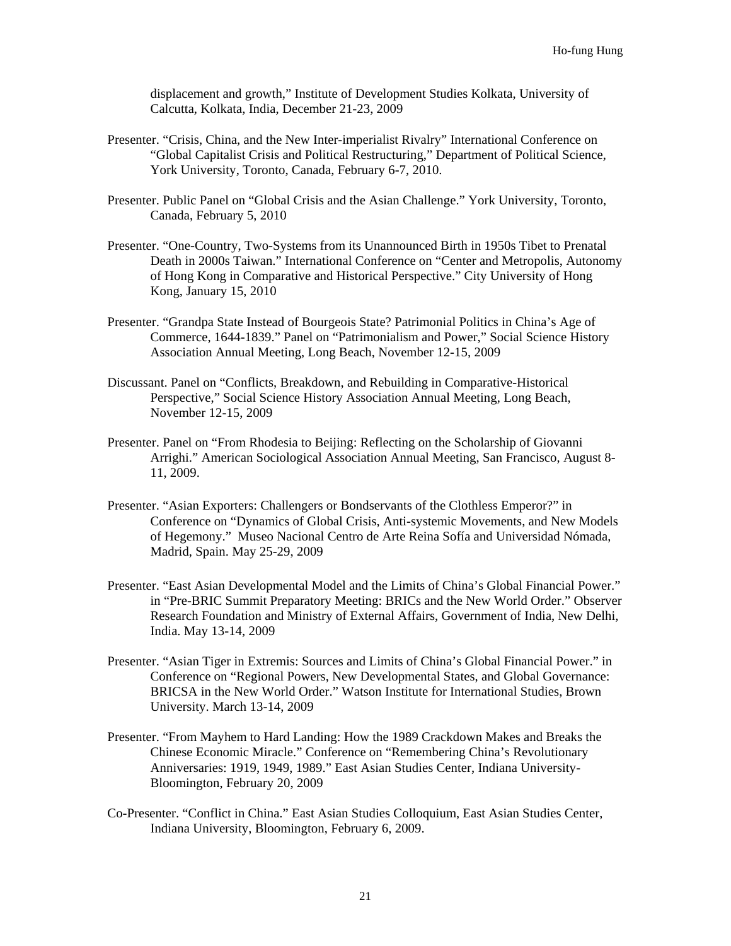displacement and growth," Institute of Development Studies Kolkata, University of Calcutta, Kolkata, India, December 21-23, 2009

- Presenter. "Crisis, China, and the New Inter-imperialist Rivalry" International Conference on "Global Capitalist Crisis and Political Restructuring," Department of Political Science, York University, Toronto, Canada, February 6-7, 2010.
- Presenter. Public Panel on "Global Crisis and the Asian Challenge." York University, Toronto, Canada, February 5, 2010
- Presenter. "One-Country, Two-Systems from its Unannounced Birth in 1950s Tibet to Prenatal Death in 2000s Taiwan." International Conference on "Center and Metropolis, Autonomy of Hong Kong in Comparative and Historical Perspective." City University of Hong Kong, January 15, 2010
- Presenter. "Grandpa State Instead of Bourgeois State? Patrimonial Politics in China's Age of Commerce, 1644-1839." Panel on "Patrimonialism and Power," Social Science History Association Annual Meeting, Long Beach, November 12-15, 2009
- Discussant. Panel on "Conflicts, Breakdown, and Rebuilding in Comparative-Historical Perspective," Social Science History Association Annual Meeting, Long Beach, November 12-15, 2009
- Presenter. Panel on "From Rhodesia to Beijing: Reflecting on the Scholarship of Giovanni Arrighi." American Sociological Association Annual Meeting, San Francisco, August 8- 11, 2009.
- Presenter. "Asian Exporters: Challengers or Bondservants of the Clothless Emperor?" in Conference on "Dynamics of Global Crisis, Anti-systemic Movements, and New Models of Hegemony." Museo Nacional Centro de Arte Reina Sofía and Universidad Nómada, Madrid, Spain. May 25-29, 2009
- Presenter. "East Asian Developmental Model and the Limits of China's Global Financial Power." in "Pre-BRIC Summit Preparatory Meeting: BRICs and the New World Order." Observer Research Foundation and Ministry of External Affairs, Government of India, New Delhi, India. May 13-14, 2009
- Presenter. "Asian Tiger in Extremis: Sources and Limits of China's Global Financial Power." in Conference on "Regional Powers, New Developmental States, and Global Governance: BRICSA in the New World Order." Watson Institute for International Studies, Brown University. March 13-14, 2009
- Presenter. "From Mayhem to Hard Landing: How the 1989 Crackdown Makes and Breaks the Chinese Economic Miracle." Conference on "Remembering China's Revolutionary Anniversaries: 1919, 1949, 1989." East Asian Studies Center, Indiana University-Bloomington, February 20, 2009
- Co-Presenter. "Conflict in China." East Asian Studies Colloquium, East Asian Studies Center, Indiana University, Bloomington, February 6, 2009.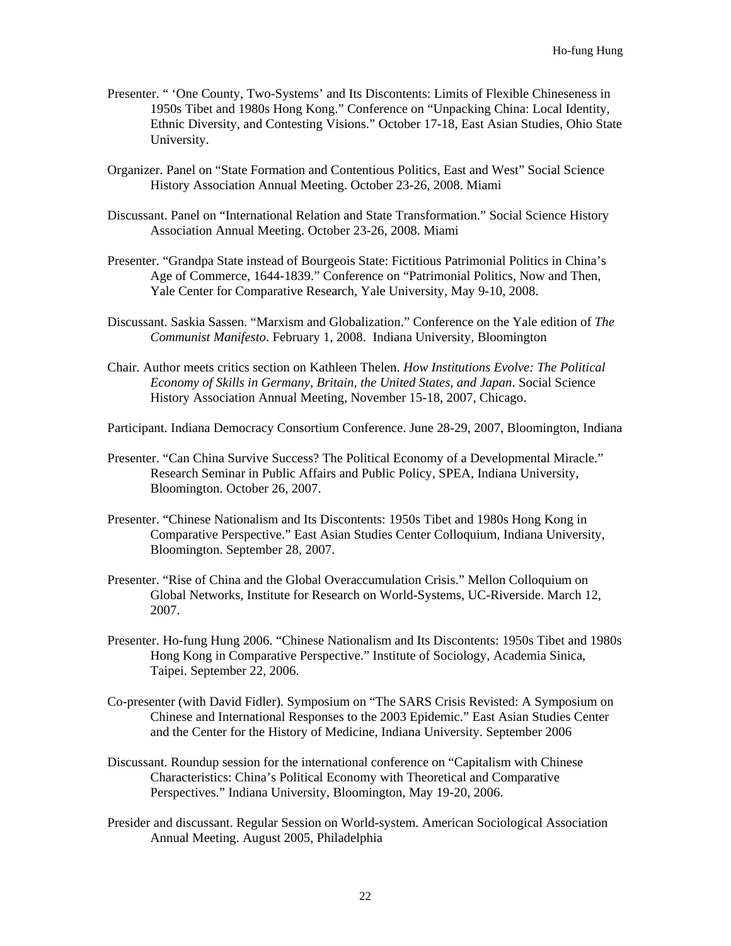- Presenter. " 'One County, Two-Systems' and Its Discontents: Limits of Flexible Chineseness in 1950s Tibet and 1980s Hong Kong." Conference on "Unpacking China: Local Identity, Ethnic Diversity, and Contesting Visions." October 17-18, East Asian Studies, Ohio State University.
- Organizer. Panel on "State Formation and Contentious Politics, East and West" Social Science History Association Annual Meeting. October 23-26, 2008. Miami
- Discussant. Panel on "International Relation and State Transformation." Social Science History Association Annual Meeting. October 23-26, 2008. Miami
- Presenter. "Grandpa State instead of Bourgeois State: Fictitious Patrimonial Politics in China's Age of Commerce, 1644-1839." Conference on "Patrimonial Politics, Now and Then, Yale Center for Comparative Research, Yale University, May 9-10, 2008.
- Discussant. Saskia Sassen. "Marxism and Globalization." Conference on the Yale edition of *The Communist Manifesto*. February 1, 2008. Indiana University, Bloomington
- Chair. Author meets critics section on Kathleen Thelen. *How Institutions Evolve: The Political Economy of Skills in Germany, Britain, the United States, and Japan*. Social Science History Association Annual Meeting, November 15-18, 2007, Chicago.

Participant. Indiana Democracy Consortium Conference. June 28-29, 2007, Bloomington, Indiana

- Presenter. "Can China Survive Success? The Political Economy of a Developmental Miracle." Research Seminar in Public Affairs and Public Policy, SPEA, Indiana University, Bloomington. October 26, 2007.
- Presenter. "Chinese Nationalism and Its Discontents: 1950s Tibet and 1980s Hong Kong in Comparative Perspective." East Asian Studies Center Colloquium, Indiana University, Bloomington. September 28, 2007.
- Presenter. "Rise of China and the Global Overaccumulation Crisis." Mellon Colloquium on Global Networks, Institute for Research on World-Systems, UC-Riverside. March 12, 2007.
- Presenter. Ho-fung Hung 2006. "Chinese Nationalism and Its Discontents: 1950s Tibet and 1980s Hong Kong in Comparative Perspective." Institute of Sociology, Academia Sinica, Taipei. September 22, 2006.
- Co-presenter (with David Fidler). Symposium on "The SARS Crisis Revisted: A Symposium on Chinese and International Responses to the 2003 Epidemic." East Asian Studies Center and the Center for the History of Medicine, Indiana University. September 2006
- Discussant. Roundup session for the international conference on "Capitalism with Chinese Characteristics: China's Political Economy with Theoretical and Comparative Perspectives." Indiana University, Bloomington, May 19-20, 2006.
- Presider and discussant. Regular Session on World-system. American Sociological Association Annual Meeting. August 2005, Philadelphia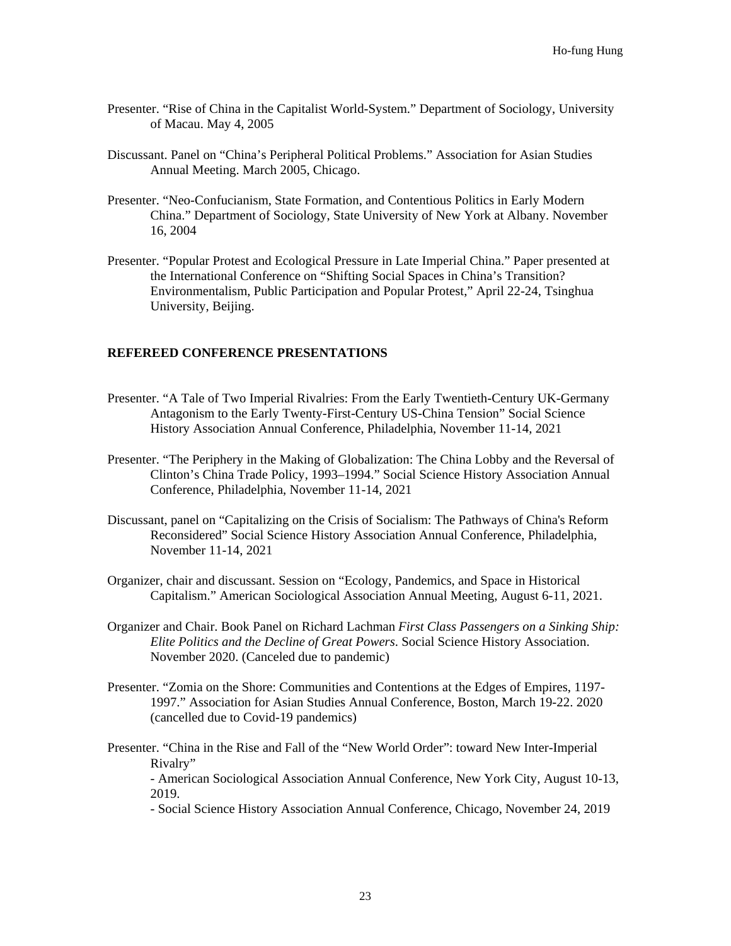- Presenter. "Rise of China in the Capitalist World-System." Department of Sociology, University of Macau. May 4, 2005
- Discussant. Panel on "China's Peripheral Political Problems." Association for Asian Studies Annual Meeting. March 2005, Chicago.
- Presenter. "Neo-Confucianism, State Formation, and Contentious Politics in Early Modern China." Department of Sociology, State University of New York at Albany. November 16, 2004
- Presenter. "Popular Protest and Ecological Pressure in Late Imperial China." Paper presented at the International Conference on "Shifting Social Spaces in China's Transition? Environmentalism, Public Participation and Popular Protest," April 22-24, Tsinghua University, Beijing.

#### **REFEREED CONFERENCE PRESENTATIONS**

- Presenter. "A Tale of Two Imperial Rivalries: From the Early Twentieth-Century UK-Germany Antagonism to the Early Twenty-First-Century US-China Tension" Social Science History Association Annual Conference, Philadelphia, November 11-14, 2021
- Presenter. "The Periphery in the Making of Globalization: The China Lobby and the Reversal of Clinton's China Trade Policy, 1993–1994." Social Science History Association Annual Conference, Philadelphia, November 11-14, 2021
- Discussant, panel on "Capitalizing on the Crisis of Socialism: The Pathways of China's Reform Reconsidered" Social Science History Association Annual Conference, Philadelphia, November 11-14, 2021
- Organizer, chair and discussant. Session on "Ecology, Pandemics, and Space in Historical Capitalism." American Sociological Association Annual Meeting, August 6-11, 2021.
- Organizer and Chair. Book Panel on Richard Lachman *First Class Passengers on a Sinking Ship: Elite Politics and the Decline of Great Powers*. Social Science History Association. November 2020. (Canceled due to pandemic)
- Presenter. "Zomia on the Shore: Communities and Contentions at the Edges of Empires, 1197- 1997." Association for Asian Studies Annual Conference, Boston, March 19-22. 2020 (cancelled due to Covid-19 pandemics)
- Presenter. "China in the Rise and Fall of the "New World Order": toward New Inter-Imperial Rivalry" - American Sociological Association Annual Conference, New York City, August 10-13, 2019.

- Social Science History Association Annual Conference, Chicago, November 24, 2019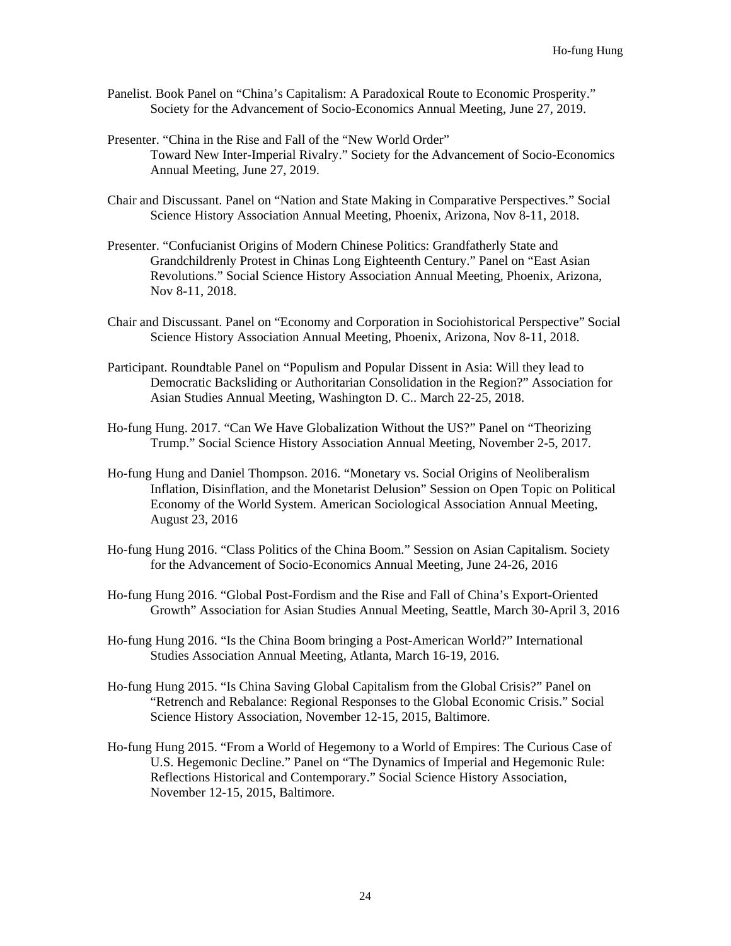- Panelist. Book Panel on "China's Capitalism: A Paradoxical Route to Economic Prosperity." Society for the Advancement of Socio-Economics Annual Meeting, June 27, 2019.
- Presenter. "China in the Rise and Fall of the "New World Order" Toward New Inter-Imperial Rivalry." Society for the Advancement of Socio-Economics Annual Meeting, June 27, 2019.
- Chair and Discussant. Panel on "Nation and State Making in Comparative Perspectives." Social Science History Association Annual Meeting, Phoenix, Arizona, Nov 8-11, 2018.
- Presenter. "Confucianist Origins of Modern Chinese Politics: Grandfatherly State and Grandchildrenly Protest in Chinas Long Eighteenth Century." Panel on "East Asian Revolutions." Social Science History Association Annual Meeting, Phoenix, Arizona, Nov 8-11, 2018.
- Chair and Discussant. Panel on "Economy and Corporation in Sociohistorical Perspective" Social Science History Association Annual Meeting, Phoenix, Arizona, Nov 8-11, 2018.
- Participant. Roundtable Panel on "Populism and Popular Dissent in Asia: Will they lead to Democratic Backsliding or Authoritarian Consolidation in the Region?" Association for Asian Studies Annual Meeting, Washington D. C.. March 22-25, 2018.
- Ho-fung Hung. 2017. "Can We Have Globalization Without the US?" Panel on "Theorizing Trump." Social Science History Association Annual Meeting, November 2-5, 2017.
- Ho-fung Hung and Daniel Thompson. 2016. "Monetary vs. Social Origins of Neoliberalism Inflation, Disinflation, and the Monetarist Delusion" Session on Open Topic on Political Economy of the World System. American Sociological Association Annual Meeting, August 23, 2016
- Ho-fung Hung 2016. "Class Politics of the China Boom." Session on Asian Capitalism. Society for the Advancement of Socio-Economics Annual Meeting, June 24-26, 2016
- Ho-fung Hung 2016. "Global Post-Fordism and the Rise and Fall of China's Export-Oriented Growth" Association for Asian Studies Annual Meeting, Seattle, March 30-April 3, 2016
- Ho-fung Hung 2016. "Is the China Boom bringing a Post-American World?" International Studies Association Annual Meeting, Atlanta, March 16-19, 2016.
- Ho-fung Hung 2015. "Is China Saving Global Capitalism from the Global Crisis?" Panel on "Retrench and Rebalance: Regional Responses to the Global Economic Crisis." Social Science History Association, November 12-15, 2015, Baltimore.
- Ho-fung Hung 2015. "From a World of Hegemony to a World of Empires: The Curious Case of U.S. Hegemonic Decline." Panel on "The Dynamics of Imperial and Hegemonic Rule: Reflections Historical and Contemporary." Social Science History Association, November 12-15, 2015, Baltimore.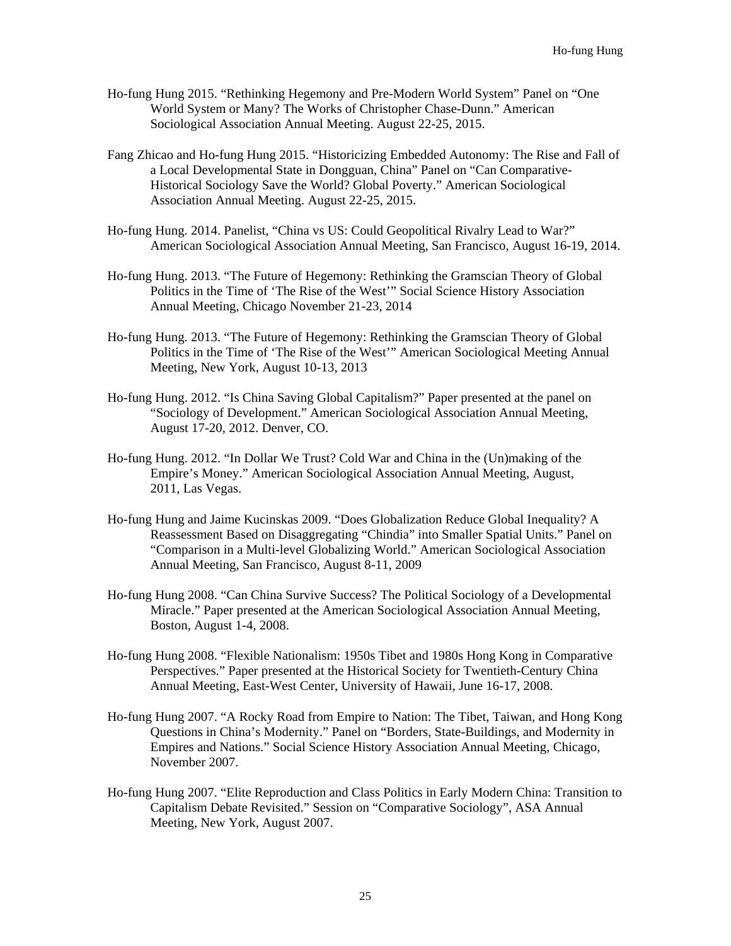- Ho-fung Hung 2015. "Rethinking Hegemony and Pre-Modern World System" Panel on "One World System or Many? The Works of Christopher Chase-Dunn." American Sociological Association Annual Meeting. August 22-25, 2015.
- Fang Zhicao and Ho-fung Hung 2015. "Historicizing Embedded Autonomy: The Rise and Fall of a Local Developmental State in Dongguan, China" Panel on "Can Comparative-Historical Sociology Save the World? Global Poverty." American Sociological Association Annual Meeting. August 22-25, 2015.
- Ho-fung Hung. 2014. Panelist, "China vs US: Could Geopolitical Rivalry Lead to War?" American Sociological Association Annual Meeting, San Francisco, August 16-19, 2014.
- Ho-fung Hung. 2013. "The Future of Hegemony: Rethinking the Gramscian Theory of Global Politics in the Time of 'The Rise of the West'" Social Science History Association Annual Meeting, Chicago November 21-23, 2014
- Ho-fung Hung. 2013. "The Future of Hegemony: Rethinking the Gramscian Theory of Global Politics in the Time of 'The Rise of the West'" American Sociological Meeting Annual Meeting, New York, August 10-13, 2013
- Ho-fung Hung. 2012. "Is China Saving Global Capitalism?" Paper presented at the panel on "Sociology of Development." American Sociological Association Annual Meeting, August 17-20, 2012. Denver, CO.
- Ho-fung Hung. 2012. "In Dollar We Trust? Cold War and China in the (Un)making of the Empire's Money." American Sociological Association Annual Meeting, August, 2011, Las Vegas.
- Ho-fung Hung and Jaime Kucinskas 2009. ["Does Globalization Reduce Global Inequality? A](http://convention3.allacademic.com/one/asa/asa09/index.php?click_key=1&cmd=Multi+Search+Search+Load+Publication&publication_id=306265&PHPSESSID=e9b84044f4cd93182f5d1c9035760de9)  [Reassessment Based on Disaggregating "Chindia" into Smaller Spatial Units.](http://convention3.allacademic.com/one/asa/asa09/index.php?click_key=1&cmd=Multi+Search+Search+Load+Publication&publication_id=306265&PHPSESSID=e9b84044f4cd93182f5d1c9035760de9)" Panel on "Comparison in a Multi-level Globalizing World." American Sociological Association Annual Meeting, San Francisco, August 8-11, 2009
- Ho-fung Hung 2008. "Can China Survive Success? The Political Sociology of a Developmental Miracle." Paper presented at the American Sociological Association Annual Meeting, Boston, August 1-4, 2008.
- Ho-fung Hung 2008. "Flexible Nationalism: 1950s Tibet and 1980s Hong Kong in Comparative Perspectives." Paper presented at the Historical Society for Twentieth-Century China Annual Meeting, East-West Center, University of Hawaii, June 16-17, 2008.
- Ho-fung Hung 2007. "A Rocky Road from Empire to Nation: The Tibet, Taiwan, and Hong Kong Questions in China's Modernity." Panel on "Borders, State-Buildings, and Modernity in Empires and Nations." Social Science History Association Annual Meeting, Chicago, November 2007.
- Ho-fung Hung 2007. "Elite Reproduction and Class Politics in Early Modern China: Transition to Capitalism Debate Revisited." Session on "Comparative Sociology", ASA Annual Meeting, New York, August 2007.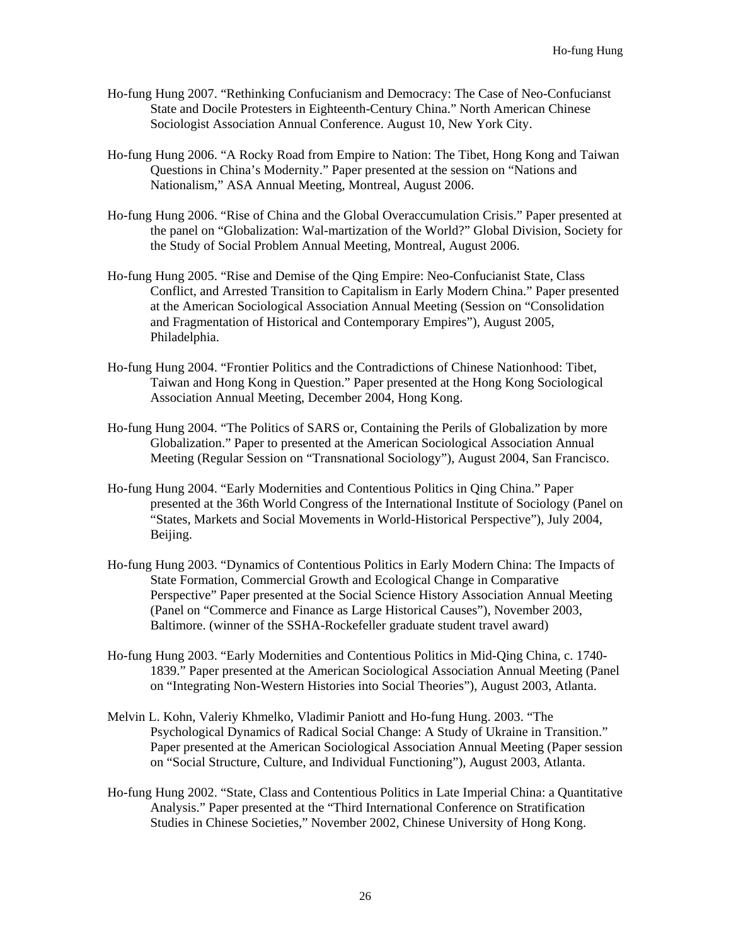- Ho-fung Hung 2007. "Rethinking Confucianism and Democracy: The Case of Neo-Confucianst State and Docile Protesters in Eighteenth-Century China." North American Chinese Sociologist Association Annual Conference. August 10, New York City.
- Ho-fung Hung 2006. "A Rocky Road from Empire to Nation: The Tibet, Hong Kong and Taiwan Questions in China's Modernity." Paper presented at the session on "Nations and Nationalism," ASA Annual Meeting, Montreal, August 2006.
- Ho-fung Hung 2006. "Rise of China and the Global Overaccumulation Crisis." Paper presented at the panel on "Globalization: Wal-martization of the World?" Global Division, Society for the Study of Social Problem Annual Meeting, Montreal, August 2006.
- Ho-fung Hung 2005. "Rise and Demise of the Qing Empire: Neo-Confucianist State, Class Conflict, and Arrested Transition to Capitalism in Early Modern China." Paper presented at the American Sociological Association Annual Meeting (Session on "Consolidation and Fragmentation of Historical and Contemporary Empires"), August 2005, Philadelphia.
- Ho-fung Hung 2004. "Frontier Politics and the Contradictions of Chinese Nationhood: Tibet, Taiwan and Hong Kong in Question." Paper presented at the Hong Kong Sociological Association Annual Meeting, December 2004, Hong Kong.
- Ho-fung Hung 2004. "The Politics of SARS or, Containing the Perils of Globalization by more Globalization." Paper to presented at the American Sociological Association Annual Meeting (Regular Session on "Transnational Sociology"), August 2004, San Francisco.
- Ho-fung Hung 2004. "Early Modernities and Contentious Politics in Qing China." Paper presented at the 36th World Congress of the International Institute of Sociology (Panel on "States, Markets and Social Movements in World-Historical Perspective"), July 2004, Beijing.
- Ho-fung Hung 2003. "Dynamics of Contentious Politics in Early Modern China: The Impacts of State Formation, Commercial Growth and Ecological Change in Comparative Perspective" Paper presented at the Social Science History Association Annual Meeting (Panel on "Commerce and Finance as Large Historical Causes"), November 2003, Baltimore. (winner of the SSHA-Rockefeller graduate student travel award)
- Ho-fung Hung 2003. "Early Modernities and Contentious Politics in Mid-Qing China, c. 1740- 1839." Paper presented at the American Sociological Association Annual Meeting (Panel on "Integrating Non-Western Histories into Social Theories"), August 2003, Atlanta.
- Melvin L. Kohn, Valeriy Khmelko, Vladimir Paniott and Ho-fung Hung. 2003. "The Psychological Dynamics of Radical Social Change: A Study of Ukraine in Transition." Paper presented at the American Sociological Association Annual Meeting (Paper session on "Social Structure, Culture, and Individual Functioning"), August 2003, Atlanta.
- Ho-fung Hung 2002. "State, Class and Contentious Politics in Late Imperial China: a Quantitative Analysis." Paper presented at the "Third International Conference on Stratification Studies in Chinese Societies," November 2002, Chinese University of Hong Kong.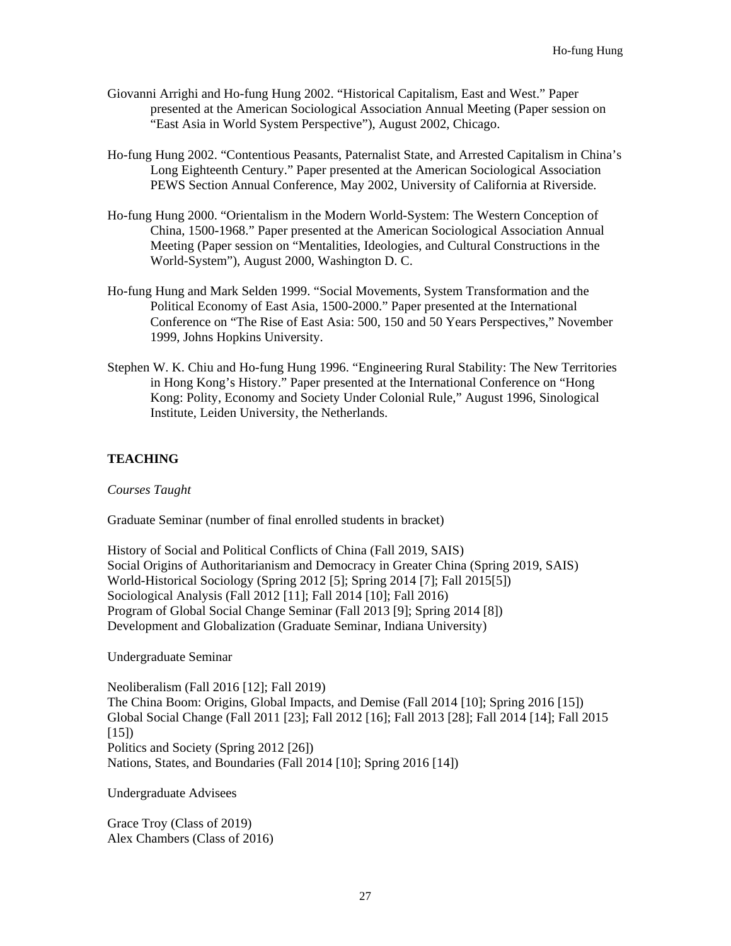- Giovanni Arrighi and Ho-fung Hung 2002. "Historical Capitalism, East and West." Paper presented at the American Sociological Association Annual Meeting (Paper session on "East Asia in World System Perspective"), August 2002, Chicago.
- Ho-fung Hung 2002. "Contentious Peasants, Paternalist State, and Arrested Capitalism in China's Long Eighteenth Century." Paper presented at the American Sociological Association PEWS Section Annual Conference, May 2002, University of California at Riverside.
- Ho-fung Hung 2000. "Orientalism in the Modern World-System: The Western Conception of China, 1500-1968." Paper presented at the American Sociological Association Annual Meeting (Paper session on "Mentalities, Ideologies, and Cultural Constructions in the World-System"), August 2000, Washington D. C.
- Ho-fung Hung and Mark Selden 1999. "Social Movements, System Transformation and the Political Economy of East Asia, 1500-2000." Paper presented at the International Conference on "The Rise of East Asia: 500, 150 and 50 Years Perspectives," November 1999, Johns Hopkins University.
- Stephen W. K. Chiu and Ho-fung Hung 1996. "Engineering Rural Stability: The New Territories in Hong Kong's History." Paper presented at the International Conference on "Hong Kong: Polity, Economy and Society Under Colonial Rule," August 1996, Sinological Institute, Leiden University, the Netherlands.

## **TEACHING**

*Courses Taught*

Graduate Seminar (number of final enrolled students in bracket)

History of Social and Political Conflicts of China (Fall 2019, SAIS) Social Origins of Authoritarianism and Democracy in Greater China (Spring 2019, SAIS) World-Historical Sociology (Spring 2012 [5]; Spring 2014 [7]; Fall 2015[5]) Sociological Analysis (Fall 2012 [11]; Fall 2014 [10]; Fall 2016) Program of Global Social Change Seminar (Fall 2013 [9]; Spring 2014 [8]) Development and Globalization (Graduate Seminar, Indiana University)

Undergraduate Seminar

Neoliberalism (Fall 2016 [12]; Fall 2019) The China Boom: Origins, Global Impacts, and Demise (Fall 2014 [10]; Spring 2016 [15]) Global Social Change (Fall 2011 [23]; Fall 2012 [16]; Fall 2013 [28]; Fall 2014 [14]; Fall 2015 [15]) Politics and Society (Spring 2012 [26]) Nations, States, and Boundaries (Fall 2014 [10]; Spring 2016 [14])

Undergraduate Advisees

Grace Troy (Class of 2019) Alex Chambers (Class of 2016)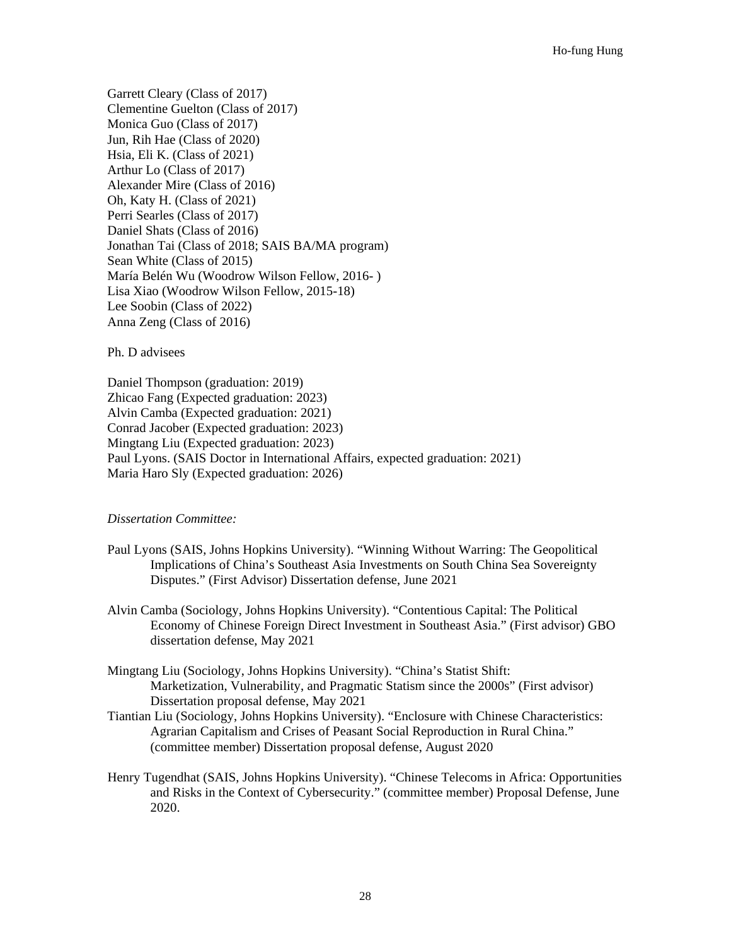Garrett Cleary (Class of 2017) Clementine Guelton (Class of 2017) Monica Guo (Class of 2017) Jun, Rih Hae (Class of 2020) Hsia, Eli K. (Class of 2021) Arthur Lo (Class of 2017) Alexander Mire (Class of 2016) Oh, Katy H. (Class of 2021) Perri Searles (Class of 2017) Daniel Shats (Class of 2016) Jonathan Tai (Class of 2018; SAIS BA/MA program) Sean White (Class of 2015) María Belén Wu (Woodrow Wilson Fellow, 2016- ) Lisa Xiao (Woodrow Wilson Fellow, 2015-18) Lee Soobin (Class of 2022) Anna Zeng (Class of 2016)

Ph. D advisees

Daniel Thompson (graduation: 2019) Zhicao Fang (Expected graduation: 2023) Alvin Camba (Expected graduation: 2021) Conrad Jacober (Expected graduation: 2023) Mingtang Liu (Expected graduation: 2023) Paul Lyons. (SAIS Doctor in International Affairs, expected graduation: 2021) Maria Haro Sly (Expected graduation: 2026)

## *Dissertation Committee:*

- Paul Lyons (SAIS, Johns Hopkins University). "Winning Without Warring: The Geopolitical Implications of China's Southeast Asia Investments on South China Sea Sovereignty Disputes." (First Advisor) Dissertation defense, June 2021
- Alvin Camba (Sociology, Johns Hopkins University). "Contentious Capital: The Political Economy of Chinese Foreign Direct Investment in Southeast Asia." (First advisor) GBO dissertation defense, May 2021
- Mingtang Liu (Sociology, Johns Hopkins University). "China's Statist Shift: Marketization, Vulnerability, and Pragmatic Statism since the 2000s" (First advisor) Dissertation proposal defense, May 2021
- Tiantian Liu (Sociology, Johns Hopkins University). "Enclosure with Chinese Characteristics: Agrarian Capitalism and Crises of Peasant Social Reproduction in Rural China." (committee member) Dissertation proposal defense, August 2020
- Henry Tugendhat (SAIS, Johns Hopkins University). "Chinese Telecoms in Africa: Opportunities and Risks in the Context of Cybersecurity." (committee member) Proposal Defense, June 2020.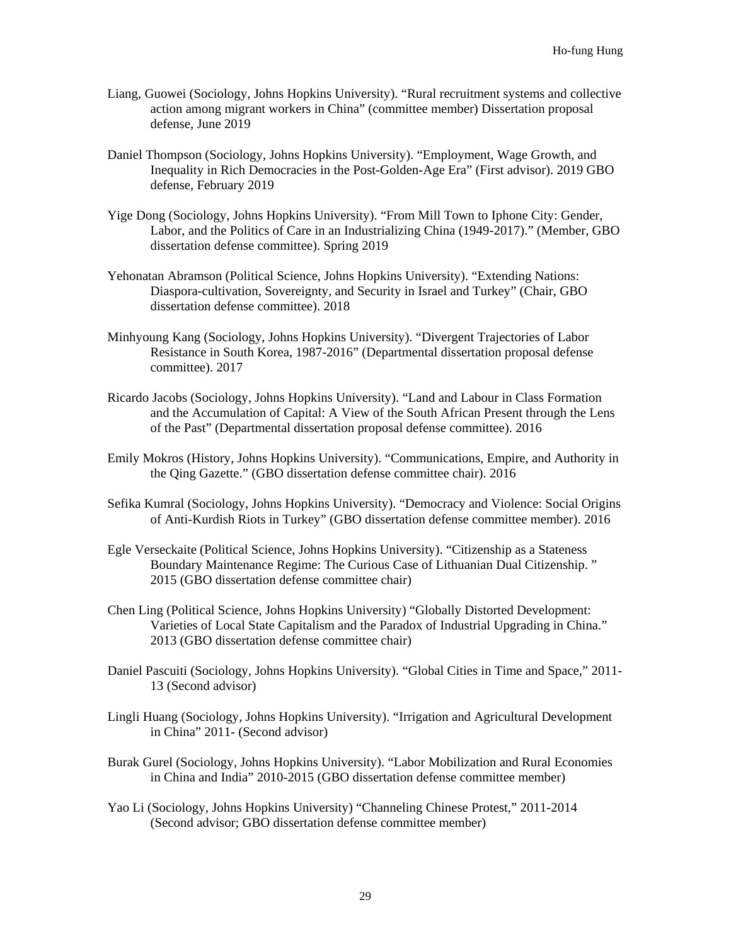- Liang, Guowei (Sociology, Johns Hopkins University). "Rural recruitment systems and collective action among migrant workers in China" (committee member) Dissertation proposal defense, June 2019
- Daniel Thompson (Sociology, Johns Hopkins University). "Employment, Wage Growth, and Inequality in Rich Democracies in the Post-Golden-Age Era" (First advisor). 2019 GBO defense, February 2019
- Yige Dong (Sociology, Johns Hopkins University). "From Mill Town to Iphone City: Gender, Labor, and the Politics of Care in an Industrializing China (1949-2017)." (Member, GBO dissertation defense committee). Spring 2019
- Yehonatan Abramson (Political Science, Johns Hopkins University). "Extending Nations: Diaspora-cultivation, Sovereignty, and Security in Israel and Turkey" (Chair, GBO dissertation defense committee). 2018
- Minhyoung Kang (Sociology, Johns Hopkins University). "Divergent Trajectories of Labor Resistance in South Korea, 1987-2016" (Departmental dissertation proposal defense committee). 2017
- Ricardo Jacobs (Sociology, Johns Hopkins University). "Land and Labour in Class Formation and the Accumulation of Capital: A View of the South African Present through the Lens of the Past" (Departmental dissertation proposal defense committee). 2016
- Emily Mokros (History, Johns Hopkins University). "Communications, Empire, and Authority in the Qing Gazette." (GBO dissertation defense committee chair). 2016
- Sefika Kumral (Sociology, Johns Hopkins University). "Democracy and Violence: Social Origins of Anti-Kurdish Riots in Turkey" (GBO dissertation defense committee member). 2016
- Egle Verseckaite (Political Science, Johns Hopkins University). "Citizenship as a Stateness Boundary Maintenance Regime: The Curious Case of Lithuanian Dual Citizenship. " 2015 (GBO dissertation defense committee chair)
- Chen Ling (Political Science, Johns Hopkins University) "Globally Distorted Development: Varieties of Local State Capitalism and the Paradox of Industrial Upgrading in China." 2013 (GBO dissertation defense committee chair)
- Daniel Pascuiti (Sociology, Johns Hopkins University). "Global Cities in Time and Space," 2011- 13 (Second advisor)
- Lingli Huang (Sociology, Johns Hopkins University). "Irrigation and Agricultural Development in China" 2011- (Second advisor)
- Burak Gurel (Sociology, Johns Hopkins University). "Labor Mobilization and Rural Economies in China and India" 2010-2015 (GBO dissertation defense committee member)
- Yao Li (Sociology, Johns Hopkins University) "Channeling Chinese Protest," 2011-2014 (Second advisor; GBO dissertation defense committee member)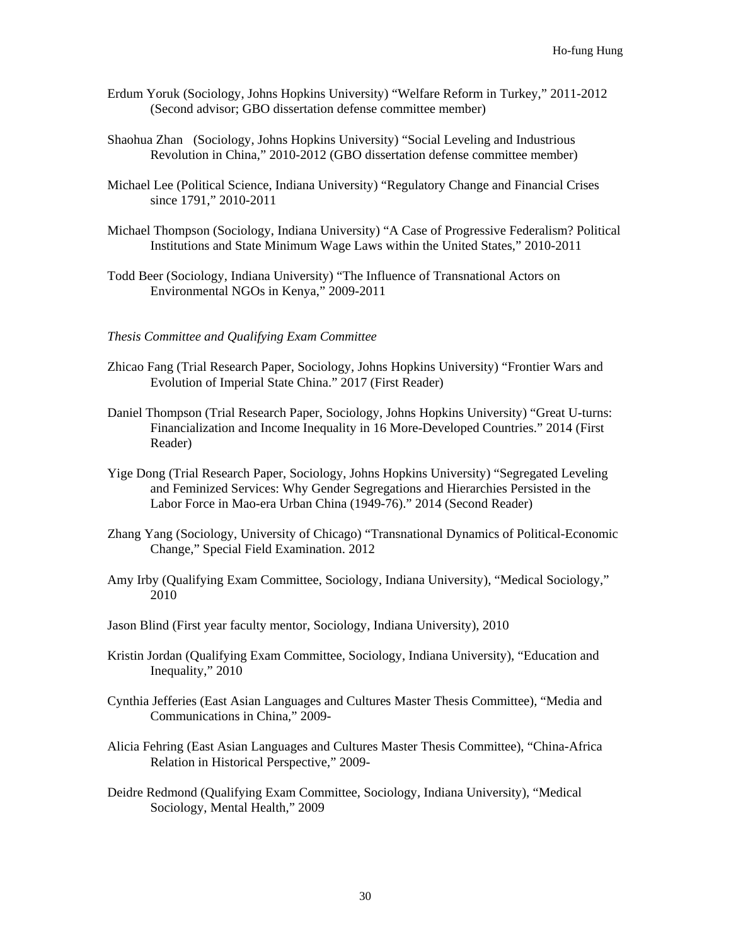- Erdum Yoruk (Sociology, Johns Hopkins University) "Welfare Reform in Turkey," 2011-2012 (Second advisor; GBO dissertation defense committee member)
- Shaohua Zhan (Sociology, Johns Hopkins University) "Social Leveling and Industrious Revolution in China," 2010-2012 (GBO dissertation defense committee member)
- Michael Lee (Political Science, Indiana University) "Regulatory Change and Financial Crises since 1791," 2010-2011
- Michael Thompson (Sociology, Indiana University) "A Case of Progressive Federalism? Political Institutions and State Minimum Wage Laws within the United States," 2010-2011
- Todd Beer (Sociology, Indiana University) "The Influence of Transnational Actors on Environmental NGOs in Kenya," 2009-2011
- *Thesis Committee and Qualifying Exam Committee*
- Zhicao Fang (Trial Research Paper, Sociology, Johns Hopkins University) "Frontier Wars and Evolution of Imperial State China." 2017 (First Reader)
- Daniel Thompson (Trial Research Paper, Sociology, Johns Hopkins University) "Great U-turns: Financialization and Income Inequality in 16 More-Developed Countries." 2014 (First Reader)
- Yige Dong (Trial Research Paper, Sociology, Johns Hopkins University) "Segregated Leveling and Feminized Services: Why Gender Segregations and Hierarchies Persisted in the Labor Force in Mao-era Urban China (1949-76)." 2014 (Second Reader)
- Zhang Yang (Sociology, University of Chicago) "Transnational Dynamics of Political-Economic Change," Special Field Examination. 2012
- Amy Irby (Qualifying Exam Committee, Sociology, Indiana University), "Medical Sociology," 2010
- Jason Blind (First year faculty mentor, Sociology, Indiana University), 2010
- Kristin Jordan (Qualifying Exam Committee, Sociology, Indiana University), "Education and Inequality," 2010
- Cynthia Jefferies (East Asian Languages and Cultures Master Thesis Committee), "Media and Communications in China," 2009-
- Alicia Fehring (East Asian Languages and Cultures Master Thesis Committee), "China-Africa Relation in Historical Perspective," 2009-
- Deidre Redmond (Qualifying Exam Committee, Sociology, Indiana University), "Medical Sociology, Mental Health," 2009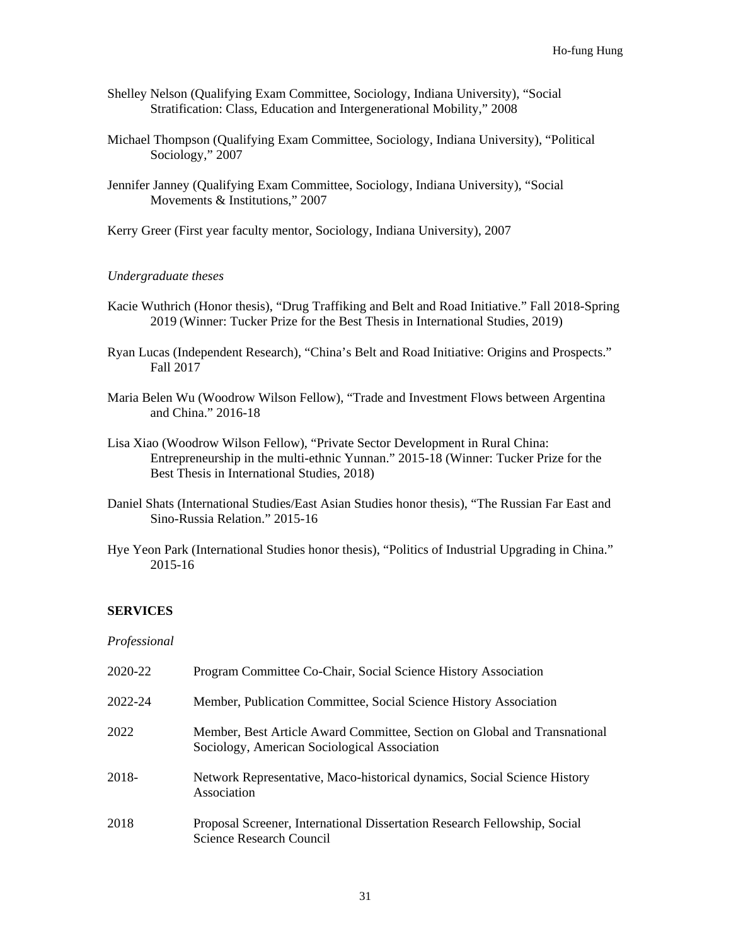- Shelley Nelson (Qualifying Exam Committee, Sociology, Indiana University), "Social Stratification: Class, Education and Intergenerational Mobility," 2008
- Michael Thompson (Qualifying Exam Committee, Sociology, Indiana University), "Political Sociology," 2007
- Jennifer Janney (Qualifying Exam Committee, Sociology, Indiana University), "Social Movements & Institutions," 2007
- Kerry Greer (First year faculty mentor, Sociology, Indiana University), 2007

## *Undergraduate theses*

- Kacie Wuthrich (Honor thesis), "Drug Traffiking and Belt and Road Initiative." Fall 2018-Spring 2019 (Winner: Tucker Prize for the Best Thesis in International Studies, 2019)
- Ryan Lucas (Independent Research), "China's Belt and Road Initiative: Origins and Prospects." Fall 2017
- Maria Belen Wu (Woodrow Wilson Fellow), "Trade and Investment Flows between Argentina and China." 2016-18
- Lisa Xiao (Woodrow Wilson Fellow), "Private Sector Development in Rural China: Entrepreneurship in the multi-ethnic Yunnan." 2015-18 (Winner: Tucker Prize for the Best Thesis in International Studies, 2018)
- Daniel Shats (International Studies/East Asian Studies honor thesis), "The Russian Far East and Sino-Russia Relation." 2015-16
- Hye Yeon Park (International Studies honor thesis), "Politics of Industrial Upgrading in China." 2015-16

## **SERVICES**

#### *Professional*

| 2020-22 | Program Committee Co-Chair, Social Science History Association                                                            |
|---------|---------------------------------------------------------------------------------------------------------------------------|
| 2022-24 | Member, Publication Committee, Social Science History Association                                                         |
| 2022    | Member, Best Article Award Committee, Section on Global and Transnational<br>Sociology, American Sociological Association |
| 2018-   | Network Representative, Maco-historical dynamics, Social Science History<br>Association                                   |
| 2018    | Proposal Screener, International Dissertation Research Fellowship, Social<br>Science Research Council                     |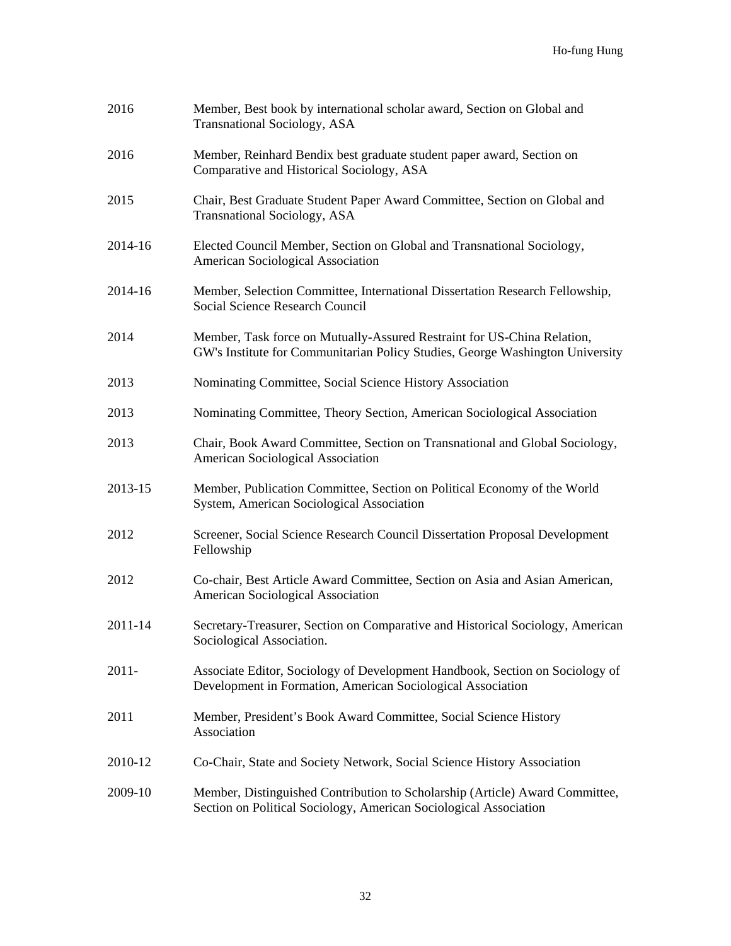| 2016     | Member, Best book by international scholar award, Section on Global and<br><b>Transnational Sociology, ASA</b>                                           |
|----------|----------------------------------------------------------------------------------------------------------------------------------------------------------|
| 2016     | Member, Reinhard Bendix best graduate student paper award, Section on<br>Comparative and Historical Sociology, ASA                                       |
| 2015     | Chair, Best Graduate Student Paper Award Committee, Section on Global and<br><b>Transnational Sociology, ASA</b>                                         |
| 2014-16  | Elected Council Member, Section on Global and Transnational Sociology,<br>American Sociological Association                                              |
| 2014-16  | Member, Selection Committee, International Dissertation Research Fellowship,<br>Social Science Research Council                                          |
| 2014     | Member, Task force on Mutually-Assured Restraint for US-China Relation,<br>GW's Institute for Communitarian Policy Studies, George Washington University |
| 2013     | Nominating Committee, Social Science History Association                                                                                                 |
| 2013     | Nominating Committee, Theory Section, American Sociological Association                                                                                  |
| 2013     | Chair, Book Award Committee, Section on Transnational and Global Sociology,<br>American Sociological Association                                         |
| 2013-15  | Member, Publication Committee, Section on Political Economy of the World<br>System, American Sociological Association                                    |
| 2012     | Screener, Social Science Research Council Dissertation Proposal Development<br>Fellowship                                                                |
| 2012     | Co-chair, Best Article Award Committee, Section on Asia and Asian American,<br>American Sociological Association                                         |
| 2011-14  | Secretary-Treasurer, Section on Comparative and Historical Sociology, American<br>Sociological Association.                                              |
| $2011 -$ | Associate Editor, Sociology of Development Handbook, Section on Sociology of<br>Development in Formation, American Sociological Association              |
| 2011     | Member, President's Book Award Committee, Social Science History<br>Association                                                                          |
| 2010-12  | Co-Chair, State and Society Network, Social Science History Association                                                                                  |
| 2009-10  | Member, Distinguished Contribution to Scholarship (Article) Award Committee,<br>Section on Political Sociology, American Sociological Association        |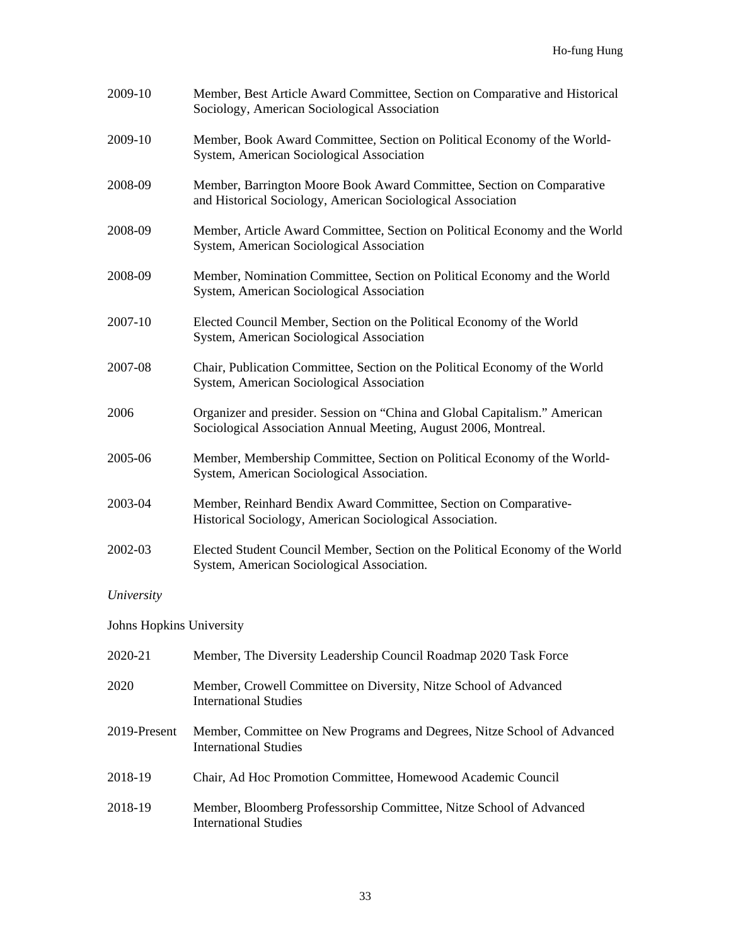| 2009-10                  | Member, Best Article Award Committee, Section on Comparative and Historical<br>Sociology, American Sociological Association                   |
|--------------------------|-----------------------------------------------------------------------------------------------------------------------------------------------|
| 2009-10                  | Member, Book Award Committee, Section on Political Economy of the World-<br>System, American Sociological Association                         |
| 2008-09                  | Member, Barrington Moore Book Award Committee, Section on Comparative<br>and Historical Sociology, American Sociological Association          |
| 2008-09                  | Member, Article Award Committee, Section on Political Economy and the World<br>System, American Sociological Association                      |
| 2008-09                  | Member, Nomination Committee, Section on Political Economy and the World<br>System, American Sociological Association                         |
| 2007-10                  | Elected Council Member, Section on the Political Economy of the World<br>System, American Sociological Association                            |
| 2007-08                  | Chair, Publication Committee, Section on the Political Economy of the World<br>System, American Sociological Association                      |
| 2006                     | Organizer and presider. Session on "China and Global Capitalism." American<br>Sociological Association Annual Meeting, August 2006, Montreal. |
| 2005-06                  | Member, Membership Committee, Section on Political Economy of the World-<br>System, American Sociological Association.                        |
| 2003-04                  | Member, Reinhard Bendix Award Committee, Section on Comparative-<br>Historical Sociology, American Sociological Association.                  |
| 2002-03                  | Elected Student Council Member, Section on the Political Economy of the World<br>System, American Sociological Association.                   |
| University               |                                                                                                                                               |
| Johns Hopkins University |                                                                                                                                               |
| 2020-21                  | Member, The Diversity Leadership Council Roadmap 2020 Task Force                                                                              |
| 2020                     | Member, Crowell Committee on Diversity, Nitze School of Advanced<br><b>International Studies</b>                                              |

- 2019-Present Member, Committee on New Programs and Degrees, Nitze School of Advanced International Studies
- 2018-19 Chair, Ad Hoc Promotion Committee, Homewood Academic Council
- 2018-19 Member, Bloomberg Professorship Committee, Nitze School of Advanced International Studies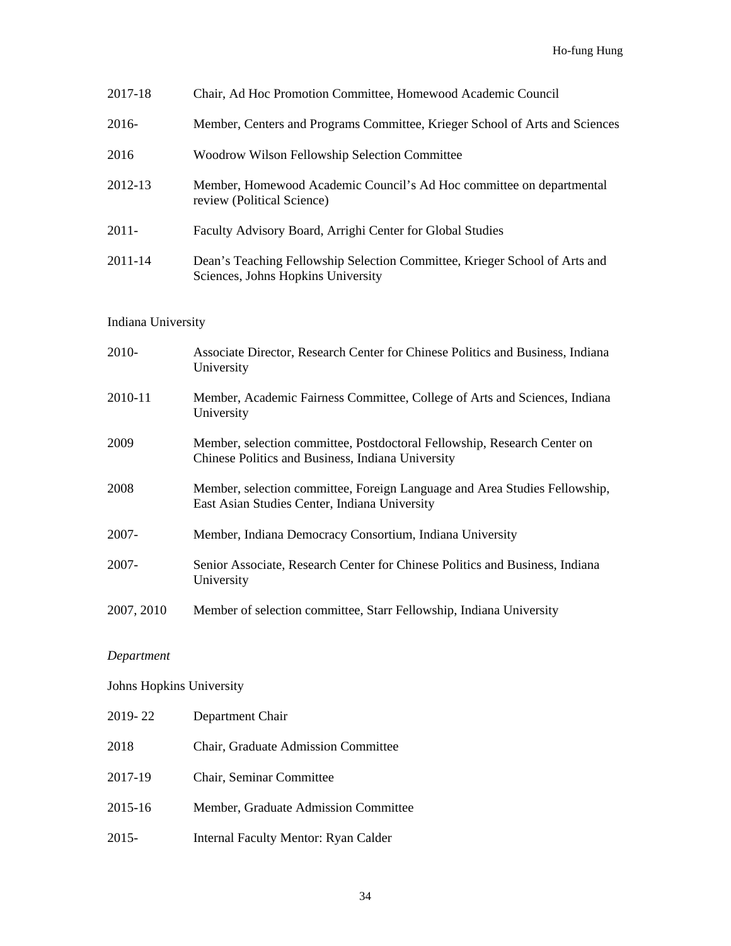| 2017-18  | Chair, Ad Hoc Promotion Committee, Homewood Academic Council                                                     |
|----------|------------------------------------------------------------------------------------------------------------------|
| 2016-    | Member, Centers and Programs Committee, Krieger School of Arts and Sciences                                      |
| 2016     | Woodrow Wilson Fellowship Selection Committee                                                                    |
| 2012-13  | Member, Homewood Academic Council's Ad Hoc committee on departmental<br>review (Political Science)               |
| $2011 -$ | Faculty Advisory Board, Arrighi Center for Global Studies                                                        |
| 2011-14  | Dean's Teaching Fellowship Selection Committee, Krieger School of Arts and<br>Sciences, Johns Hopkins University |

# Indiana University

| 2010-      | Associate Director, Research Center for Chinese Politics and Business, Indiana<br>University                                  |
|------------|-------------------------------------------------------------------------------------------------------------------------------|
| 2010-11    | Member, Academic Fairness Committee, College of Arts and Sciences, Indiana<br>University                                      |
| 2009       | Member, selection committee, Postdoctoral Fellowship, Research Center on<br>Chinese Politics and Business, Indiana University |
| 2008       | Member, selection committee, Foreign Language and Area Studies Fellowship,<br>East Asian Studies Center, Indiana University   |
| $2007 -$   | Member, Indiana Democracy Consortium, Indiana University                                                                      |
| $2007 -$   | Senior Associate, Research Center for Chinese Politics and Business, Indiana<br>University                                    |
| 2007, 2010 | Member of selection committee, Starr Fellowship, Indiana University                                                           |

# *Department*

Johns Hopkins University

| 2019-22 | Department Chair                           |
|---------|--------------------------------------------|
| 2018    | <b>Chair, Graduate Admission Committee</b> |
| 2017-19 | Chair, Seminar Committee                   |
| 2015-16 | Member, Graduate Admission Committee       |
| 2015-   | Internal Faculty Mentor: Ryan Calder       |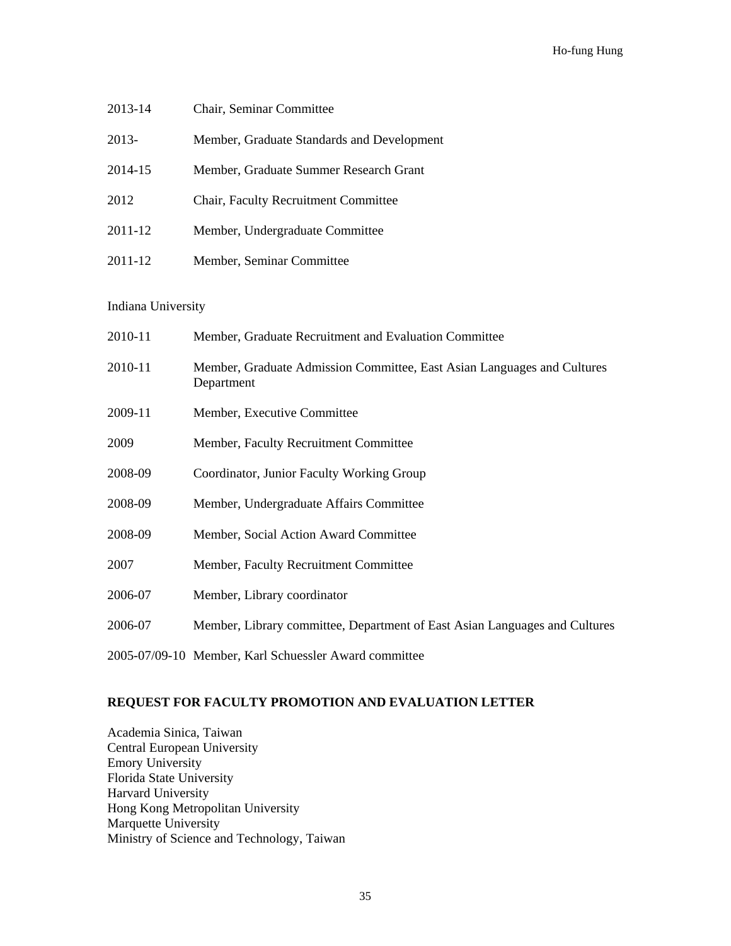| 2013-14 | Chair, Seminar Committee                   |
|---------|--------------------------------------------|
| 2013-   | Member, Graduate Standards and Development |
| 2014-15 | Member, Graduate Summer Research Grant     |
| 2012    | Chair, Faculty Recruitment Committee       |
| 2011-12 | Member, Undergraduate Committee            |
| 2011-12 | Member, Seminar Committee                  |

## Indiana University

| 2010-11 | Member, Graduate Recruitment and Evaluation Committee                                 |
|---------|---------------------------------------------------------------------------------------|
| 2010-11 | Member, Graduate Admission Committee, East Asian Languages and Cultures<br>Department |
| 2009-11 | Member, Executive Committee                                                           |
| 2009    | Member, Faculty Recruitment Committee                                                 |
| 2008-09 | Coordinator, Junior Faculty Working Group                                             |
| 2008-09 | Member, Undergraduate Affairs Committee                                               |
| 2008-09 | Member, Social Action Award Committee                                                 |
| 2007    | Member, Faculty Recruitment Committee                                                 |
| 2006-07 | Member, Library coordinator                                                           |
| 2006-07 | Member, Library committee, Department of East Asian Languages and Cultures            |
|         |                                                                                       |

2005-07/09-10 Member, Karl Schuessler Award committee

# **REQUEST FOR FACULTY PROMOTION AND EVALUATION LETTER**

Academia Sinica, Taiwan Central European University Emory University Florida State University Harvard University Hong Kong Metropolitan University Marquette University Ministry of Science and Technology, Taiwan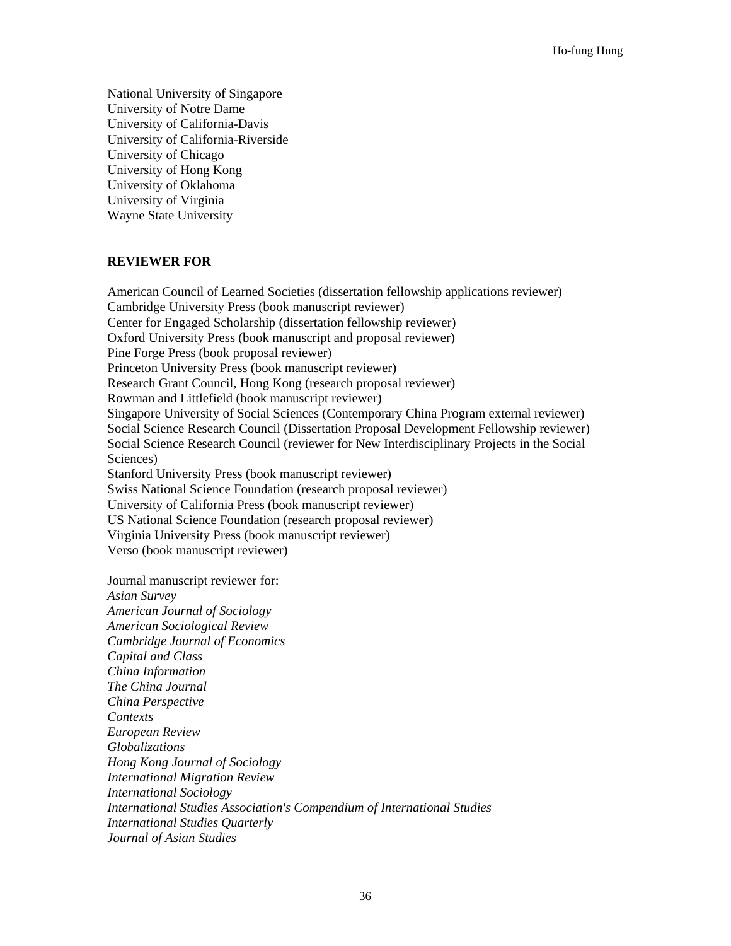National University of Singapore University of Notre Dame University of California-Davis University of California-Riverside University of Chicago University of Hong Kong University of Oklahoma University of Virginia Wayne State University

#### **REVIEWER FOR**

American Council of Learned Societies (dissertation fellowship applications reviewer) Cambridge University Press (book manuscript reviewer) Center for Engaged Scholarship (dissertation fellowship reviewer) Oxford University Press (book manuscript and proposal reviewer) Pine Forge Press (book proposal reviewer) Princeton University Press (book manuscript reviewer) Research Grant Council, Hong Kong (research proposal reviewer) Rowman and Littlefield (book manuscript reviewer) Singapore University of Social Sciences (Contemporary China Program external reviewer) Social Science Research Council (Dissertation Proposal Development Fellowship reviewer) Social Science Research Council (reviewer for New Interdisciplinary Projects in the Social Sciences) Stanford University Press (book manuscript reviewer) Swiss National Science Foundation (research proposal reviewer) University of California Press (book manuscript reviewer) US National Science Foundation (research proposal reviewer) Virginia University Press (book manuscript reviewer)

Verso (book manuscript reviewer)

Journal manuscript reviewer for: *Asian Survey American Journal of Sociology American Sociological Review Cambridge Journal of Economics Capital and Class China Information The China Journal China Perspective Contexts European Review Globalizations Hong Kong Journal of Sociology International Migration Review International Sociology International Studies Association's Compendium of International Studies International Studies Quarterly Journal of Asian Studies*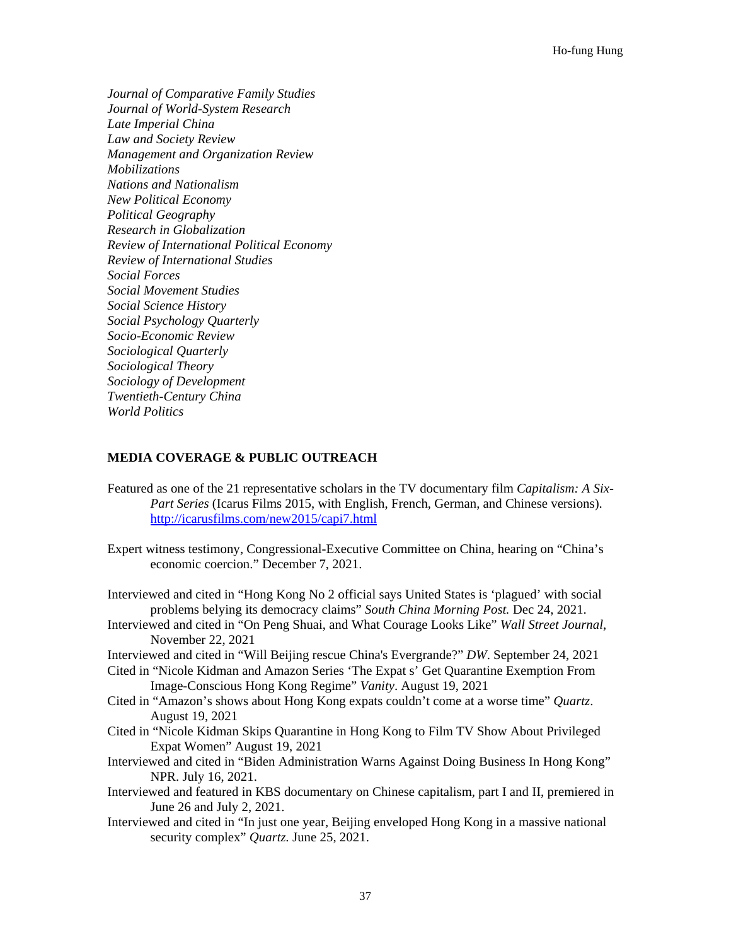*Journal of Comparative Family Studies Journal of World-System Research Late Imperial China Law and Society Review Management and Organization Review Mobilizations Nations and Nationalism New Political Economy Political Geography Research in Globalization Review of International Political Economy Review of International Studies Social Forces Social Movement Studies Social Science History Social Psychology Quarterly Socio-Economic Review Sociological Quarterly Sociological Theory Sociology of Development Twentieth-Century China World Politics*

#### **MEDIA COVERAGE & PUBLIC OUTREACH**

- Featured as one of the 21 representative scholars in the TV documentary film *Capitalism: A Six-Part Series* (Icarus Films 2015, with English, French, German, and Chinese versions). <http://icarusfilms.com/new2015/capi7.html>
- Expert witness testimony, Congressional-Executive Committee on China, hearing on "China's economic coercion." December 7, 2021.
- Interviewed and cited in "Hong Kong No 2 official says United States is 'plagued' with social problems belying its democracy claims" *South China Morning Post.* Dec 24, 2021.
- Interviewed and cited in "On Peng Shuai, and What Courage Looks Like" *Wall Street Journal*, November 22, 2021
- Interviewed and cited in "Will Beijing rescue China's Evergrande?" *DW*. September 24, 2021
- Cited in "Nicole Kidman and Amazon Series 'The Expat s' Get Quarantine Exemption From Image-Conscious Hong Kong Regime" *Vanity*. August 19, 2021
- Cited in "Amazon's shows about Hong Kong expats couldn't come at a worse time" *Quartz*. August 19, 2021
- Cited in "Nicole Kidman Skips Quarantine in Hong Kong to Film TV Show About Privileged Expat Women" August 19, 2021
- Interviewed and cited in "Biden Administration Warns Against Doing Business In Hong Kong" NPR. July 16, 2021.
- Interviewed and featured in KBS documentary on Chinese capitalism, part I and II, premiered in June 26 and July 2, 2021.
- Interviewed and cited in "In just one year, Beijing enveloped Hong Kong in a massive national security complex" *Quartz.* June 25, 2021.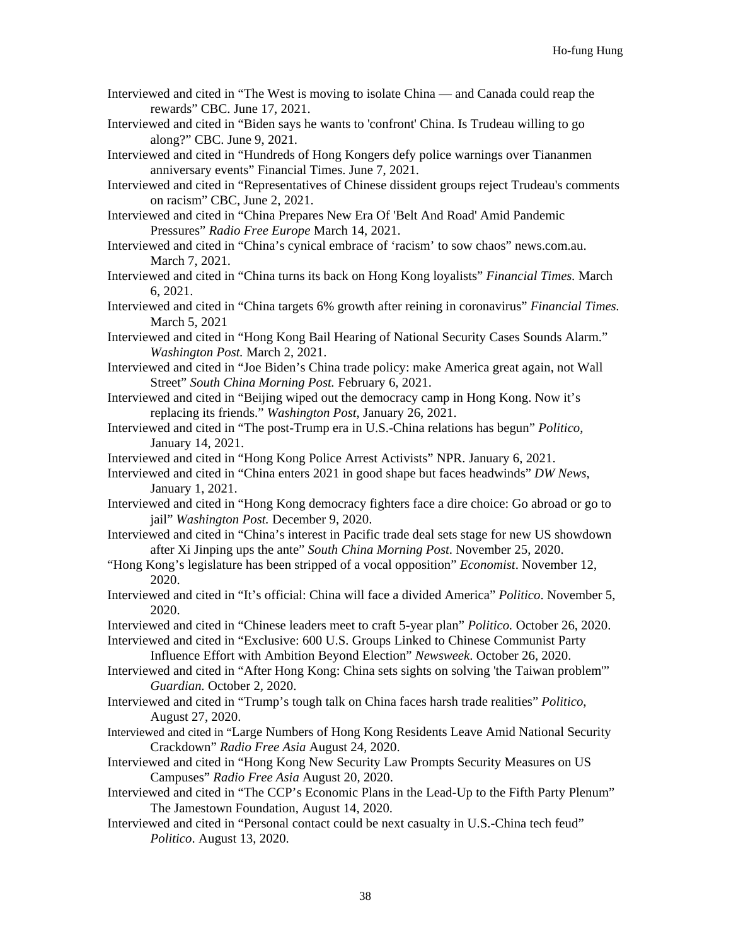- Interviewed and cited in "The West is moving to isolate China and Canada could reap the rewards" CBC. June 17, 2021.
- Interviewed and cited in "Biden says he wants to 'confront' China. Is Trudeau willing to go along?" CBC. June 9, 2021.
- Interviewed and cited in "Hundreds of Hong Kongers defy police warnings over Tiananmen anniversary events" Financial Times. June 7, 2021.
- Interviewed and cited in "Representatives of Chinese dissident groups reject Trudeau's comments on racism" CBC, June 2, 2021.
- Interviewed and cited in "China Prepares New Era Of 'Belt And Road' Amid Pandemic Pressures" *Radio Free Europe* March 14, 2021.
- Interviewed and cited in "China's cynical embrace of 'racism' to sow chaos" news.com.au. March 7, 2021.
- Interviewed and cited in "China turns its back on Hong Kong loyalists" *Financial Times.* March 6, 2021.
- Interviewed and cited in "China targets 6% growth after reining in coronavirus" *Financial Times.*  March 5, 2021
- Interviewed and cited in "Hong Kong Bail Hearing of National Security Cases Sounds Alarm." *Washington Post.* March 2, 2021.
- Interviewed and cited in "Joe Biden's China trade policy: make America great again, not Wall Street" *South China Morning Post.* February 6, 2021.
- Interviewed and cited in "Beijing wiped out the democracy camp in Hong Kong. Now it's replacing its friends." *Washington Post*, January 26, 2021.
- Interviewed and cited in "The post-Trump era in U.S.-China relations has begun" *Politico*, January 14, 2021.
- Interviewed and cited in "Hong Kong Police Arrest Activists" NPR. January 6, 2021.
- Interviewed and cited in "China enters 2021 in good shape but faces headwinds" *DW News*, January 1, 2021.
- Interviewed and cited in "Hong Kong democracy fighters face a dire choice: Go abroad or go to jail" *Washington Post.* December 9, 2020.
- Interviewed and cited in "China's interest in Pacific trade deal sets stage for new US showdown after Xi Jinping ups the ante" *South China Morning Post*. November 25, 2020.
- "Hong Kong's legislature has been stripped of a vocal opposition" *Economist*. November 12, 2020.
- Interviewed and cited in "It's official: China will face a divided America" *Politico*. November 5, 2020.
- Interviewed and cited in "Chinese leaders meet to craft 5-year plan" *Politico.* October 26, 2020. Interviewed and cited in "Exclusive: 600 U.S. Groups Linked to Chinese Communist Party

Influence Effort with Ambition Beyond Election" *Newsweek*. October 26, 2020.

- Interviewed and cited in "After Hong Kong: China sets sights on solving 'the Taiwan problem'" *Guardian.* October 2, 2020.
- Interviewed and cited in "Trump's tough talk on China faces harsh trade realities" *Politico*, August 27, 2020.
- Interviewed and cited in "Large Numbers of Hong Kong Residents Leave Amid National Security Crackdown" *Radio Free Asia* August 24, 2020.
- Interviewed and cited in "Hong Kong New Security Law Prompts Security Measures on US Campuses" *Radio Free Asia* August 20, 2020.
- Interviewed and cited in "The CCP's Economic Plans in the Lead-Up to the Fifth Party Plenum" The Jamestown Foundation, August 14, 2020.
- Interviewed and cited in "Personal contact could be next casualty in U.S.-China tech feud" *Politico*. August 13, 2020.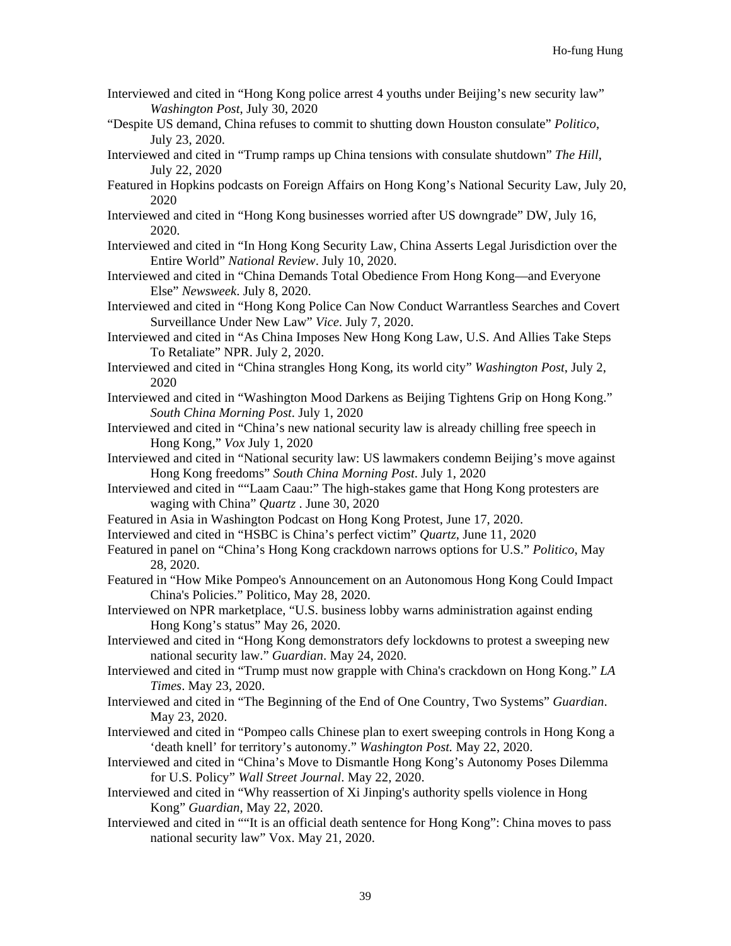- Interviewed and cited in "Hong Kong police arrest 4 youths under Beijing's new security law" *Washington Post*, July 30, 2020
- "Despite US demand, China refuses to commit to shutting down Houston consulate" *Politico*, July 23, 2020.
- Interviewed and cited in "Trump ramps up China tensions with consulate shutdown" *The Hill*, July 22, 2020
- Featured in Hopkins podcasts on Foreign Affairs on Hong Kong's National Security Law, July 20, 2020
- Interviewed and cited in "Hong Kong businesses worried after US downgrade" DW, July 16, 2020.
- Interviewed and cited in "In Hong Kong Security Law, China Asserts Legal Jurisdiction over the Entire World" *National Review*. July 10, 2020.
- Interviewed and cited in "China Demands Total Obedience From Hong Kong—and Everyone Else" *Newsweek*. July 8, 2020.
- Interviewed and cited in "Hong Kong Police Can Now Conduct Warrantless Searches and Covert Surveillance Under New Law" *Vice*. July 7, 2020.
- Interviewed and cited in "As China Imposes New Hong Kong Law, U.S. And Allies Take Steps To Retaliate" NPR. July 2, 2020.
- Interviewed and cited in "China strangles Hong Kong, its world city" *Washington Post*, July 2, 2020
- Interviewed and cited in "Washington Mood Darkens as Beijing Tightens Grip on Hong Kong." *South China Morning Post*. July 1, 2020
- Interviewed and cited in "China's new national security law is already chilling free speech in Hong Kong," *Vox* July 1, 2020
- Interviewed and cited in "National security law: US lawmakers condemn Beijing's move against Hong Kong freedoms" *South China Morning Post*. July 1, 2020
- Interviewed and cited in ""Laam Caau:" The high-stakes game that Hong Kong protesters are waging with China" *Quartz* . June 30, 2020
- Featured in Asia in Washington Podcast on Hong Kong Protest, June 17, 2020.
- Interviewed and cited in "HSBC is China's perfect victim" *Quartz*, June 11, 2020
- Featured in panel on "China's Hong Kong crackdown narrows options for U.S." *Politico*, May 28, 2020.
- Featured in "How Mike Pompeo's Announcement on an Autonomous Hong Kong Could Impact China's Policies." Politico, May 28, 2020.
- Interviewed on NPR marketplace, "U.S. business lobby warns administration against ending Hong Kong's status" May 26, 2020.
- Interviewed and cited in "Hong Kong demonstrators defy lockdowns to protest a sweeping new national security law." *Guardian*. May 24, 2020.
- Interviewed and cited in "Trump must now grapple with China's crackdown on Hong Kong." *LA Times*. May 23, 2020.
- Interviewed and cited in "The Beginning of the End of One Country, Two Systems" *Guardian*. May 23, 2020.
- Interviewed and cited in "Pompeo calls Chinese plan to exert sweeping controls in Hong Kong a 'death knell' for territory's autonomy." *Washington Post.* May 22, 2020.
- Interviewed and cited in "China's Move to Dismantle Hong Kong's Autonomy Poses Dilemma for U.S. Policy" *Wall Street Journal*. May 22, 2020.
- Interviewed and cited in "Why reassertion of Xi Jinping's authority spells violence in Hong Kong" *Guardian*, May 22, 2020.
- Interviewed and cited in ""It is an official death sentence for Hong Kong": China moves to pass national security law" Vox. May 21, 2020.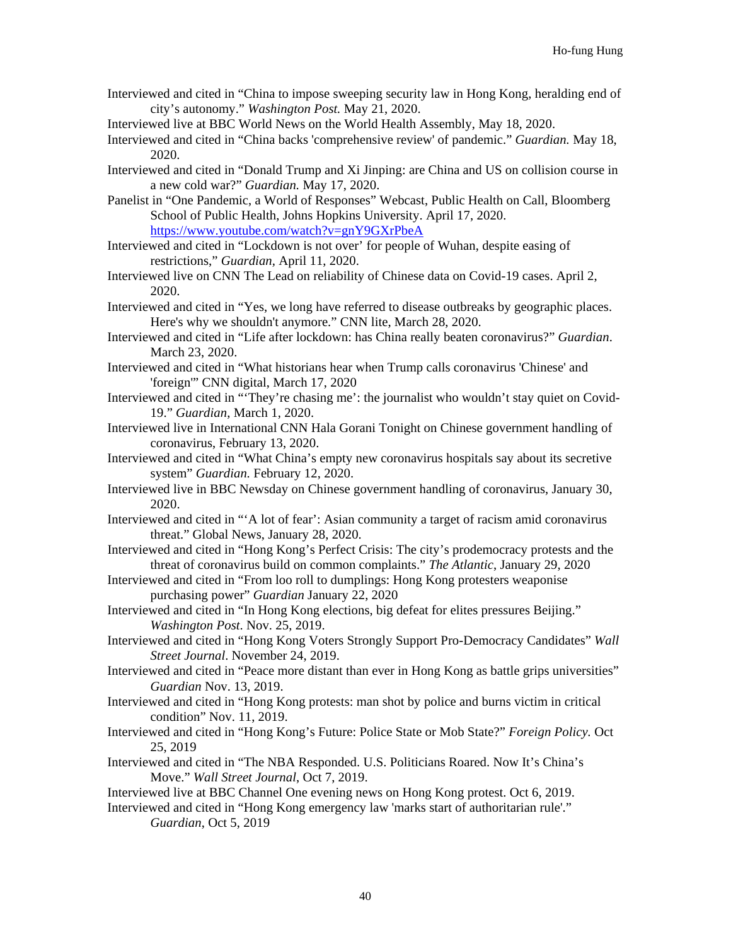- Interviewed and cited in "China to impose sweeping security law in Hong Kong, heralding end of city's autonomy." *Washington Post.* May 21, 2020.
- Interviewed live at BBC World News on the World Health Assembly, May 18, 2020.
- Interviewed and cited in "China backs 'comprehensive review' of pandemic." *Guardian.* May 18, 2020.
- Interviewed and cited in "Donald Trump and Xi Jinping: are China and US on collision course in a new cold war?" *Guardian.* May 17, 2020.
- Panelist in "One Pandemic, a World of Responses" Webcast, Public Health on Call, Bloomberg School of Public Health, Johns Hopkins University. April 17, 2020. <https://www.youtube.com/watch?v=gnY9GXrPbeA>
- Interviewed and cited in "Lockdown is not over' for people of Wuhan, despite easing of restrictions," *Guardian,* April 11, 2020.
- Interviewed live on CNN The Lead on reliability of Chinese data on Covid-19 cases. April 2, 2020.
- Interviewed and cited in "Yes, we long have referred to disease outbreaks by geographic places. Here's why we shouldn't anymore." CNN lite, March 28, 2020.
- Interviewed and cited in "Life after lockdown: has China really beaten coronavirus?" *Guardian*. March 23, 2020.
- Interviewed and cited in "What historians hear when Trump calls coronavirus 'Chinese' and 'foreign'" CNN digital, March 17, 2020
- Interviewed and cited in "'They're chasing me': the journalist who wouldn't stay quiet on Covid-19." *Guardian*, March 1, 2020.
- Interviewed live in International CNN Hala Gorani Tonight on Chinese government handling of coronavirus, February 13, 2020.
- Interviewed and cited in "What China's empty new coronavirus hospitals say about its secretive system" *Guardian.* February 12, 2020.
- Interviewed live in BBC Newsday on Chinese government handling of coronavirus, January 30, 2020.
- Interviewed and cited in "'A lot of fear': Asian community a target of racism amid coronavirus threat." Global News, January 28, 2020.
- Interviewed and cited in "Hong Kong's Perfect Crisis: The city's prodemocracy protests and the threat of coronavirus build on common complaints." *The Atlantic*, January 29, 2020
- Interviewed and cited in "From loo roll to dumplings: Hong Kong protesters weaponise purchasing power" *Guardian* January 22, 2020
- Interviewed and cited in "In Hong Kong elections, big defeat for elites pressures Beijing." *Washington Post*. Nov. 25, 2019.
- Interviewed and cited in "Hong Kong Voters Strongly Support Pro-Democracy Candidates" *Wall Street Journal*. November 24, 2019.
- Interviewed and cited in "Peace more distant than ever in Hong Kong as battle grips universities" *Guardian* Nov. 13, 2019.
- Interviewed and cited in "Hong Kong protests: man shot by police and burns victim in critical condition" Nov. 11, 2019.
- Interviewed and cited in "Hong Kong's Future: Police State or Mob State?" *Foreign Policy.* Oct 25, 2019
- Interviewed and cited in "The NBA Responded. U.S. Politicians Roared. Now It's China's Move." *Wall Street Journal*, Oct 7, 2019.
- Interviewed live at BBC Channel One evening news on Hong Kong protest. Oct 6, 2019.
- Interviewed and cited in "Hong Kong emergency law 'marks start of authoritarian rule'." *Guardian*, Oct 5, 2019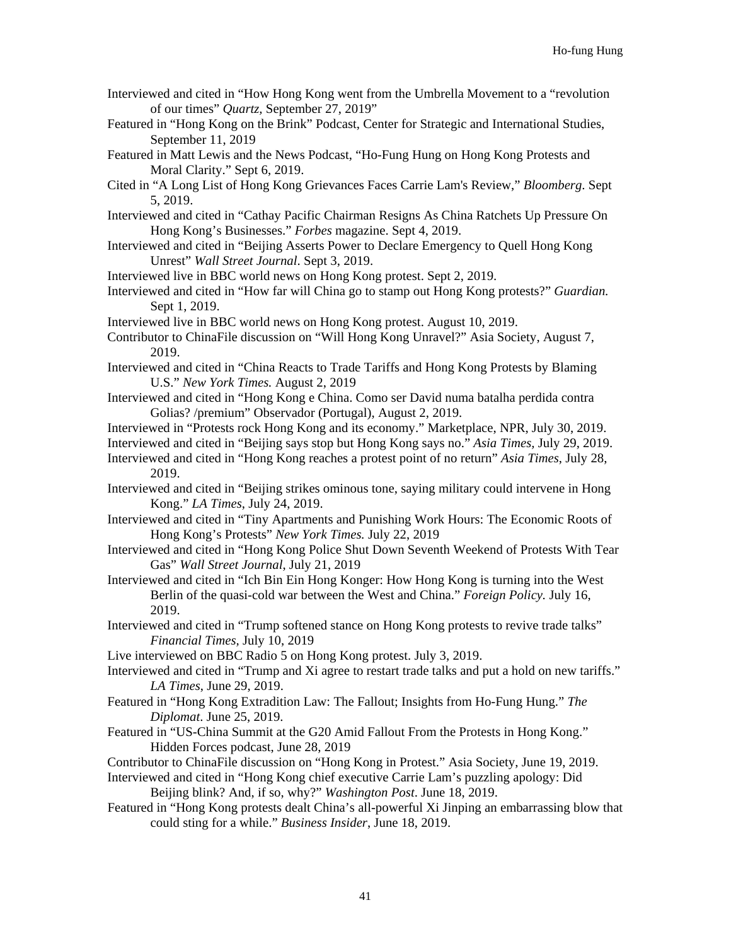- Interviewed and cited in "How Hong Kong went from the Umbrella Movement to a "revolution of our times" *Quartz,* September 27, 2019"
- Featured in "Hong Kong on the Brink" Podcast, Center for Strategic and International Studies, September 11, 2019
- Featured in Matt Lewis and the News Podcast, "Ho-Fung Hung on Hong Kong Protests and Moral Clarity." Sept 6, 2019.
- Cited in "A Long List of Hong Kong Grievances Faces Carrie Lam's Review," *Bloomberg*. Sept 5, 2019.
- Interviewed and cited in "Cathay Pacific Chairman Resigns As China Ratchets Up Pressure On Hong Kong's Businesses." *Forbes* magazine. Sept 4, 2019.
- Interviewed and cited in "Beijing Asserts Power to Declare Emergency to Quell Hong Kong Unrest" *Wall Street Journal*. Sept 3, 2019.
- Interviewed live in BBC world news on Hong Kong protest. Sept 2, 2019.
- Interviewed and cited in "How far will China go to stamp out Hong Kong protests?" *Guardian.* Sept 1, 2019.
- Interviewed live in BBC world news on Hong Kong protest. August 10, 2019.
- Contributor to ChinaFile discussion on "Will Hong Kong Unravel?" Asia Society, August 7, 2019.
- Interviewed and cited in "China Reacts to Trade Tariffs and Hong Kong Protests by Blaming U.S." *New York Times.* August 2, 2019
- Interviewed and cited in "Hong Kong e China. Como ser David numa batalha perdida contra Golias? /premium" Observador (Portugal), August 2, 2019.
- Interviewed in "Protests rock Hong Kong and its economy." Marketplace, NPR, July 30, 2019.
- Interviewed and cited in "Beijing says stop but Hong Kong says no." *Asia Times,* July 29, 2019. Interviewed and cited in "Hong Kong reaches a protest point of no return" *Asia Times*, July 28,
- 2019.
- Interviewed and cited in "Beijing strikes ominous tone, saying military could intervene in Hong Kong." *LA Times*, July 24, 2019.
- Interviewed and cited in "Tiny Apartments and Punishing Work Hours: The Economic Roots of Hong Kong's Protests" *New York Times.* July 22, 2019
- Interviewed and cited in "Hong Kong Police Shut Down Seventh Weekend of Protests With Tear Gas" *Wall Street Journal*, July 21, 2019
- Interviewed and cited in "Ich Bin Ein Hong Konger: How Hong Kong is turning into the West Berlin of the quasi-cold war between the West and China." *Foreign Policy.* July 16, 2019.
- Interviewed and cited in "Trump softened stance on Hong Kong protests to revive trade talks" *Financial Times,* July 10, 2019
- Live interviewed on BBC Radio 5 on Hong Kong protest. July 3, 2019.
- Interviewed and cited in "Trump and Xi agree to restart trade talks and put a hold on new tariffs." *LA Times*, June 29, 2019.
- Featured in "Hong Kong Extradition Law: The Fallout; Insights from Ho-Fung Hung." *The Diplomat*. June 25, 2019.
- Featured in "US-China Summit at the G20 Amid Fallout From the Protests in Hong Kong." Hidden Forces podcast, June 28, 2019
- Contributor to ChinaFile discussion on "Hong Kong in Protest." Asia Society, June 19, 2019.
- Interviewed and cited in "Hong Kong chief executive Carrie Lam's puzzling apology: Did Beijing blink? And, if so, why?" *Washington Post*. June 18, 2019.
- Featured in "Hong Kong protests dealt China's all-powerful Xi Jinping an embarrassing blow that could sting for a while." *Business Insider*, June 18, 2019.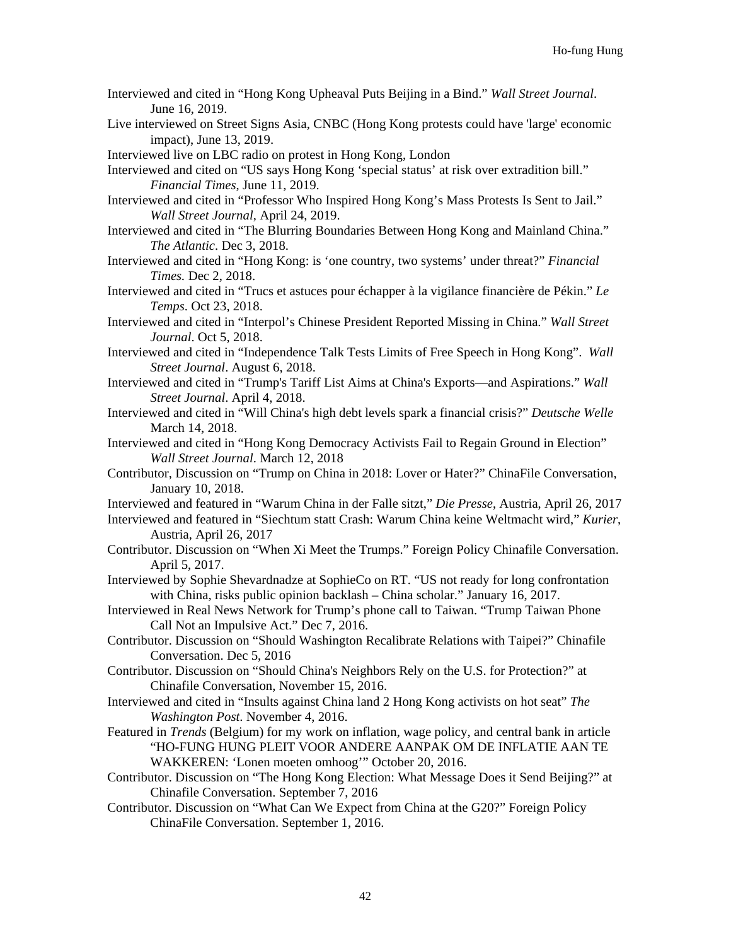- Interviewed and cited in "Hong Kong Upheaval Puts Beijing in a Bind." *Wall Street Journal*. June 16, 2019.
- Live interviewed on Street Signs Asia, CNBC (Hong Kong protests could have 'large' economic impact), June 13, 2019.

Interviewed live on LBC radio on protest in Hong Kong, London

Interviewed and cited on "US says Hong Kong 'special status' at risk over extradition bill." *Financial Times*, June 11, 2019.

- Interviewed and cited in "Professor Who Inspired Hong Kong's Mass Protests Is Sent to Jail." *Wall Street Journal,* April 24, 2019.
- Interviewed and cited in "The Blurring Boundaries Between Hong Kong and Mainland China." *The Atlantic*. Dec 3, 2018.
- Interviewed and cited in "Hong Kong: is 'one country, two systems' under threat?" *Financial Times.* Dec 2, 2018.
- Interviewed and cited in "Trucs et astuces pour échapper à la vigilance financière de Pékin." *Le Temps*. Oct 23, 2018.
- Interviewed and cited in "Interpol's Chinese President Reported Missing in China." *Wall Street Journal*. Oct 5, 2018.
- Interviewed and cited in "Independence Talk Tests Limits of Free Speech in Hong Kong". *Wall Street Journal*. August 6, 2018.
- Interviewed and cited in "Trump's Tariff List Aims at China's Exports—and Aspirations." *Wall Street Journal*. April 4, 2018.
- Interviewed and cited in "Will China's high debt levels spark a financial crisis?" *Deutsche Welle* March 14, 2018.
- Interviewed and cited in "Hong Kong Democracy Activists Fail to Regain Ground in Election" *Wall Street Journal*. March 12, 2018
- Contributor, Discussion on "Trump on China in 2018: Lover or Hater?" ChinaFile Conversation, January 10, 2018.
- Interviewed and featured in "Warum China in der Falle sitzt," *Die Presse*, Austria, April 26, 2017
- Interviewed and featured in "Siechtum statt Crash: Warum China keine Weltmacht wird," *Kurier*, Austria, April 26, 2017
- Contributor. Discussion on "When Xi Meet the Trumps." Foreign Policy Chinafile Conversation. April 5, 2017.
- Interviewed by Sophie Shevardnadze at SophieCo on RT. "US not ready for long confrontation with China, risks public opinion backlash – China scholar." January 16, 2017.
- Interviewed in Real News Network for Trump's phone call to Taiwan. "Trump Taiwan Phone Call Not an Impulsive Act." Dec 7, 2016.
- Contributor. Discussion on "Should Washington Recalibrate Relations with Taipei?" Chinafile Conversation. Dec 5, 2016
- Contributor. Discussion on "Should China's Neighbors Rely on the U.S. for Protection?" at Chinafile Conversation, November 15, 2016.
- Interviewed and cited in "Insults against China land 2 Hong Kong activists on hot seat" *The Washington Post*. November 4, 2016.
- Featured in *Trends* (Belgium) for my work on inflation, wage policy, and central bank in article "HO-FUNG HUNG PLEIT VOOR ANDERE AANPAK OM DE INFLATIE AAN TE WAKKEREN: 'Lonen moeten omhoog'" October 20, 2016.
- Contributor. Discussion on "The Hong Kong Election: What Message Does it Send Beijing?" at Chinafile Conversation. September 7, 2016
- Contributor. Discussion on "What Can We Expect from China at the G20?" Foreign Policy ChinaFile Conversation. September 1, 2016.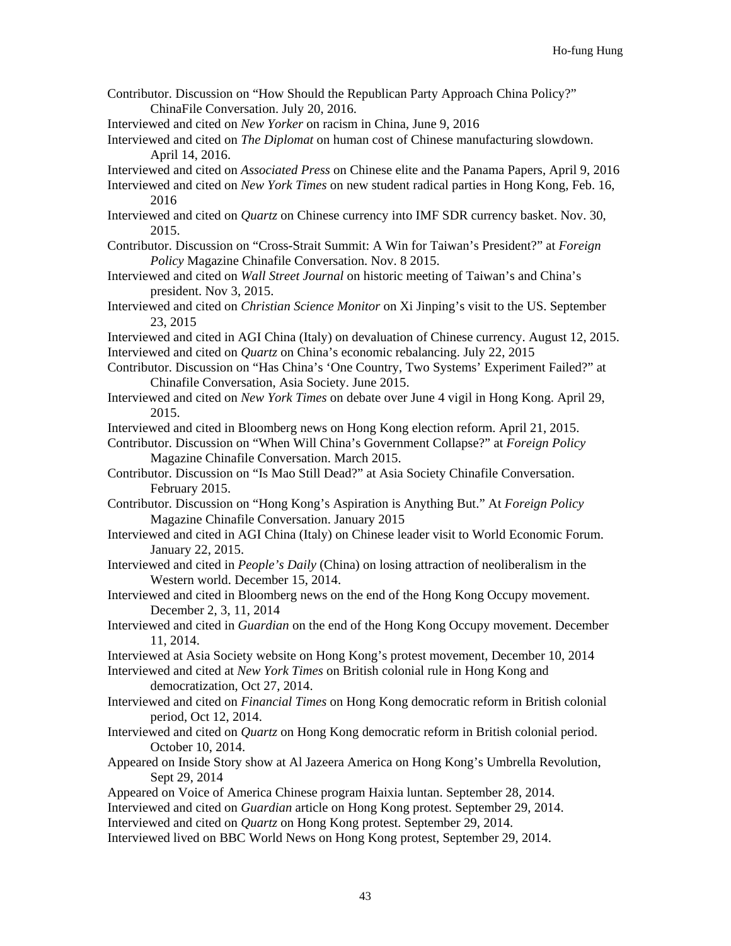- Contributor. Discussion on "How Should the Republican Party Approach China Policy?" ChinaFile Conversation. July 20, 2016.
- Interviewed and cited on *New Yorker* on racism in China, June 9, 2016
- Interviewed and cited on *The Diplomat* on human cost of Chinese manufacturing slowdown. April 14, 2016.
- Interviewed and cited on *Associated Press* on Chinese elite and the Panama Papers, April 9, 2016
- Interviewed and cited on *New York Times* on new student radical parties in Hong Kong, Feb. 16, 2016
- Interviewed and cited on *Quartz* on Chinese currency into IMF SDR currency basket. Nov. 30, 2015.
- Contributor. Discussion on "Cross-Strait Summit: A Win for Taiwan's President?" at *Foreign Policy* Magazine Chinafile Conversation. Nov. 8 2015.
- Interviewed and cited on *Wall Street Journal* on historic meeting of Taiwan's and China's president. Nov 3, 2015.
- Interviewed and cited on *Christian Science Monitor* on Xi Jinping's visit to the US. September 23, 2015
- Interviewed and cited in AGI China (Italy) on devaluation of Chinese currency. August 12, 2015. Interviewed and cited on *Quartz* on China's economic rebalancing. July 22, 2015
- Contributor. Discussion on "Has China's 'One Country, Two Systems' Experiment Failed?" at Chinafile Conversation, Asia Society. June 2015.
- Interviewed and cited on *New York Times* on debate over June 4 vigil in Hong Kong. April 29, 2015.
- Interviewed and cited in Bloomberg news on Hong Kong election reform. April 21, 2015.
- Contributor. Discussion on "When Will China's Government Collapse?" at *Foreign Policy*  Magazine Chinafile Conversation. March 2015.
- Contributor. Discussion on "Is Mao Still Dead?" at Asia Society Chinafile Conversation. February 2015.
- Contributor. Discussion on "Hong Kong's Aspiration is Anything But." At *Foreign Policy*  Magazine Chinafile Conversation. January 2015
- Interviewed and cited in AGI China (Italy) on Chinese leader visit to World Economic Forum. January 22, 2015.
- Interviewed and cited in *People's Daily* (China) on losing attraction of neoliberalism in the Western world. December 15, 2014.
- Interviewed and cited in Bloomberg news on the end of the Hong Kong Occupy movement. December 2, 3, 11, 2014
- Interviewed and cited in *Guardian* on the end of the Hong Kong Occupy movement. December 11, 2014.
- Interviewed at Asia Society website on Hong Kong's protest movement, December 10, 2014

Interviewed and cited at *New York Times* on British colonial rule in Hong Kong and democratization, Oct 27, 2014.

- Interviewed and cited on *Financial Times* on Hong Kong democratic reform in British colonial period, Oct 12, 2014.
- Interviewed and cited on *Quartz* on Hong Kong democratic reform in British colonial period. October 10, 2014.
- Appeared on Inside Story show at Al Jazeera America on Hong Kong's Umbrella Revolution, Sept 29, 2014
- Appeared on Voice of America Chinese program Haixia luntan. September 28, 2014.
- Interviewed and cited on *Guardian* article on Hong Kong protest. September 29, 2014.
- Interviewed and cited on *Quartz* on Hong Kong protest. September 29, 2014.
- Interviewed lived on BBC World News on Hong Kong protest, September 29, 2014.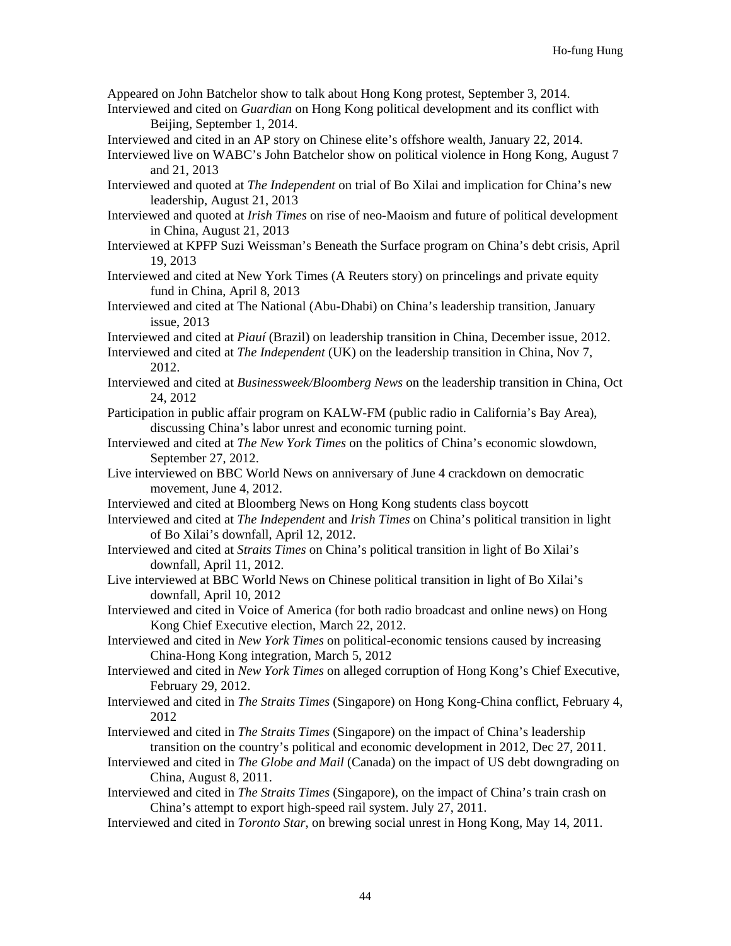Appeared on John Batchelor show to talk about Hong Kong protest, September 3, 2014.

- Interviewed and cited on *Guardian* on Hong Kong political development and its conflict with Beijing, September 1, 2014.
- Interviewed and cited in an AP story on Chinese elite's offshore wealth, January 22, 2014.

- Interviewed and quoted at *The Independent* on trial of Bo Xilai and implication for China's new leadership, August 21, 2013
- Interviewed and quoted at *Irish Times* on rise of neo-Maoism and future of political development in China, August 21, 2013
- Interviewed at KPFP Suzi Weissman's Beneath the Surface program on China's debt crisis, April 19, 2013
- Interviewed and cited at New York Times (A Reuters story) on princelings and private equity fund in China, April 8, 2013
- Interviewed and cited at The National (Abu-Dhabi) on China's leadership transition, January issue, 2013
- Interviewed and cited at *Piauí* (Brazil) on leadership transition in China, December issue, 2012.
- Interviewed and cited at *The Independent* (UK) on the leadership transition in China, Nov 7, 2012.
- Interviewed and cited at *Businessweek/Bloomberg News* on the leadership transition in China, Oct 24, 2012
- Participation in public affair program on KALW-FM (public radio in California's Bay Area), discussing China's labor unrest and economic turning point.
- Interviewed and cited at *The New York Times* on the politics of China's economic slowdown, September 27, 2012.
- Live interviewed on BBC World News on anniversary of June 4 crackdown on democratic movement, June 4, 2012.
- Interviewed and cited at Bloomberg News on Hong Kong students class boycott
- Interviewed and cited at *The Independent* and *Irish Times* on China's political transition in light of Bo Xilai's downfall, April 12, 2012.
- Interviewed and cited at *Straits Times* on China's political transition in light of Bo Xilai's downfall, April 11, 2012.
- Live interviewed at BBC World News on Chinese political transition in light of Bo Xilai's downfall, April 10, 2012
- Interviewed and cited in Voice of America (for both radio broadcast and online news) on Hong Kong Chief Executive election, March 22, 2012.
- Interviewed and cited in *New York Times* on political-economic tensions caused by increasing China-Hong Kong integration, March 5, 2012
- Interviewed and cited in *New York Times* on alleged corruption of Hong Kong's Chief Executive, February 29, 2012.
- Interviewed and cited in *The Straits Times* (Singapore) on Hong Kong-China conflict, February 4, 2012
- Interviewed and cited in *The Straits Times* (Singapore) on the impact of China's leadership transition on the country's political and economic development in 2012, Dec 27, 2011.
- Interviewed and cited in *The Globe and Mail* (Canada) on the impact of US debt downgrading on China, August 8, 2011.
- Interviewed and cited in *The Straits Times* (Singapore), on the impact of China's train crash on China's attempt to export high-speed rail system. July 27, 2011.
- Interviewed and cited in *Toronto Star*, on brewing social unrest in Hong Kong, May 14, 2011.

Interviewed live on WABC's John Batchelor show on political violence in Hong Kong, August 7 and 21, 2013